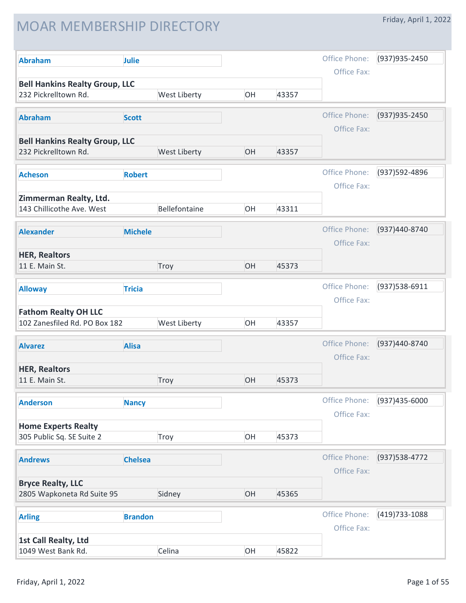## MOAR MEMBERSHIP DIRECTORY

|  |  | Friday, April 1, 2022 |  |  |
|--|--|-----------------------|--|--|
|--|--|-----------------------|--|--|

| <b>Abraham</b>                                                | Julie          |               |    |       | Office Phone:                | (937) 935-2450 |
|---------------------------------------------------------------|----------------|---------------|----|-------|------------------------------|----------------|
| <b>Bell Hankins Realty Group, LLC</b><br>232 Pickrelltown Rd. |                | West Liberty  | OH | 43357 | Office Fax:                  |                |
| <b>Abraham</b>                                                | <b>Scott</b>   |               |    |       | Office Phone:                | (937) 935-2450 |
|                                                               |                |               |    |       | Office Fax:                  |                |
| <b>Bell Hankins Realty Group, LLC</b><br>232 Pickrelltown Rd. |                | West Liberty  | OH | 43357 |                              |                |
| <b>Acheson</b>                                                | <b>Robert</b>  |               |    |       | Office Phone:                | (937)592-4896  |
|                                                               |                |               |    |       | Office Fax:                  |                |
| Zimmerman Realty, Ltd.<br>143 Chillicothe Ave. West           |                | Bellefontaine | OH | 43311 |                              |                |
|                                                               |                |               |    |       |                              |                |
| <b>Alexander</b>                                              | <b>Michele</b> |               |    |       | Office Phone:<br>Office Fax: | (937)440-8740  |
| <b>HER, Realtors</b>                                          |                |               |    |       |                              |                |
| 11 E. Main St.                                                |                | Troy          | OH | 45373 |                              |                |
| <b>Alloway</b>                                                | <b>Tricia</b>  |               |    |       | Office Phone:                | (937) 538-6911 |
|                                                               |                |               |    |       | Office Fax:                  |                |
| <b>Fathom Realty OH LLC</b><br>102 Zanesfiled Rd. PO Box 182  |                | West Liberty  | OH | 43357 |                              |                |
| <b>Alvarez</b>                                                | <b>Alisa</b>   |               |    |       | Office Phone:                | (937)440-8740  |
|                                                               |                |               |    |       | Office Fax:                  |                |
| <b>HER, Realtors</b><br>11 E. Main St.                        |                | Troy          | OH | 45373 |                              |                |
|                                                               |                |               |    |       |                              |                |
| <b>Anderson</b>                                               | <b>Nancy</b>   |               |    |       | Office Phone:<br>Office Fax: | (937)435-6000  |
| <b>Home Experts Realty</b>                                    |                |               |    |       |                              |                |
| 305 Public Sq. SE Suite 2                                     |                | Troy          | OH | 45373 |                              |                |
| <b>Andrews</b>                                                | <b>Chelsea</b> |               |    |       | Office Phone:                | (937) 538-4772 |
|                                                               |                |               |    |       | Office Fax:                  |                |
| <b>Bryce Realty, LLC</b><br>2805 Wapkoneta Rd Suite 95        |                | Sidney        | OH | 45365 |                              |                |
| <b>Arling</b>                                                 | <b>Brandon</b> |               |    |       | Office Phone:                | (419) 733-1088 |
|                                                               |                |               |    |       | Office Fax:                  |                |
| 1st Call Realty, Ltd<br>1049 West Bank Rd.                    |                | Celina        | OH | 45822 |                              |                |
|                                                               |                |               |    |       |                              |                |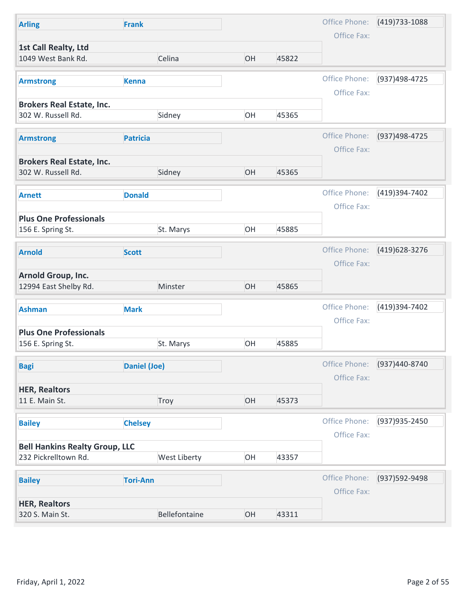| Office Phone:<br>$(419)733 - 1088$<br><b>Arling</b><br><b>Frank</b><br>Office Fax:<br>1st Call Realty, Ltd<br>1049 West Bank Rd.<br>Celina<br>OH<br>45822<br>Office Phone:<br>(937)498-4725<br><b>Kenna</b><br><b>Armstrong</b><br>Office Fax:<br><b>Brokers Real Estate, Inc.</b><br>OH<br>302 W. Russell Rd.<br>Sidney<br>45365<br>Office Phone:<br>(937)498-4725<br><b>Patricia</b><br><b>Armstrong</b><br>Office Fax:<br><b>Brokers Real Estate, Inc.</b><br>302 W. Russell Rd.<br>OH<br>Sidney<br>45365<br>Office Phone:<br>(419)394-7402<br><b>Donald</b><br><b>Arnett</b><br>Office Fax:<br><b>Plus One Professionals</b><br>St. Marys<br>OH<br>45885<br>156 E. Spring St.<br>Office Phone:<br>(419) 628-3276<br><b>Scott</b><br><b>Arnold</b><br>Office Fax:<br>Arnold Group, Inc.<br>12994 East Shelby Rd.<br>Minster<br>OH<br>45865<br>Office Phone:<br>(419)394-7402<br><b>Ashman</b><br><b>Mark</b><br>Office Fax:<br><b>Plus One Professionals</b><br>OH<br>45885<br>156 E. Spring St.<br>St. Marys<br>Office Phone:<br>(937)440-8740<br><b>Daniel (Joe)</b><br><b>Bagi</b><br>Office Fax:<br><b>HER, Realtors</b><br>11 E. Main St.<br>Troy<br>OH<br>45373<br>Office Phone:<br>(937) 935-2450<br><b>Chelsey</b><br><b>Bailey</b><br>Office Fax:<br><b>Bell Hankins Realty Group, LLC</b><br>232 Pickrelltown Rd.<br>West Liberty<br>OH<br>43357 |               |                 |  |               |                |
|---------------------------------------------------------------------------------------------------------------------------------------------------------------------------------------------------------------------------------------------------------------------------------------------------------------------------------------------------------------------------------------------------------------------------------------------------------------------------------------------------------------------------------------------------------------------------------------------------------------------------------------------------------------------------------------------------------------------------------------------------------------------------------------------------------------------------------------------------------------------------------------------------------------------------------------------------------------------------------------------------------------------------------------------------------------------------------------------------------------------------------------------------------------------------------------------------------------------------------------------------------------------------------------------------------------------------------------------------------------|---------------|-----------------|--|---------------|----------------|
|                                                                                                                                                                                                                                                                                                                                                                                                                                                                                                                                                                                                                                                                                                                                                                                                                                                                                                                                                                                                                                                                                                                                                                                                                                                                                                                                                               |               |                 |  |               |                |
|                                                                                                                                                                                                                                                                                                                                                                                                                                                                                                                                                                                                                                                                                                                                                                                                                                                                                                                                                                                                                                                                                                                                                                                                                                                                                                                                                               |               |                 |  |               |                |
|                                                                                                                                                                                                                                                                                                                                                                                                                                                                                                                                                                                                                                                                                                                                                                                                                                                                                                                                                                                                                                                                                                                                                                                                                                                                                                                                                               |               |                 |  |               |                |
|                                                                                                                                                                                                                                                                                                                                                                                                                                                                                                                                                                                                                                                                                                                                                                                                                                                                                                                                                                                                                                                                                                                                                                                                                                                                                                                                                               |               |                 |  |               |                |
|                                                                                                                                                                                                                                                                                                                                                                                                                                                                                                                                                                                                                                                                                                                                                                                                                                                                                                                                                                                                                                                                                                                                                                                                                                                                                                                                                               |               |                 |  |               |                |
|                                                                                                                                                                                                                                                                                                                                                                                                                                                                                                                                                                                                                                                                                                                                                                                                                                                                                                                                                                                                                                                                                                                                                                                                                                                                                                                                                               |               |                 |  |               |                |
|                                                                                                                                                                                                                                                                                                                                                                                                                                                                                                                                                                                                                                                                                                                                                                                                                                                                                                                                                                                                                                                                                                                                                                                                                                                                                                                                                               |               |                 |  |               |                |
|                                                                                                                                                                                                                                                                                                                                                                                                                                                                                                                                                                                                                                                                                                                                                                                                                                                                                                                                                                                                                                                                                                                                                                                                                                                                                                                                                               |               |                 |  |               |                |
|                                                                                                                                                                                                                                                                                                                                                                                                                                                                                                                                                                                                                                                                                                                                                                                                                                                                                                                                                                                                                                                                                                                                                                                                                                                                                                                                                               |               |                 |  |               |                |
|                                                                                                                                                                                                                                                                                                                                                                                                                                                                                                                                                                                                                                                                                                                                                                                                                                                                                                                                                                                                                                                                                                                                                                                                                                                                                                                                                               |               |                 |  |               |                |
|                                                                                                                                                                                                                                                                                                                                                                                                                                                                                                                                                                                                                                                                                                                                                                                                                                                                                                                                                                                                                                                                                                                                                                                                                                                                                                                                                               |               |                 |  |               |                |
|                                                                                                                                                                                                                                                                                                                                                                                                                                                                                                                                                                                                                                                                                                                                                                                                                                                                                                                                                                                                                                                                                                                                                                                                                                                                                                                                                               |               |                 |  |               |                |
|                                                                                                                                                                                                                                                                                                                                                                                                                                                                                                                                                                                                                                                                                                                                                                                                                                                                                                                                                                                                                                                                                                                                                                                                                                                                                                                                                               |               |                 |  |               |                |
|                                                                                                                                                                                                                                                                                                                                                                                                                                                                                                                                                                                                                                                                                                                                                                                                                                                                                                                                                                                                                                                                                                                                                                                                                                                                                                                                                               |               |                 |  |               |                |
|                                                                                                                                                                                                                                                                                                                                                                                                                                                                                                                                                                                                                                                                                                                                                                                                                                                                                                                                                                                                                                                                                                                                                                                                                                                                                                                                                               |               |                 |  |               |                |
|                                                                                                                                                                                                                                                                                                                                                                                                                                                                                                                                                                                                                                                                                                                                                                                                                                                                                                                                                                                                                                                                                                                                                                                                                                                                                                                                                               |               |                 |  |               |                |
|                                                                                                                                                                                                                                                                                                                                                                                                                                                                                                                                                                                                                                                                                                                                                                                                                                                                                                                                                                                                                                                                                                                                                                                                                                                                                                                                                               |               |                 |  |               |                |
|                                                                                                                                                                                                                                                                                                                                                                                                                                                                                                                                                                                                                                                                                                                                                                                                                                                                                                                                                                                                                                                                                                                                                                                                                                                                                                                                                               |               |                 |  |               |                |
|                                                                                                                                                                                                                                                                                                                                                                                                                                                                                                                                                                                                                                                                                                                                                                                                                                                                                                                                                                                                                                                                                                                                                                                                                                                                                                                                                               |               |                 |  |               |                |
|                                                                                                                                                                                                                                                                                                                                                                                                                                                                                                                                                                                                                                                                                                                                                                                                                                                                                                                                                                                                                                                                                                                                                                                                                                                                                                                                                               |               |                 |  |               |                |
|                                                                                                                                                                                                                                                                                                                                                                                                                                                                                                                                                                                                                                                                                                                                                                                                                                                                                                                                                                                                                                                                                                                                                                                                                                                                                                                                                               |               |                 |  |               |                |
|                                                                                                                                                                                                                                                                                                                                                                                                                                                                                                                                                                                                                                                                                                                                                                                                                                                                                                                                                                                                                                                                                                                                                                                                                                                                                                                                                               |               |                 |  |               |                |
|                                                                                                                                                                                                                                                                                                                                                                                                                                                                                                                                                                                                                                                                                                                                                                                                                                                                                                                                                                                                                                                                                                                                                                                                                                                                                                                                                               |               |                 |  |               |                |
|                                                                                                                                                                                                                                                                                                                                                                                                                                                                                                                                                                                                                                                                                                                                                                                                                                                                                                                                                                                                                                                                                                                                                                                                                                                                                                                                                               |               |                 |  |               |                |
|                                                                                                                                                                                                                                                                                                                                                                                                                                                                                                                                                                                                                                                                                                                                                                                                                                                                                                                                                                                                                                                                                                                                                                                                                                                                                                                                                               |               |                 |  |               |                |
|                                                                                                                                                                                                                                                                                                                                                                                                                                                                                                                                                                                                                                                                                                                                                                                                                                                                                                                                                                                                                                                                                                                                                                                                                                                                                                                                                               |               |                 |  |               |                |
|                                                                                                                                                                                                                                                                                                                                                                                                                                                                                                                                                                                                                                                                                                                                                                                                                                                                                                                                                                                                                                                                                                                                                                                                                                                                                                                                                               |               |                 |  |               |                |
|                                                                                                                                                                                                                                                                                                                                                                                                                                                                                                                                                                                                                                                                                                                                                                                                                                                                                                                                                                                                                                                                                                                                                                                                                                                                                                                                                               |               |                 |  |               |                |
|                                                                                                                                                                                                                                                                                                                                                                                                                                                                                                                                                                                                                                                                                                                                                                                                                                                                                                                                                                                                                                                                                                                                                                                                                                                                                                                                                               |               |                 |  |               |                |
|                                                                                                                                                                                                                                                                                                                                                                                                                                                                                                                                                                                                                                                                                                                                                                                                                                                                                                                                                                                                                                                                                                                                                                                                                                                                                                                                                               | <b>Bailey</b> | <b>Tori-Ann</b> |  | Office Phone: | (937) 592-9498 |
| Office Fax:                                                                                                                                                                                                                                                                                                                                                                                                                                                                                                                                                                                                                                                                                                                                                                                                                                                                                                                                                                                                                                                                                                                                                                                                                                                                                                                                                   |               |                 |  |               |                |
| <b>HER, Realtors</b><br>320 S. Main St.<br>Bellefontaine<br>OH<br>43311                                                                                                                                                                                                                                                                                                                                                                                                                                                                                                                                                                                                                                                                                                                                                                                                                                                                                                                                                                                                                                                                                                                                                                                                                                                                                       |               |                 |  |               |                |
|                                                                                                                                                                                                                                                                                                                                                                                                                                                                                                                                                                                                                                                                                                                                                                                                                                                                                                                                                                                                                                                                                                                                                                                                                                                                                                                                                               |               |                 |  |               |                |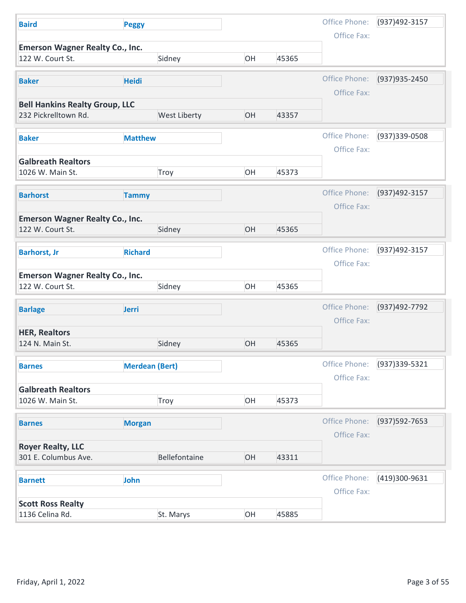| <b>Baird</b>                                                  | <b>Peggy</b>          |               |    |       | Office Phone:                | (937)492-3157               |
|---------------------------------------------------------------|-----------------------|---------------|----|-------|------------------------------|-----------------------------|
| <b>Emerson Wagner Realty Co., Inc.</b>                        |                       |               |    |       | Office Fax:                  |                             |
| 122 W. Court St.                                              |                       | Sidney        | OH | 45365 |                              |                             |
| <b>Baker</b>                                                  | <b>Heidi</b>          |               |    |       | Office Phone:                | (937) 935-2450              |
|                                                               |                       |               |    |       | Office Fax:                  |                             |
| <b>Bell Hankins Realty Group, LLC</b><br>232 Pickrelltown Rd. |                       | West Liberty  | OH | 43357 |                              |                             |
|                                                               |                       |               |    |       |                              |                             |
| <b>Baker</b>                                                  | <b>Matthew</b>        |               |    |       | Office Phone:<br>Office Fax: | (937)339-0508               |
| <b>Galbreath Realtors</b>                                     |                       |               |    |       |                              |                             |
| 1026 W. Main St.                                              |                       | Troy          | OH | 45373 |                              |                             |
| <b>Barhorst</b>                                               | <b>Tammy</b>          |               |    |       |                              | Office Phone: (937)492-3157 |
|                                                               |                       |               |    |       | Office Fax:                  |                             |
| <b>Emerson Wagner Realty Co., Inc.</b>                        |                       |               | OH |       |                              |                             |
| 122 W. Court St.                                              |                       | Sidney        |    | 45365 |                              |                             |
| <b>Barhorst, Jr</b>                                           | <b>Richard</b>        |               |    |       | Office Phone:                | (937)492-3157               |
|                                                               |                       |               |    |       | Office Fax:                  |                             |
| <b>Emerson Wagner Realty Co., Inc.</b><br>122 W. Court St.    |                       | Sidney        | OH | 45365 |                              |                             |
|                                                               |                       |               |    |       | Office Phone:                | (937)492-7792               |
| <b>Barlage</b>                                                | Jerri                 |               |    |       | Office Fax:                  |                             |
| <b>HER, Realtors</b>                                          |                       |               |    |       |                              |                             |
| 124 N. Main St.                                               |                       | Sidney        | OH | 45365 |                              |                             |
| <b>Barnes</b>                                                 | <b>Merdean (Bert)</b> |               |    |       | Office Phone:                | (937) 339-5321              |
|                                                               |                       |               |    |       | Office Fax:                  |                             |
| <b>Galbreath Realtors</b><br>1026 W. Main St.                 |                       | Troy          | OH | 45373 |                              |                             |
|                                                               |                       |               |    |       |                              |                             |
| <b>Barnes</b>                                                 | <b>Morgan</b>         |               |    |       | Office Phone:                | (937) 592-7653              |
| <b>Royer Realty, LLC</b>                                      |                       |               |    |       | Office Fax:                  |                             |
| 301 E. Columbus Ave.                                          |                       | Bellefontaine | OH | 43311 |                              |                             |
| <b>Barnett</b>                                                | John                  |               |    |       | Office Phone:                | (419)300-9631               |
|                                                               |                       |               |    |       | Office Fax:                  |                             |
|                                                               |                       |               |    |       |                              |                             |
| <b>Scott Ross Realty</b><br>1136 Celina Rd.                   |                       | St. Marys     | OH | 45885 |                              |                             |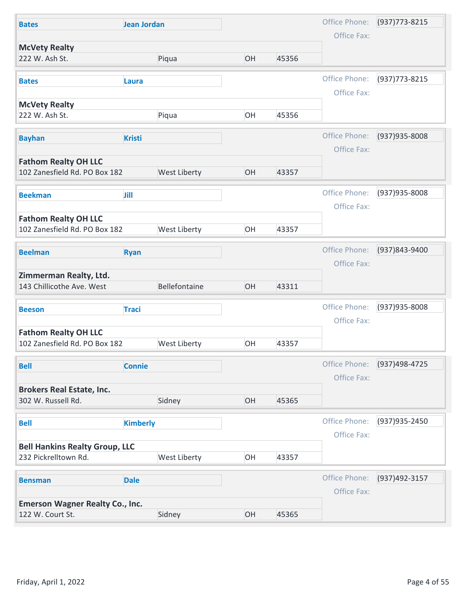| Office Phone:<br>$(937)773 - 8215$<br><b>Jean Jordan</b><br><b>Bates</b><br>Office Fax:<br><b>McVety Realty</b><br>222 W. Ash St.<br>Piqua<br>OH<br>45356<br>Office Phone:<br>(937) 773-8215<br><b>Bates</b><br><b>Laura</b> |  |
|------------------------------------------------------------------------------------------------------------------------------------------------------------------------------------------------------------------------------|--|
|                                                                                                                                                                                                                              |  |
|                                                                                                                                                                                                                              |  |
|                                                                                                                                                                                                                              |  |
| Office Fax:                                                                                                                                                                                                                  |  |
| <b>McVety Realty</b>                                                                                                                                                                                                         |  |
| 222 W. Ash St.<br>OH<br>45356<br>Piqua                                                                                                                                                                                       |  |
| Office Phone:<br>(937) 935-8008<br><b>Bayhan</b><br><b>Kristi</b>                                                                                                                                                            |  |
| Office Fax:                                                                                                                                                                                                                  |  |
| <b>Fathom Realty OH LLC</b><br>102 Zanesfield Rd. PO Box 182<br>West Liberty<br>OH<br>43357                                                                                                                                  |  |
|                                                                                                                                                                                                                              |  |
| Office Phone:<br>(937) 935-8008<br>Jill<br><b>Beekman</b>                                                                                                                                                                    |  |
| Office Fax:                                                                                                                                                                                                                  |  |
| <b>Fathom Realty OH LLC</b><br>102 Zanesfield Rd. PO Box 182<br>West Liberty<br>OH<br>43357                                                                                                                                  |  |
|                                                                                                                                                                                                                              |  |
| Office Phone:<br>(937)843-9400<br><b>Beelman</b><br><b>Ryan</b>                                                                                                                                                              |  |
| Office Fax:<br>Zimmerman Realty, Ltd.                                                                                                                                                                                        |  |
| 143 Chillicothe Ave. West<br>Bellefontaine<br>OH<br>43311                                                                                                                                                                    |  |
| Office Phone:<br>(937) 935-8008                                                                                                                                                                                              |  |
| <b>Traci</b><br><b>Beeson</b><br>Office Fax:                                                                                                                                                                                 |  |
| <b>Fathom Realty OH LLC</b>                                                                                                                                                                                                  |  |
| 102 Zanesfield Rd. PO Box 182<br>West Liberty<br>OH<br>43357                                                                                                                                                                 |  |
| Office Phone:<br>(937)498-4725<br><b>Connie</b><br><b>Bell</b>                                                                                                                                                               |  |
| Office Fax:                                                                                                                                                                                                                  |  |
| <b>Brokers Real Estate, Inc.</b>                                                                                                                                                                                             |  |
| 302 W. Russell Rd.<br>Sidney<br>OH<br>45365                                                                                                                                                                                  |  |
| Office Phone:<br>(937) 935-2450<br><b>Kimberly</b><br><b>Bell</b>                                                                                                                                                            |  |
| Office Fax:                                                                                                                                                                                                                  |  |
| <b>Bell Hankins Realty Group, LLC</b>                                                                                                                                                                                        |  |
| 232 Pickrelltown Rd.<br>West Liberty<br>OH<br>43357                                                                                                                                                                          |  |
|                                                                                                                                                                                                                              |  |
| Office Phone:<br>(937)492-3157<br><b>Dale</b><br><b>Bensman</b>                                                                                                                                                              |  |
| Office Fax:                                                                                                                                                                                                                  |  |
| <b>Emerson Wagner Realty Co., Inc.</b><br>122 W. Court St.<br>Sidney<br>OH<br>45365                                                                                                                                          |  |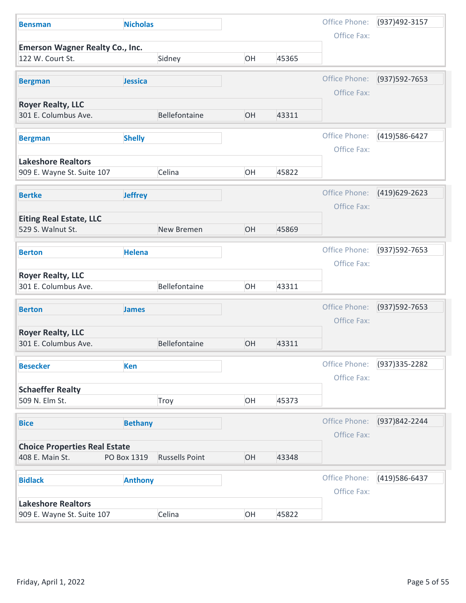| <b>Bensman</b>                                             | <b>Nicholas</b> |                       |    |       | Office Phone:                | (937)492-3157    |
|------------------------------------------------------------|-----------------|-----------------------|----|-------|------------------------------|------------------|
|                                                            |                 |                       |    |       | Office Fax:                  |                  |
| <b>Emerson Wagner Realty Co., Inc.</b><br>122 W. Court St. |                 | Sidney                | OH | 45365 |                              |                  |
| <b>Bergman</b>                                             | Jessica         |                       |    |       | Office Phone:<br>Office Fax: | (937) 592-7653   |
| <b>Royer Realty, LLC</b>                                   |                 |                       |    |       |                              |                  |
| 301 E. Columbus Ave.                                       |                 | Bellefontaine         | OH | 43311 |                              |                  |
| <b>Bergman</b>                                             | <b>Shelly</b>   |                       |    |       | Office Phone:                | (419) 586-6427   |
| <b>Lakeshore Realtors</b>                                  |                 |                       |    |       | Office Fax:                  |                  |
| 909 E. Wayne St. Suite 107                                 |                 | Celina                | OH | 45822 |                              |                  |
| <b>Bertke</b>                                              | <b>Jeffrey</b>  |                       |    |       | Office Phone:                | (419)629-2623    |
|                                                            |                 |                       |    |       | Office Fax:                  |                  |
| <b>Eiting Real Estate, LLC</b><br>529 S. Walnut St.        |                 | New Bremen            | OH | 45869 |                              |                  |
| <b>Berton</b>                                              | <b>Helena</b>   |                       |    |       | Office Phone:                | (937) 592-7653   |
|                                                            |                 |                       |    |       | Office Fax:                  |                  |
| <b>Royer Realty, LLC</b><br>301 E. Columbus Ave.           |                 | Bellefontaine         | OH | 43311 |                              |                  |
| <b>Berton</b>                                              | <b>James</b>    |                       |    |       | Office Phone:                | (937) 592-7653   |
|                                                            |                 |                       |    |       | Office Fax:                  |                  |
| <b>Royer Realty, LLC</b><br>301 E. Columbus Ave.           |                 | Bellefontaine         | OH | 43311 |                              |                  |
| <b>Besecker</b>                                            | <b>Ken</b>      |                       |    |       | Office Phone:                | (937) 335 - 2282 |
|                                                            |                 |                       |    |       | Office Fax:                  |                  |
| <b>Schaeffer Realty</b>                                    |                 |                       |    |       |                              |                  |
| 509 N. Elm St.                                             |                 | Troy                  | OH | 45373 |                              |                  |
| <b>Bice</b>                                                | <b>Bethany</b>  |                       |    |       | Office Phone:                | (937)842-2244    |
|                                                            |                 |                       |    |       | Office Fax:                  |                  |
| <b>Choice Properties Real Estate</b><br>408 E. Main St.    | PO Box 1319     | <b>Russells Point</b> | OH | 43348 |                              |                  |
|                                                            |                 |                       |    |       |                              |                  |
| <b>Bidlack</b>                                             | <b>Anthony</b>  |                       |    |       | Office Phone:                | (419) 586-6437   |
|                                                            |                 |                       |    |       | Office Fax:                  |                  |
| <b>Lakeshore Realtors</b>                                  |                 | Celina                | OH | 45822 |                              |                  |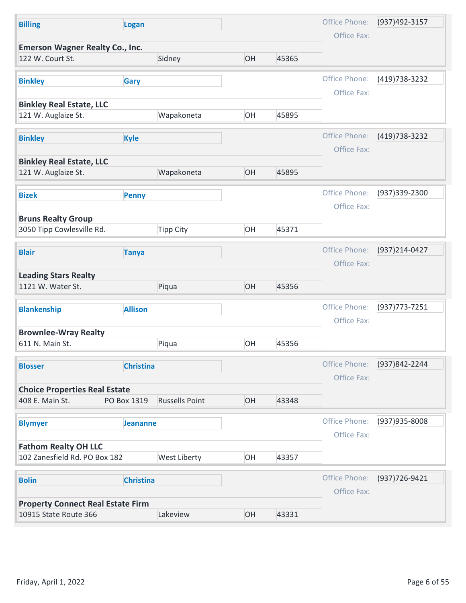| <b>Billing</b>                                               | Logan                 |    |       | Office Phone:                | (937)492-3157  |
|--------------------------------------------------------------|-----------------------|----|-------|------------------------------|----------------|
| <b>Emerson Wagner Realty Co., Inc.</b>                       |                       |    |       | Office Fax:                  |                |
| 122 W. Court St.                                             | Sidney                | OH | 45365 |                              |                |
| <b>Binkley</b>                                               | <b>Gary</b>           |    |       | Office Phone:                | (419) 738-3232 |
|                                                              |                       |    |       | Office Fax:                  |                |
| <b>Binkley Real Estate, LLC</b><br>121 W. Auglaize St.       | Wapakoneta            | OH | 45895 |                              |                |
| <b>Binkley</b><br><b>Kyle</b>                                |                       |    |       | Office Phone:                | (419) 738-3232 |
|                                                              |                       |    |       | Office Fax:                  |                |
| <b>Binkley Real Estate, LLC</b><br>121 W. Auglaize St.       | Wapakoneta            | OH | 45895 |                              |                |
|                                                              |                       |    |       | Office Phone:                | (937)339-2300  |
| <b>Bizek</b>                                                 | <b>Penny</b>          |    |       | Office Fax:                  |                |
| <b>Bruns Realty Group</b>                                    |                       |    |       |                              |                |
| 3050 Tipp Cowlesville Rd.                                    | <b>Tipp City</b>      | OH | 45371 |                              |                |
| <b>Blair</b>                                                 | <b>Tanya</b>          |    |       | Office Phone:                | (937)214-0427  |
|                                                              |                       |    |       | Office Fax:                  |                |
| <b>Leading Stars Realty</b><br>1121 W. Water St.             | Piqua                 | OH | 45356 |                              |                |
| <b>Blankenship</b>                                           | <b>Allison</b>        |    |       | Office Phone:                | (937) 773-7251 |
|                                                              |                       |    |       | Office Fax:                  |                |
| <b>Brownlee-Wray Realty</b><br>611 N. Main St.               | Piqua                 | OH | 45356 |                              |                |
|                                                              |                       |    |       |                              |                |
| <b>Blosser</b>                                               | <b>Christina</b>      |    |       | Office Phone:<br>Office Fax: | (937)842-2244  |
| <b>Choice Properties Real Estate</b>                         |                       |    |       |                              |                |
| 408 E. Main St.<br>PO Box 1319                               | <b>Russells Point</b> | OH | 43348 |                              |                |
| <b>Blymyer</b>                                               | <b>Jeananne</b>       |    |       | Office Phone:                | (937) 935-8008 |
|                                                              |                       |    |       | Office Fax:                  |                |
| <b>Fathom Realty OH LLC</b><br>102 Zanesfield Rd. PO Box 182 | West Liberty          | OH | 43357 |                              |                |
|                                                              |                       |    |       |                              |                |
|                                                              | <b>Christina</b>      |    |       | Office Phone:<br>Office Fax: | (937) 726-9421 |
| <b>Bolin</b>                                                 |                       |    |       |                              |                |
| <b>Property Connect Real Estate Firm</b>                     |                       |    |       |                              |                |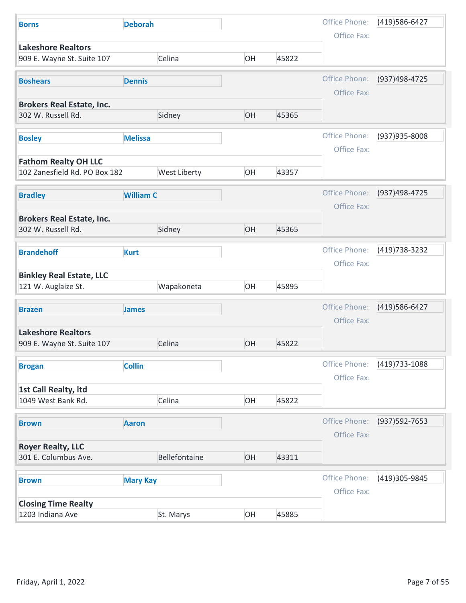| <b>Borns</b>                                                 | <b>Deborah</b>   |    |       | Office Phone:<br>Office Fax: | (419) 586-6427 |
|--------------------------------------------------------------|------------------|----|-------|------------------------------|----------------|
| <b>Lakeshore Realtors</b><br>909 E. Wayne St. Suite 107      | Celina           | OH | 45822 |                              |                |
|                                                              |                  |    |       |                              |                |
| <b>Boshears</b>                                              | <b>Dennis</b>    |    |       | Office Phone:<br>Office Fax: | (937)498-4725  |
| <b>Brokers Real Estate, Inc.</b>                             |                  |    |       |                              |                |
| 302 W. Russell Rd.                                           | Sidney           | OH | 45365 |                              |                |
| <b>Bosley</b>                                                | <b>Melissa</b>   |    |       | Office Phone:                | (937) 935-8008 |
|                                                              |                  |    |       | Office Fax:                  |                |
| <b>Fathom Realty OH LLC</b><br>102 Zanesfield Rd. PO Box 182 | West Liberty     | OH | 43357 |                              |                |
|                                                              |                  |    |       |                              |                |
| <b>Bradley</b>                                               | <b>William C</b> |    |       | Office Phone:                | (937)498-4725  |
|                                                              |                  |    |       | Office Fax:                  |                |
| <b>Brokers Real Estate, Inc.</b><br>302 W. Russell Rd.       | Sidney           | OH | 45365 |                              |                |
|                                                              |                  |    |       |                              |                |
| <b>Brandehoff</b>                                            | <b>Kurt</b>      |    |       | Office Phone:<br>Office Fax: | (419) 738-3232 |
| <b>Binkley Real Estate, LLC</b>                              |                  |    |       |                              |                |
| 121 W. Auglaize St.                                          | Wapakoneta       | OH | 45895 |                              |                |
| <b>Brazen</b>                                                | <b>James</b>     |    |       | Office Phone:                | (419) 586-6427 |
|                                                              |                  |    |       | Office Fax:                  |                |
| <b>Lakeshore Realtors</b>                                    |                  |    |       |                              |                |
| 909 E. Wayne St. Suite 107                                   | Celina           | OH | 45822 |                              |                |
| <b>Brogan</b>                                                | <b>Collin</b>    |    |       | Office Phone:                | (419) 733-1088 |
|                                                              |                  |    |       | Office Fax:                  |                |
| 1st Call Realty, Itd<br>1049 West Bank Rd.                   | Celina           | OH | 45822 |                              |                |
|                                                              |                  |    |       |                              |                |
| <b>Brown</b>                                                 | <b>Aaron</b>     |    |       | Office Phone:<br>Office Fax: | (937) 592-7653 |
| <b>Royer Realty, LLC</b>                                     |                  |    |       |                              |                |
| 301 E. Columbus Ave.                                         | Bellefontaine    | OH | 43311 |                              |                |
| <b>Brown</b>                                                 | <b>Mary Kay</b>  |    |       | Office Phone:                | (419)305-9845  |
|                                                              |                  |    |       | Office Fax:                  |                |
|                                                              |                  |    |       |                              |                |
| <b>Closing Time Realty</b><br>1203 Indiana Ave               | St. Marys        | OH | 45885 |                              |                |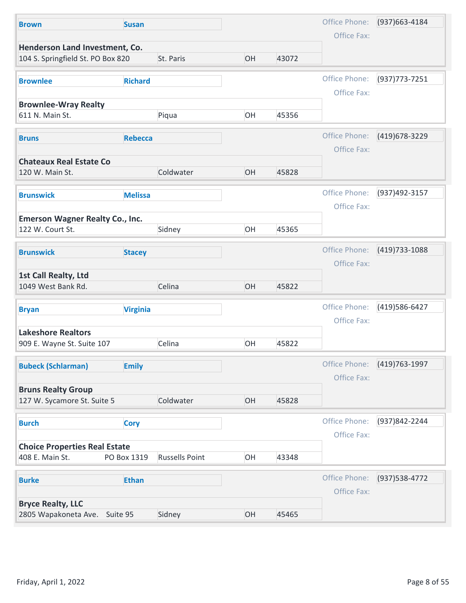|                             |                | Office Phone:  | (937) 663-4184                                                   |
|-----------------------------|----------------|----------------|------------------------------------------------------------------|
|                             |                | Office Fax:    |                                                                  |
| OH                          | 43072          |                |                                                                  |
|                             |                | Office Phone:  | $(937)773 - 7251$                                                |
|                             |                | Office Fax:    |                                                                  |
|                             |                |                |                                                                  |
|                             |                |                |                                                                  |
|                             |                |                | (419) 678-3229                                                   |
|                             |                | Office Fax:    |                                                                  |
|                             |                |                |                                                                  |
| OH                          | 45828          |                |                                                                  |
|                             |                |                | (937)492-3157                                                    |
|                             |                | Office Fax:    |                                                                  |
|                             |                |                |                                                                  |
| OH                          | 45365          |                |                                                                  |
|                             |                |                | (419) 733-1088                                                   |
|                             |                | Office Fax:    |                                                                  |
|                             |                |                |                                                                  |
| OH                          | 45822          |                |                                                                  |
|                             |                | Office Phone:  | (419) 586-6427                                                   |
|                             |                | Office Fax:    |                                                                  |
|                             |                |                |                                                                  |
|                             |                |                |                                                                  |
|                             |                |                | (419) 763-1997                                                   |
|                             |                | Office Fax:    |                                                                  |
|                             |                |                |                                                                  |
|                             | 45828          |                |                                                                  |
|                             |                | Office Phone:  | (937)842-2244                                                    |
|                             |                | Office Fax:    |                                                                  |
|                             |                |                |                                                                  |
| <b>Russells Point</b><br>OH | 43348          |                |                                                                  |
|                             |                | Office Phone:  | (937) 538-4772                                                   |
|                             |                | Office Fax:    |                                                                  |
|                             |                |                |                                                                  |
| OH                          | 45465          |                |                                                                  |
|                             | OH<br>OH<br>OH | 45356<br>45822 | Office Phone:<br>Office Phone:<br>Office Phone:<br>Office Phone: |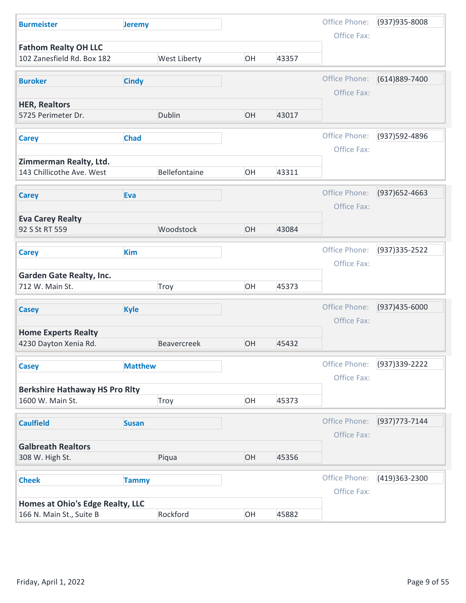| Office Phone:<br>(937) 935-8008<br><b>Burmeister</b><br><b>Jeremy</b><br>Office Fax:<br><b>Fathom Realty OH LLC</b> |  |
|---------------------------------------------------------------------------------------------------------------------|--|
|                                                                                                                     |  |
|                                                                                                                     |  |
| West Liberty<br>102 Zanesfield Rd. Box 182<br>OH<br>43357                                                           |  |
| Office Phone:<br>(614)889-7400<br><b>Buroker</b><br><b>Cindy</b>                                                    |  |
| Office Fax:                                                                                                         |  |
| <b>HER, Realtors</b><br>Dublin<br>OH<br>43017<br>5725 Perimeter Dr.                                                 |  |
| Office Phone:<br>(937) 592-4896<br><b>Chad</b><br><b>Carey</b><br>Office Fax:                                       |  |
| Zimmerman Realty, Ltd.                                                                                              |  |
| Bellefontaine<br>OH<br>143 Chillicothe Ave. West<br>43311                                                           |  |
| Office Phone:<br>$(937)652 - 4663$<br>Eva<br><b>Carey</b>                                                           |  |
| Office Fax:                                                                                                         |  |
| <b>Eva Carey Realty</b><br>Woodstock<br>OH<br>92 S St RT 559<br>43084                                               |  |
| Office Phone:<br>(937) 335 - 2522<br><b>Kim</b><br><b>Carey</b>                                                     |  |
| Office Fax:                                                                                                         |  |
| <b>Garden Gate Realty, Inc.</b><br>OH<br>45373<br>712 W. Main St.<br>Troy                                           |  |
| (937)435-6000<br>Office Phone:<br><b>Kyle</b><br><b>Casey</b>                                                       |  |
| Office Fax:                                                                                                         |  |
| <b>Home Experts Realty</b><br>OH<br>4230 Dayton Xenia Rd.<br>Beavercreek<br>45432                                   |  |
|                                                                                                                     |  |
| Office Phone:<br>(937) 339-2222<br><b>Matthew</b><br><b>Casey</b>                                                   |  |
| Office Fax:<br><b>Berkshire Hathaway HS Pro Rity</b>                                                                |  |
| OH<br>Troy<br>45373<br>1600 W. Main St.                                                                             |  |
| Office Phone:<br>(937) 773-7144                                                                                     |  |
| <b>Caulfield</b><br><b>Susan</b><br>Office Fax:                                                                     |  |
| <b>Galbreath Realtors</b>                                                                                           |  |
| Piqua<br>OH<br>45356<br>308 W. High St.                                                                             |  |
| Office Phone:<br>(419)363-2300<br><b>Cheek</b><br><b>Tammy</b>                                                      |  |
| Office Fax:                                                                                                         |  |
|                                                                                                                     |  |
| Homes at Ohio's Edge Realty, LLC<br>OH<br>Rockford<br>45882<br>166 N. Main St., Suite B                             |  |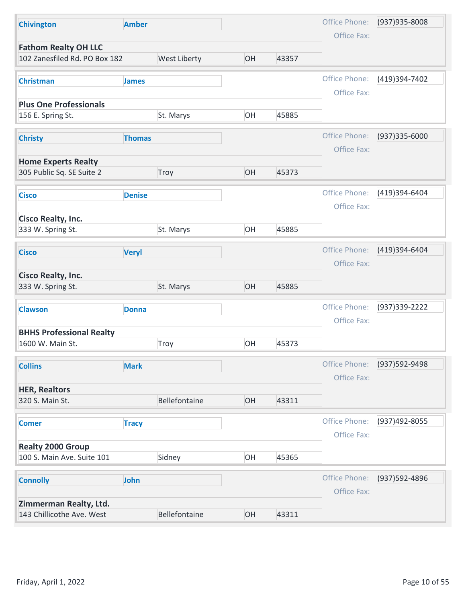| <b>Chivington</b>                                   | <b>Amber</b>  |               |    |       | Office Phone:                | (937) 935-8008 |
|-----------------------------------------------------|---------------|---------------|----|-------|------------------------------|----------------|
| <b>Fathom Realty OH LLC</b>                         |               |               |    |       | Office Fax:                  |                |
| 102 Zanesfiled Rd. PO Box 182                       |               | West Liberty  | OH | 43357 |                              |                |
| <b>Christman</b>                                    | <b>James</b>  |               |    |       | Office Phone:                | (419)394-7402  |
|                                                     |               |               |    |       | Office Fax:                  |                |
| <b>Plus One Professionals</b><br>156 E. Spring St.  |               | St. Marys     | OH | 45885 |                              |                |
| <b>Christy</b>                                      | <b>Thomas</b> |               |    |       | Office Phone:<br>Office Fax: | (937)335-6000  |
| <b>Home Experts Realty</b>                          |               |               |    |       |                              |                |
| 305 Public Sq. SE Suite 2                           |               | Troy          | OH | 45373 |                              |                |
| <b>Cisco</b>                                        | <b>Denise</b> |               |    |       | Office Phone:<br>Office Fax: | (419)394-6404  |
| <b>Cisco Realty, Inc.</b>                           |               |               |    |       |                              |                |
| 333 W. Spring St.                                   |               | St. Marys     | OH | 45885 |                              |                |
| <b>Cisco</b>                                        | <b>Veryl</b>  |               |    |       | Office Phone:<br>Office Fax: | (419)394-6404  |
| <b>Cisco Realty, Inc.</b><br>333 W. Spring St.      |               | St. Marys     | OH | 45885 |                              |                |
| <b>Clawson</b>                                      | <b>Donna</b>  |               |    |       | Office Phone:                | (937) 339-2222 |
| <b>BHHS Professional Realty</b>                     |               |               |    |       | Office Fax:                  |                |
| 1600 W. Main St.                                    |               | Troy          | OH | 45373 |                              |                |
| <b>Collins</b>                                      | <b>Mark</b>   |               |    |       | Office Phone:                | (937) 592-9498 |
|                                                     |               |               |    |       | Office Fax:                  |                |
| <b>HER, Realtors</b><br>320 S. Main St.             |               | Bellefontaine | OH | 43311 |                              |                |
|                                                     |               |               |    |       |                              |                |
| <b>Comer</b>                                        | <b>Tracy</b>  |               |    |       | Office Phone:                | (937)492-8055  |
| <b>Realty 2000 Group</b>                            |               |               |    |       | Office Fax:                  |                |
| 100 S. Main Ave. Suite 101                          |               | Sidney        | OH | 45365 |                              |                |
| <b>Connolly</b>                                     | John          |               |    |       | Office Phone:                | (937) 592-4896 |
|                                                     |               |               |    |       | Office Fax:                  |                |
| Zimmerman Realty, Ltd.<br>143 Chillicothe Ave. West |               | Bellefontaine | OH | 43311 |                              |                |
|                                                     |               |               |    |       |                              |                |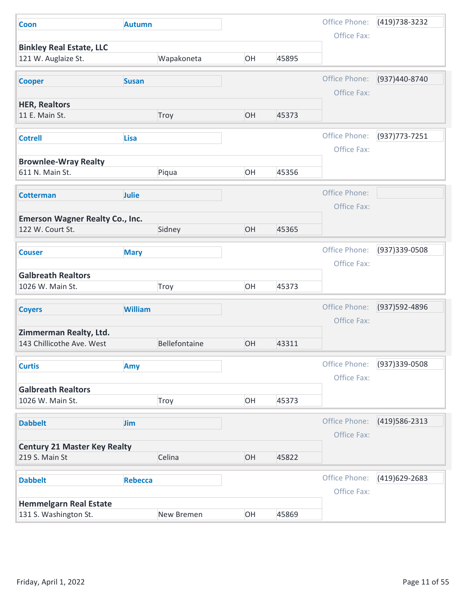| <b>Coon</b>                                            |                |    |       |                              |                   |
|--------------------------------------------------------|----------------|----|-------|------------------------------|-------------------|
|                                                        | <b>Autumn</b>  |    |       | Office Phone:                | (419) 738-3232    |
|                                                        |                |    |       | Office Fax:                  |                   |
| <b>Binkley Real Estate, LLC</b><br>121 W. Auglaize St. | Wapakoneta     | OH | 45895 |                              |                   |
| <b>Cooper</b>                                          | <b>Susan</b>   |    |       | Office Phone:                | (937)440-8740     |
|                                                        |                |    |       | Office Fax:                  |                   |
| <b>HER, Realtors</b><br>11 E. Main St.                 | Troy           | OH | 45373 |                              |                   |
| <b>Cotrell</b>                                         | <b>Lisa</b>    |    |       | Office Phone:<br>Office Fax: | $(937)773 - 7251$ |
| <b>Brownlee-Wray Realty</b>                            |                |    |       |                              |                   |
| 611 N. Main St.                                        | Piqua          | OH | 45356 |                              |                   |
| <b>Cotterman</b>                                       | Julie          |    |       | Office Phone:<br>Office Fax: |                   |
| <b>Emerson Wagner Realty Co., Inc.</b>                 |                |    |       |                              |                   |
| 122 W. Court St.                                       | Sidney         | OH | 45365 |                              |                   |
| <b>Couser</b>                                          | <b>Mary</b>    |    |       | Office Phone:                | (937)339-0508     |
|                                                        |                |    |       | Office Fax:                  |                   |
| <b>Galbreath Realtors</b><br>1026 W. Main St.          | Troy           | OH | 45373 |                              |                   |
| <b>Coyers</b>                                          | <b>William</b> |    |       | Office Phone:                | (937) 592-4896    |
|                                                        |                |    |       | Office Fax:                  |                   |
| Zimmerman Realty, Ltd.<br>143 Chillicothe Ave. West    | Bellefontaine  | OH | 43311 |                              |                   |
| <b>Curtis</b>                                          | Amy            |    |       | Office Phone:                | (937) 339-0508    |
| <b>Galbreath Realtors</b>                              |                |    |       | Office Fax:                  |                   |
| 1026 W. Main St.                                       | Troy           | OH | 45373 |                              |                   |
| <b>Dabbelt</b>                                         | Jim            |    |       | Office Phone:                | (419) 586-2313    |
|                                                        |                |    |       | Office Fax:                  |                   |
| <b>Century 21 Master Key Realty</b>                    |                |    |       |                              |                   |
| 219 S. Main St                                         | Celina         | OH | 45822 |                              |                   |
| <b>Dabbelt</b>                                         | <b>Rebecca</b> |    |       | Office Phone:                | (419)629-2683     |
|                                                        |                |    |       | Office Fax:                  |                   |
| <b>Hemmelgarn Real Estate</b>                          |                |    |       |                              |                   |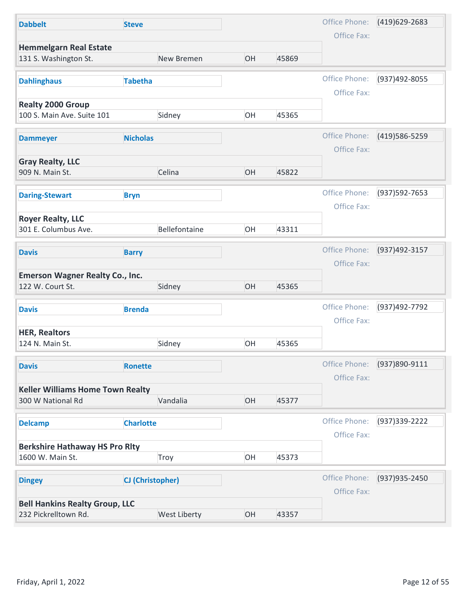| <b>Dabbelt</b>                                             | <b>Steve</b>     |               |    |       | Office Phone:                | (419)629-2683  |
|------------------------------------------------------------|------------------|---------------|----|-------|------------------------------|----------------|
|                                                            |                  |               |    |       | Office Fax:                  |                |
| <b>Hemmelgarn Real Estate</b><br>131 S. Washington St.     |                  | New Bremen    | OH | 45869 |                              |                |
| <b>Dahlinghaus</b>                                         | <b>Tabetha</b>   |               |    |       | Office Phone:                | (937)492-8055  |
|                                                            |                  |               |    |       | Office Fax:                  |                |
| <b>Realty 2000 Group</b><br>100 S. Main Ave. Suite 101     |                  | Sidney        | OH | 45365 |                              |                |
| <b>Dammeyer</b>                                            | <b>Nicholas</b>  |               |    |       | Office Phone:<br>Office Fax: | (419) 586-5259 |
| <b>Gray Realty, LLC</b><br>909 N. Main St.                 |                  | Celina        | OH | 45822 |                              |                |
| <b>Daring-Stewart</b>                                      | <b>Bryn</b>      |               |    |       | Office Phone:                | (937) 592-7653 |
| <b>Royer Realty, LLC</b>                                   |                  |               |    |       | Office Fax:                  |                |
| 301 E. Columbus Ave.                                       |                  | Bellefontaine | OH | 43311 |                              |                |
| <b>Davis</b>                                               | <b>Barry</b>     |               |    |       | Office Phone:<br>Office Fax: | (937)492-3157  |
| <b>Emerson Wagner Realty Co., Inc.</b><br>122 W. Court St. |                  | Sidney        | OH | 45365 |                              |                |
| <b>Davis</b>                                               | <b>Brenda</b>    |               |    |       | Office Phone:<br>Office Fax: | (937)492-7792  |
| <b>HER, Realtors</b><br>124 N. Main St.                    |                  | Sidney        | OH | 45365 |                              |                |
| <b>Davis</b>                                               | <b>Ronette</b>   |               |    |       | Office Phone:                | (937)890-9111  |
| <b>Keller Williams Home Town Realty</b>                    |                  |               |    |       | Office Fax:                  |                |
| 300 W National Rd                                          |                  | Vandalia      | OH | 45377 |                              |                |
| <b>Delcamp</b>                                             | <b>Charlotte</b> |               |    |       | Office Phone:                | (937) 339-2222 |
|                                                            |                  |               |    |       | Office Fax:                  |                |
| <b>Berkshire Hathaway HS Pro Rlty</b><br>1600 W. Main St.  |                  | Troy          | OH | 45373 |                              |                |
| <b>Dingey</b>                                              | CJ (Christopher) |               |    |       | Office Phone:                | (937) 935-2450 |
|                                                            |                  |               |    |       | Office Fax:                  |                |
| <b>Bell Hankins Realty Group, LLC</b>                      |                  | West Liberty  | OH | 43357 |                              |                |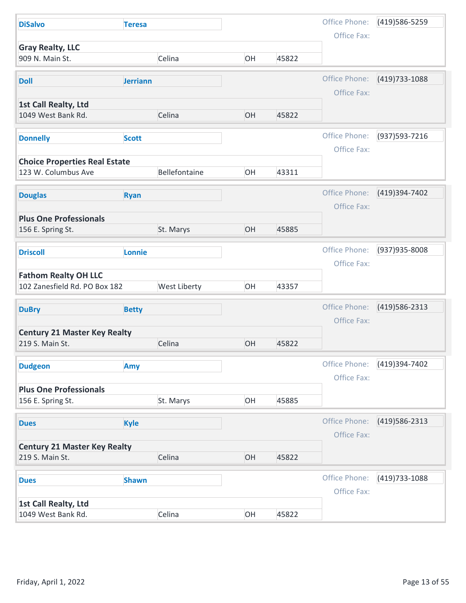| <b>DiSalvo</b>                                         | <b>Teresa</b> |               |    |       | Office Phone:                | (419) 586-5259 |
|--------------------------------------------------------|---------------|---------------|----|-------|------------------------------|----------------|
|                                                        |               |               |    |       | Office Fax:                  |                |
| <b>Gray Realty, LLC</b><br>909 N. Main St.             |               | Celina        | OH | 45822 |                              |                |
|                                                        |               |               |    |       |                              |                |
| <b>Doll</b>                                            | Jerriann      |               |    |       | Office Phone:                | (419) 733-1088 |
| 1st Call Realty, Ltd                                   |               |               |    |       | Office Fax:                  |                |
| 1049 West Bank Rd.                                     |               | Celina        | OH | 45822 |                              |                |
|                                                        |               |               |    |       |                              |                |
| <b>Donnelly</b>                                        | <b>Scott</b>  |               |    |       | Office Phone:<br>Office Fax: | (937) 593-7216 |
| <b>Choice Properties Real Estate</b>                   |               |               |    |       |                              |                |
| 123 W. Columbus Ave                                    |               | Bellefontaine | OH | 43311 |                              |                |
|                                                        |               |               |    |       | Office Phone:                | (419)394-7402  |
| <b>Douglas</b>                                         | <b>Ryan</b>   |               |    |       | Office Fax:                  |                |
| <b>Plus One Professionals</b>                          |               |               |    |       |                              |                |
| 156 E. Spring St.                                      |               | St. Marys     | OH | 45885 |                              |                |
| <b>Driscoll</b>                                        | Lonnie        |               |    |       | Office Phone:                | (937) 935-8008 |
|                                                        |               |               |    |       | Office Fax:                  |                |
| <b>Fathom Realty OH LLC</b>                            |               |               |    |       |                              |                |
| 102 Zanesfield Rd. PO Box 182                          |               | West Liberty  | OH | 43357 |                              |                |
| <b>DuBry</b>                                           | <b>Betty</b>  |               |    |       | Office Phone:                | (419) 586-2313 |
|                                                        |               |               |    |       | Office Fax:                  |                |
| <b>Century 21 Master Key Realty</b>                    |               |               |    |       |                              |                |
| 219 S. Main St.                                        |               | Celina        | OH | 45822 |                              |                |
| <b>Dudgeon</b>                                         | Amy           |               |    |       | Office Phone:                | (419)394-7402  |
|                                                        |               |               |    |       | Office Fax:                  |                |
| <b>Plus One Professionals</b>                          |               |               |    |       |                              |                |
| 156 E. Spring St.                                      |               | St. Marys     | OH | 45885 |                              |                |
| <b>Dues</b>                                            | <b>Kyle</b>   |               |    |       | Office Phone:                | (419) 586-2313 |
|                                                        |               |               |    |       | Office Fax:                  |                |
| <b>Century 21 Master Key Realty</b><br>219 S. Main St. |               | Celina        | OH | 45822 |                              |                |
|                                                        |               |               |    |       |                              |                |
| <b>Dues</b>                                            | <b>Shawn</b>  |               |    |       | Office Phone:                | (419) 733-1088 |
|                                                        |               |               |    |       | Office Fax:                  |                |
|                                                        |               |               | OH | 45822 |                              |                |
| 1st Call Realty, Ltd<br>1049 West Bank Rd.             |               | Celina        |    |       |                              |                |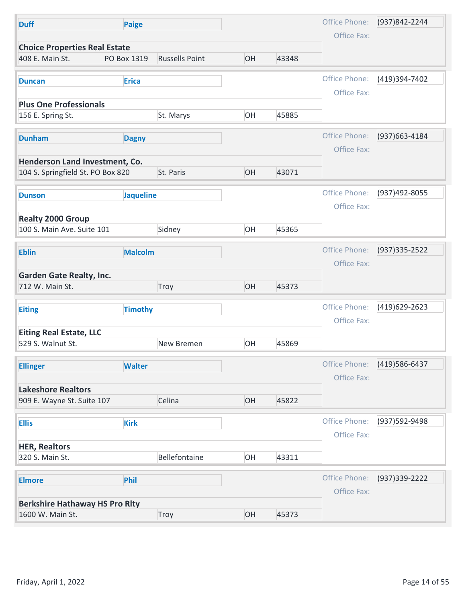| Office Phone:<br>(937)842-2244<br>Paige<br><b>Duff</b><br>Office Fax:<br><b>Choice Properties Real Estate</b><br><b>Russells Point</b><br>OH<br>408 E. Main St.<br>PO Box 1319<br>43348<br>Office Phone:<br>(419)394-7402<br><b>Erica</b><br><b>Duncan</b><br>Office Fax:<br><b>Plus One Professionals</b><br>OH<br>45885<br>156 E. Spring St.<br>St. Marys<br>Office Phone:<br>(937) 663-4184<br><b>Dunham</b><br><b>Dagny</b><br>Office Fax:<br>Henderson Land Investment, Co.<br>104 S. Springfield St. PO Box 820<br>OH<br>43071<br>St. Paris |
|---------------------------------------------------------------------------------------------------------------------------------------------------------------------------------------------------------------------------------------------------------------------------------------------------------------------------------------------------------------------------------------------------------------------------------------------------------------------------------------------------------------------------------------------------|
|                                                                                                                                                                                                                                                                                                                                                                                                                                                                                                                                                   |
|                                                                                                                                                                                                                                                                                                                                                                                                                                                                                                                                                   |
|                                                                                                                                                                                                                                                                                                                                                                                                                                                                                                                                                   |
|                                                                                                                                                                                                                                                                                                                                                                                                                                                                                                                                                   |
|                                                                                                                                                                                                                                                                                                                                                                                                                                                                                                                                                   |
|                                                                                                                                                                                                                                                                                                                                                                                                                                                                                                                                                   |
|                                                                                                                                                                                                                                                                                                                                                                                                                                                                                                                                                   |
|                                                                                                                                                                                                                                                                                                                                                                                                                                                                                                                                                   |
|                                                                                                                                                                                                                                                                                                                                                                                                                                                                                                                                                   |
|                                                                                                                                                                                                                                                                                                                                                                                                                                                                                                                                                   |
|                                                                                                                                                                                                                                                                                                                                                                                                                                                                                                                                                   |
|                                                                                                                                                                                                                                                                                                                                                                                                                                                                                                                                                   |
| Office Phone:<br>(937)492-8055<br><b>Jaqueline</b><br><b>Dunson</b>                                                                                                                                                                                                                                                                                                                                                                                                                                                                               |
| Office Fax:                                                                                                                                                                                                                                                                                                                                                                                                                                                                                                                                       |
| <b>Realty 2000 Group</b>                                                                                                                                                                                                                                                                                                                                                                                                                                                                                                                          |
| 100 S. Main Ave. Suite 101<br>Sidney<br>OH<br>45365                                                                                                                                                                                                                                                                                                                                                                                                                                                                                               |
|                                                                                                                                                                                                                                                                                                                                                                                                                                                                                                                                                   |
| Office Phone:<br>$(937)335 - 2522$<br><b>Malcolm</b><br><b>Eblin</b>                                                                                                                                                                                                                                                                                                                                                                                                                                                                              |
| Office Fax:                                                                                                                                                                                                                                                                                                                                                                                                                                                                                                                                       |
| <b>Garden Gate Realty, Inc.</b><br>OH<br>712 W. Main St.<br>Troy<br>45373                                                                                                                                                                                                                                                                                                                                                                                                                                                                         |
|                                                                                                                                                                                                                                                                                                                                                                                                                                                                                                                                                   |
| Office Phone:<br>(419)629-2623<br><b>Timothy</b><br><b>Eiting</b>                                                                                                                                                                                                                                                                                                                                                                                                                                                                                 |
| Office Fax:                                                                                                                                                                                                                                                                                                                                                                                                                                                                                                                                       |
| <b>Eiting Real Estate, LLC</b>                                                                                                                                                                                                                                                                                                                                                                                                                                                                                                                    |
| OH<br>45869<br>529 S. Walnut St.<br>New Bremen                                                                                                                                                                                                                                                                                                                                                                                                                                                                                                    |
| Office Phone:<br>(419) 586-6437<br><b>Walter</b><br><b>Ellinger</b>                                                                                                                                                                                                                                                                                                                                                                                                                                                                               |
| Office Fax:                                                                                                                                                                                                                                                                                                                                                                                                                                                                                                                                       |
| <b>Lakeshore Realtors</b>                                                                                                                                                                                                                                                                                                                                                                                                                                                                                                                         |
| OH<br>909 E. Wayne St. Suite 107<br>Celina<br>45822                                                                                                                                                                                                                                                                                                                                                                                                                                                                                               |
|                                                                                                                                                                                                                                                                                                                                                                                                                                                                                                                                                   |
| Office Phone:<br>(937)592-9498<br><b>Kirk</b><br><b>Ellis</b>                                                                                                                                                                                                                                                                                                                                                                                                                                                                                     |
| Office Fax:                                                                                                                                                                                                                                                                                                                                                                                                                                                                                                                                       |
| <b>HER, Realtors</b><br>Bellefontaine<br>OH<br>320 S. Main St.<br>43311                                                                                                                                                                                                                                                                                                                                                                                                                                                                           |
|                                                                                                                                                                                                                                                                                                                                                                                                                                                                                                                                                   |
| Office Phone:<br>(937) 339-2222<br>Phil<br><b>Elmore</b>                                                                                                                                                                                                                                                                                                                                                                                                                                                                                          |
| Office Fax:                                                                                                                                                                                                                                                                                                                                                                                                                                                                                                                                       |
| <b>Berkshire Hathaway HS Pro Rity</b>                                                                                                                                                                                                                                                                                                                                                                                                                                                                                                             |
| OH<br>1600 W. Main St.<br>Troy<br>45373                                                                                                                                                                                                                                                                                                                                                                                                                                                                                                           |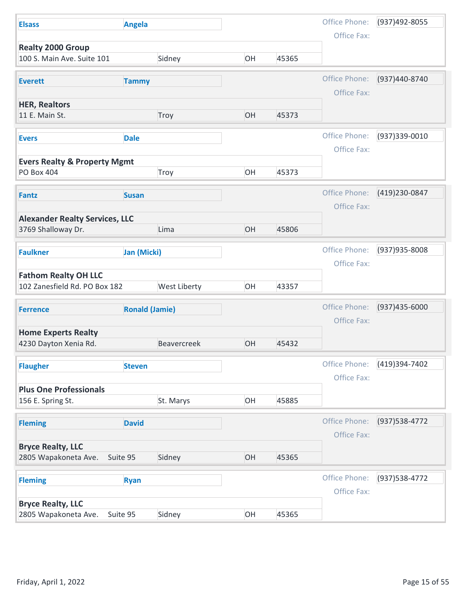| <b>Elsass</b>                                                | <b>Angela</b>         |                    |    |       | Office Phone:                | (937)492-8055     |
|--------------------------------------------------------------|-----------------------|--------------------|----|-------|------------------------------|-------------------|
| <b>Realty 2000 Group</b>                                     |                       |                    |    |       | Office Fax:                  |                   |
| 100 S. Main Ave. Suite 101                                   |                       | Sidney             | OH | 45365 |                              |                   |
| <b>Everett</b>                                               | <b>Tammy</b>          |                    |    |       | Office Phone:                | (937)440-8740     |
| <b>HER, Realtors</b>                                         |                       |                    |    |       | Office Fax:                  |                   |
| 11 E. Main St.                                               |                       | Troy               | OH | 45373 |                              |                   |
| <b>Evers</b>                                                 | <b>Dale</b>           |                    |    |       | Office Phone:                | (937)339-0010     |
|                                                              |                       |                    |    |       | Office Fax:                  |                   |
| <b>Evers Realty &amp; Property Mgmt</b>                      |                       |                    |    |       |                              |                   |
| <b>PO Box 404</b>                                            |                       | Troy               | OH | 45373 |                              |                   |
| Fantz                                                        | <b>Susan</b>          |                    |    |       | Office Phone:                | (419) 230-0847    |
|                                                              |                       |                    |    |       | Office Fax:                  |                   |
| <b>Alexander Realty Services, LLC</b><br>3769 Shalloway Dr.  |                       | Lima               | OH | 45806 |                              |                   |
|                                                              |                       |                    |    |       |                              |                   |
| <b>Faulkner</b>                                              | Jan (Micki)           |                    |    |       | Office Phone:                | (937) 935-8008    |
|                                                              |                       |                    |    |       | Office Fax:                  |                   |
| <b>Fathom Realty OH LLC</b><br>102 Zanesfield Rd. PO Box 182 |                       | West Liberty       | OH | 43357 |                              |                   |
|                                                              |                       |                    |    |       |                              |                   |
| <b>Ferrence</b>                                              | <b>Ronald (Jamie)</b> |                    |    |       | Office Phone:<br>Office Fax: | $(937)435 - 6000$ |
| <b>Home Experts Realty</b>                                   |                       |                    |    |       |                              |                   |
| 4230 Dayton Xenia Rd.                                        |                       | <b>Beavercreek</b> | OH | 45432 |                              |                   |
| <b>Flaugher</b>                                              | <b>Steven</b>         |                    |    |       | Office Phone:                | (419)394-7402     |
|                                                              |                       |                    |    |       | Office Fax:                  |                   |
| <b>Plus One Professionals</b>                                |                       |                    |    |       |                              |                   |
| 156 E. Spring St.                                            |                       | St. Marys          | OH | 45885 |                              |                   |
| <b>Fleming</b>                                               | <b>David</b>          |                    |    |       | Office Phone:                | (937) 538-4772    |
|                                                              |                       |                    |    |       | Office Fax:                  |                   |
| <b>Bryce Realty, LLC</b>                                     | Suite 95              | Sidney             | OH | 45365 |                              |                   |
| 2805 Wapakoneta Ave.                                         |                       |                    |    |       |                              |                   |
| <b>Fleming</b>                                               | <b>Ryan</b>           |                    |    |       | Office Phone:                | (937) 538-4772    |
|                                                              |                       |                    |    |       | Office Fax:                  |                   |
|                                                              |                       |                    |    | 45365 |                              |                   |
| <b>Bryce Realty, LLC</b><br>2805 Wapakoneta Ave.             | Suite 95              | Sidney             | OH |       |                              |                   |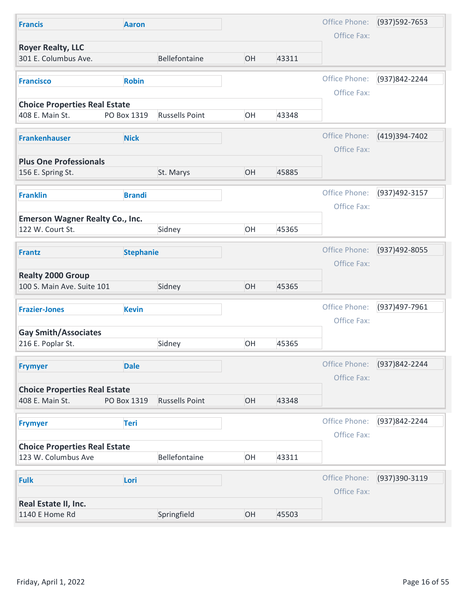| <b>Francis</b>                                              | <b>Aaron</b>     |                       |    |       | Office Phone:                | $(937)592 - 7653$ |
|-------------------------------------------------------------|------------------|-----------------------|----|-------|------------------------------|-------------------|
|                                                             |                  |                       |    |       | Office Fax:                  |                   |
| <b>Royer Realty, LLC</b><br>301 E. Columbus Ave.            |                  | Bellefontaine         | OH | 43311 |                              |                   |
| <b>Francisco</b>                                            | <b>Robin</b>     |                       |    |       | Office Phone:<br>Office Fax: | (937)842-2244     |
| <b>Choice Properties Real Estate</b><br>408 E. Main St.     | PO Box 1319      | <b>Russells Point</b> | OH | 43348 |                              |                   |
| <b>Frankenhauser</b>                                        | <b>Nick</b>      |                       |    |       | Office Phone:<br>Office Fax: | (419)394-7402     |
| <b>Plus One Professionals</b>                               |                  |                       |    |       |                              |                   |
| 156 E. Spring St.                                           |                  | St. Marys             | OH | 45885 |                              |                   |
| <b>Franklin</b>                                             | <b>Brandi</b>    |                       |    |       | Office Phone:<br>Office Fax: | (937)492-3157     |
| <b>Emerson Wagner Realty Co., Inc.</b><br>122 W. Court St.  |                  | Sidney                | OH | 45365 |                              |                   |
| <b>Frantz</b>                                               | <b>Stephanie</b> |                       |    |       | Office Phone:<br>Office Fax: | (937)492-8055     |
| <b>Realty 2000 Group</b><br>100 S. Main Ave. Suite 101      |                  | Sidney                | OH | 45365 |                              |                   |
| <b>Frazier-Jones</b>                                        | <b>Kevin</b>     |                       |    |       | Office Phone:<br>Office Fax: | (937)497-7961     |
| <b>Gay Smith/Associates</b><br>216 E. Poplar St.            |                  | Sidney                | OH | 45365 |                              |                   |
| <b>Frymyer</b>                                              | <b>Dale</b>      |                       |    |       | Office Phone:<br>Office Fax: | (937) 842-2244    |
| <b>Choice Properties Real Estate</b><br>408 E. Main St.     | PO Box 1319      | <b>Russells Point</b> | OH | 43348 |                              |                   |
| <b>Frymyer</b>                                              | <b>Teri</b>      |                       |    |       | Office Phone:<br>Office Fax: | (937)842-2244     |
| <b>Choice Properties Real Estate</b><br>123 W. Columbus Ave |                  | Bellefontaine         | OH | 43311 |                              |                   |
| <b>Fulk</b>                                                 | Lori             |                       |    |       | Office Phone:<br>Office Fax: | (937)390-3119     |
|                                                             |                  |                       |    |       |                              |                   |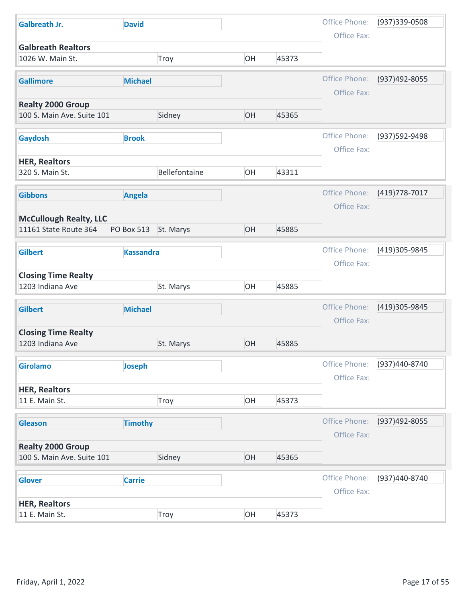| <b>Galbreath Jr.</b><br><b>David</b>                              |       |                              |                |
|-------------------------------------------------------------------|-------|------------------------------|----------------|
|                                                                   |       | Office Phone:                | (937) 339-0508 |
| <b>Galbreath Realtors</b>                                         |       | Office Fax:                  |                |
| OH<br>1026 W. Main St.<br>Troy                                    | 45373 |                              |                |
| <b>Michael</b><br><b>Gallimore</b>                                |       | Office Phone:<br>Office Fax: | (937)492-8055  |
| <b>Realty 2000 Group</b>                                          |       |                              |                |
| OH<br>100 S. Main Ave. Suite 101<br>Sidney                        | 45365 |                              |                |
| Gaydosh<br><b>Brook</b>                                           |       | Office Phone:                | (937) 592-9498 |
|                                                                   |       | Office Fax:                  |                |
| <b>HER, Realtors</b><br>Bellefontaine<br>320 S. Main St.<br>OH    | 43311 |                              |                |
|                                                                   |       |                              |                |
| <b>Angela</b><br><b>Gibbons</b>                                   |       | Office Phone:                | (419) 778-7017 |
| <b>McCullough Realty, LLC</b>                                     |       | Office Fax:                  |                |
| OH<br>11161 State Route 364<br>PO Box 513 St. Marys               | 45885 |                              |                |
| <b>Gilbert</b><br><b>Kassandra</b>                                |       | Office Phone:                | (419)305-9845  |
|                                                                   |       | Office Fax:                  |                |
| <b>Closing Time Realty</b>                                        |       |                              |                |
| OH<br>1203 Indiana Ave<br>St. Marys                               | 45885 |                              |                |
| <b>Michael</b><br><b>Gilbert</b>                                  |       | Office Phone:                | (419)305-9845  |
|                                                                   |       | Office Fax:                  |                |
| <b>Closing Time Realty</b><br>OH<br>1203 Indiana Ave<br>St. Marys | 45885 |                              |                |
|                                                                   |       |                              |                |
| <b>Girolamo</b><br>Joseph                                         |       | Office Phone:<br>Office Fax: | (937)440-8740  |
| <b>HER, Realtors</b>                                              |       |                              |                |
| OH<br>Troy<br>11 E. Main St.                                      | 45373 |                              |                |
| <b>Timothy</b><br><b>Gleason</b>                                  |       | Office Phone:                | (937)492-8055  |
|                                                                   |       | Office Fax:                  |                |
| <b>Realty 2000 Group</b><br>OH                                    |       |                              |                |
| 100 S. Main Ave. Suite 101<br>Sidney                              | 45365 |                              |                |
| <b>Carrie</b><br><b>Glover</b>                                    |       | Office Phone:                | (937)440-8740  |
|                                                                   |       | Office Fax:                  |                |
|                                                                   |       |                              |                |
| <b>HER, Realtors</b><br>OH<br>11 E. Main St.<br>Troy              | 45373 |                              |                |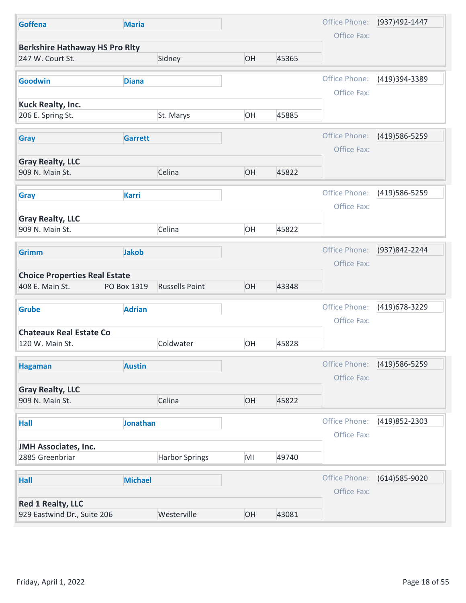| <b>Maria</b>                                    |                                                                                                                             |                | Office Phone:           | (937)492-1447                                                                                                                                 |
|-------------------------------------------------|-----------------------------------------------------------------------------------------------------------------------------|----------------|-------------------------|-----------------------------------------------------------------------------------------------------------------------------------------------|
|                                                 |                                                                                                                             |                | Office Fax:             |                                                                                                                                               |
| <b>Berkshire Hathaway HS Pro Rity</b><br>Sidney | OH                                                                                                                          | 45365          |                         |                                                                                                                                               |
| <b>Diana</b>                                    |                                                                                                                             |                | Office Phone:           | (419)394-3389                                                                                                                                 |
|                                                 |                                                                                                                             |                |                         |                                                                                                                                               |
| St. Marys                                       | OH                                                                                                                          | 45885          |                         |                                                                                                                                               |
|                                                 |                                                                                                                             |                |                         | (419) 586-5259                                                                                                                                |
|                                                 |                                                                                                                             |                |                         |                                                                                                                                               |
|                                                 |                                                                                                                             |                |                         |                                                                                                                                               |
| Celina                                          | OH                                                                                                                          | 45822          |                         |                                                                                                                                               |
|                                                 |                                                                                                                             |                |                         | (419) 586-5259                                                                                                                                |
|                                                 |                                                                                                                             |                | Office Fax:             |                                                                                                                                               |
|                                                 |                                                                                                                             |                |                         |                                                                                                                                               |
|                                                 |                                                                                                                             |                |                         |                                                                                                                                               |
| <b>Jakob</b>                                    |                                                                                                                             |                | Office Phone:           | (937)842-2244                                                                                                                                 |
|                                                 |                                                                                                                             |                | Office Fax:             |                                                                                                                                               |
| <b>Choice Properties Real Estate</b>            |                                                                                                                             |                |                         |                                                                                                                                               |
|                                                 |                                                                                                                             |                |                         |                                                                                                                                               |
| <b>Adrian</b>                                   |                                                                                                                             |                | Office Phone:           | (419) 678-3229                                                                                                                                |
|                                                 |                                                                                                                             |                | Office Fax:             |                                                                                                                                               |
|                                                 |                                                                                                                             |                |                         |                                                                                                                                               |
|                                                 |                                                                                                                             |                |                         |                                                                                                                                               |
| <b>Austin</b>                                   |                                                                                                                             |                |                         | (419) 586-5259                                                                                                                                |
|                                                 |                                                                                                                             |                |                         |                                                                                                                                               |
| Celina                                          | OH                                                                                                                          | 45822          |                         |                                                                                                                                               |
|                                                 |                                                                                                                             |                |                         |                                                                                                                                               |
|                                                 |                                                                                                                             |                |                         | (419)852-2303                                                                                                                                 |
|                                                 |                                                                                                                             |                |                         |                                                                                                                                               |
| <b>Harbor Springs</b>                           | MI                                                                                                                          | 49740          |                         |                                                                                                                                               |
|                                                 |                                                                                                                             |                |                         | (614) 585-9020                                                                                                                                |
|                                                 |                                                                                                                             |                | Office Fax:             |                                                                                                                                               |
|                                                 |                                                                                                                             |                |                         |                                                                                                                                               |
|                                                 | OH                                                                                                                          | 43081          |                         |                                                                                                                                               |
|                                                 | <b>Garrett</b><br><b>Karri</b><br>Celina<br><b>Russells Point</b><br>PO Box 1319<br>Coldwater<br>Jonathan<br><b>Michael</b> | OH<br>OH<br>OH | 45822<br>43348<br>45828 | Office Fax:<br>Office Phone:<br>Office Fax:<br>Office Phone:<br>Office Phone:<br>Office Fax:<br>Office Phone:<br>Office Fax:<br>Office Phone: |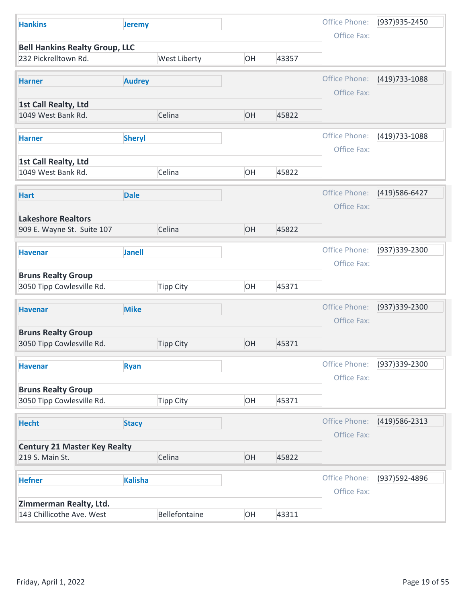| <b>Hankins</b>                                          |                  |    |       |                              |                 |
|---------------------------------------------------------|------------------|----|-------|------------------------------|-----------------|
|                                                         | <b>Jeremy</b>    |    |       | Office Phone:                | (937) 935-2450  |
| <b>Bell Hankins Realty Group, LLC</b>                   |                  |    |       | Office Fax:                  |                 |
| 232 Pickrelltown Rd.                                    | West Liberty     | OH | 43357 |                              |                 |
| <b>Audrey</b><br><b>Harner</b>                          |                  |    |       | Office Phone:                | $(419)733-1088$ |
|                                                         |                  |    |       | Office Fax:                  |                 |
| 1st Call Realty, Ltd<br>1049 West Bank Rd.              | Celina           | OH | 45822 |                              |                 |
| <b>Sheryl</b><br><b>Harner</b>                          |                  |    |       | Office Phone:<br>Office Fax: | (419) 733-1088  |
| 1st Call Realty, Ltd                                    |                  |    |       |                              |                 |
| 1049 West Bank Rd.                                      | Celina           | OH | 45822 |                              |                 |
| <b>Dale</b><br><b>Hart</b>                              |                  |    |       | Office Phone:                | (419) 586-6427  |
|                                                         |                  |    |       | Office Fax:                  |                 |
| <b>Lakeshore Realtors</b><br>909 E. Wayne St. Suite 107 | Celina           | OH | 45822 |                              |                 |
| <b>Janell</b><br><b>Havenar</b>                         |                  |    |       | Office Phone:                | (937) 339-2300  |
|                                                         |                  |    |       | Office Fax:                  |                 |
| <b>Bruns Realty Group</b><br>3050 Tipp Cowlesville Rd.  | <b>Tipp City</b> | OH | 45371 |                              |                 |
| <b>Mike</b><br><b>Havenar</b>                           |                  |    |       | Office Phone:                | (937) 339-2300  |
|                                                         |                  |    |       | Office Fax:                  |                 |
| <b>Bruns Realty Group</b><br>3050 Tipp Cowlesville Rd.  | <b>Tipp City</b> | OH | 45371 |                              |                 |
| <b>Ryan</b><br><b>Havenar</b>                           |                  |    |       | Office Phone:                | (937)339-2300   |
|                                                         |                  |    |       | Office Fax:                  |                 |
| <b>Bruns Realty Group</b><br>3050 Tipp Cowlesville Rd.  | <b>Tipp City</b> | OH | 45371 |                              |                 |
|                                                         |                  |    |       |                              |                 |
| <b>Hecht</b><br><b>Stacy</b>                            |                  |    |       | Office Phone:<br>Office Fax: | (419) 586-2313  |
| <b>Century 21 Master Key Realty</b>                     |                  |    |       |                              |                 |
| 219 S. Main St.                                         | Celina           | OH | 45822 |                              |                 |
| <b>Kalisha</b><br><b>Hefner</b>                         |                  |    |       | Office Phone:                | (937) 592-4896  |
|                                                         |                  |    |       | Office Fax:                  |                 |
|                                                         |                  | OH | 43311 |                              |                 |
| Zimmerman Realty, Ltd.<br>143 Chillicothe Ave. West     | Bellefontaine    |    |       |                              |                 |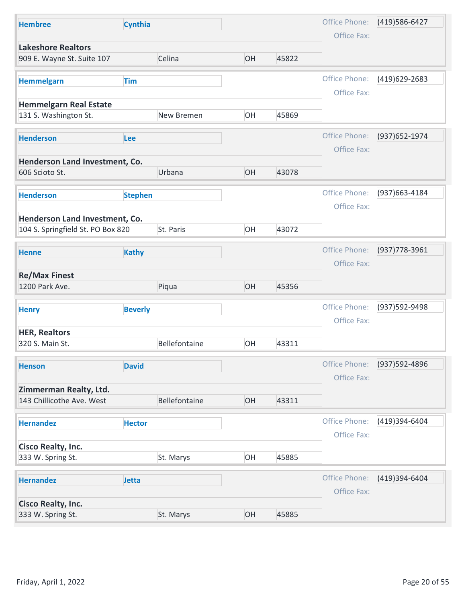| <b>Hembree</b>                                          |                |               |    |       |               |                |
|---------------------------------------------------------|----------------|---------------|----|-------|---------------|----------------|
|                                                         | Cynthia        |               |    |       | Office Phone: | (419) 586-6427 |
|                                                         |                |               |    |       | Office Fax:   |                |
| <b>Lakeshore Realtors</b><br>909 E. Wayne St. Suite 107 |                | Celina        | OH | 45822 |               |                |
|                                                         |                |               |    |       |               |                |
| <b>Hemmelgarn</b>                                       | <b>Tim</b>     |               |    |       | Office Phone: | (419)629-2683  |
|                                                         |                |               |    |       | Office Fax:   |                |
| <b>Hemmelgarn Real Estate</b><br>131 S. Washington St.  |                | New Bremen    | OH | 45869 |               |                |
|                                                         |                |               |    |       |               |                |
| <b>Henderson</b>                                        | Lee            |               |    |       | Office Phone: | (937) 652-1974 |
| Henderson Land Investment, Co.                          |                |               |    |       | Office Fax:   |                |
| 606 Scioto St.                                          |                | Urbana        | OH | 43078 |               |                |
|                                                         |                |               |    |       |               |                |
| <b>Henderson</b>                                        | <b>Stephen</b> |               |    |       | Office Phone: | (937) 663-4184 |
| Henderson Land Investment, Co.                          |                |               |    |       | Office Fax:   |                |
| 104 S. Springfield St. PO Box 820                       |                | St. Paris     | OH | 43072 |               |                |
|                                                         |                |               |    |       | Office Phone: | (937) 778-3961 |
| <b>Henne</b>                                            | <b>Kathy</b>   |               |    |       | Office Fax:   |                |
| <b>Re/Max Finest</b>                                    |                |               |    |       |               |                |
| 1200 Park Ave.                                          |                | Piqua         | OH | 45356 |               |                |
| <b>Henry</b>                                            | <b>Beverly</b> |               |    |       | Office Phone: | (937)592-9498  |
|                                                         |                |               |    |       | Office Fax:   |                |
| <b>HER, Realtors</b>                                    |                |               |    |       |               |                |
| 320 S. Main St.                                         |                | Bellefontaine | OH | 43311 |               |                |
| <b>Henson</b>                                           | <b>David</b>   |               |    |       | Office Phone: | (937) 592-4896 |
|                                                         |                |               |    |       | Office Fax:   |                |
| Zimmerman Realty, Ltd.                                  |                |               |    |       |               |                |
| 143 Chillicothe Ave. West                               |                | Bellefontaine | OH | 43311 |               |                |
| <b>Hernandez</b>                                        | <b>Hector</b>  |               |    |       | Office Phone: | (419)394-6404  |
|                                                         |                |               |    |       | Office Fax:   |                |
| <b>Cisco Realty, Inc.</b>                               |                |               |    |       |               |                |
| 333 W. Spring St.                                       |                | St. Marys     | OH | 45885 |               |                |
| <b>Hernandez</b>                                        | Jetta          |               |    |       | Office Phone: | (419)394-6404  |
|                                                         |                |               |    |       | Office Fax:   |                |
|                                                         |                |               |    |       |               |                |
| <b>Cisco Realty, Inc.</b><br>333 W. Spring St.          |                | St. Marys     | OH | 45885 |               |                |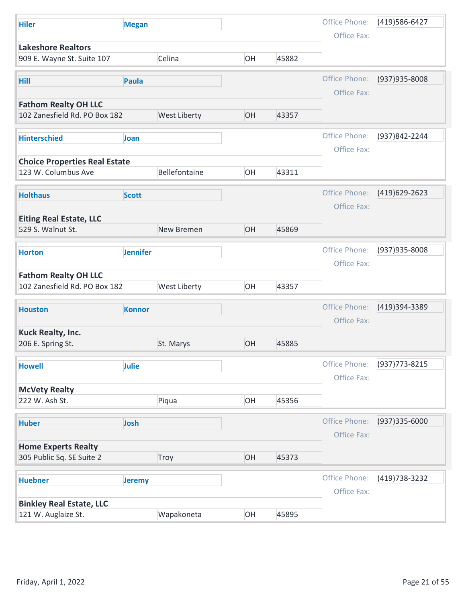| <b>Hiler</b><br><b>Megan</b><br><b>Lakeshore Realtors</b>                                   |               |                |
|---------------------------------------------------------------------------------------------|---------------|----------------|
|                                                                                             | Office Phone: | (419) 586-6427 |
|                                                                                             | Office Fax:   |                |
| 909 E. Wayne St. Suite 107<br>Celina<br>OH<br>45882                                         |               |                |
|                                                                                             |               |                |
| Hill<br>Paula                                                                               | Office Phone: | (937) 935-8008 |
|                                                                                             | Office Fax:   |                |
| <b>Fathom Realty OH LLC</b>                                                                 |               |                |
| 102 Zanesfield Rd. PO Box 182<br><b>West Liberty</b><br>OH<br>43357                         |               |                |
| <b>Hinterschied</b><br>Joan                                                                 | Office Phone: | (937)842-2244  |
|                                                                                             | Office Fax:   |                |
| <b>Choice Properties Real Estate</b>                                                        |               |                |
| 123 W. Columbus Ave<br>Bellefontaine<br>OH<br>43311                                         |               |                |
|                                                                                             | Office Phone: | (419)629-2623  |
| <b>Holthaus</b><br><b>Scott</b>                                                             | Office Fax:   |                |
| <b>Eiting Real Estate, LLC</b>                                                              |               |                |
| OH<br>529 S. Walnut St.<br>New Bremen<br>45869                                              |               |                |
|                                                                                             |               |                |
| <b>Jennifer</b><br><b>Horton</b>                                                            | Office Phone: | (937) 935-8008 |
|                                                                                             | Office Fax:   |                |
| <b>Fathom Realty OH LLC</b><br>OH<br>102 Zanesfield Rd. PO Box 182<br>West Liberty<br>43357 |               |                |
|                                                                                             |               |                |
| <b>Konnor</b><br><b>Houston</b>                                                             | Office Phone: | (419)394-3389  |
|                                                                                             | Office Fax:   |                |
| <b>Kuck Realty, Inc.</b>                                                                    |               |                |
| OH<br>206 E. Spring St.<br>St. Marys<br>45885                                               |               |                |
| Julie<br><b>Howell</b>                                                                      | Office Phone: | (937) 773-8215 |
|                                                                                             | Office Fax:   |                |
| <b>McVety Realty</b>                                                                        |               |                |
| OH<br>Piqua<br>45356<br>222 W. Ash St.                                                      |               |                |
|                                                                                             | Office Phone: |                |
| <b>Huber</b><br>Josh                                                                        |               | (937) 335-6000 |
| <b>Home Experts Realty</b>                                                                  | Office Fax:   |                |
| OH<br>45373<br>305 Public Sq. SE Suite 2<br>Troy                                            |               |                |
|                                                                                             |               |                |
| <b>Huebner</b><br><b>Jeremy</b>                                                             | Office Phone: | (419) 738-3232 |
|                                                                                             | Office Fax:   |                |
|                                                                                             |               |                |
| <b>Binkley Real Estate, LLC</b><br>OH<br>121 W. Auglaize St.<br>Wapakoneta<br>45895         |               |                |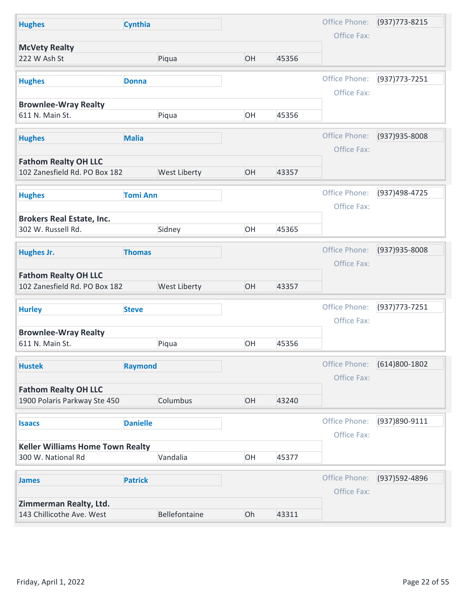| <b>Hughes</b>                                                |                 |    |       |               |                   |
|--------------------------------------------------------------|-----------------|----|-------|---------------|-------------------|
|                                                              | <b>Cynthia</b>  |    |       | Office Phone: | (937) 773-8215    |
| <b>McVety Realty</b><br>222 W Ash St                         | Piqua           | OH | 45356 | Office Fax:   |                   |
|                                                              |                 |    |       |               |                   |
| <b>Hughes</b>                                                | <b>Donna</b>    |    |       | Office Phone: | $(937)773 - 7251$ |
| <b>Brownlee-Wray Realty</b>                                  |                 |    |       | Office Fax:   |                   |
| 611 N. Main St.                                              | Piqua           | OH | 45356 |               |                   |
|                                                              |                 |    |       | Office Phone: |                   |
| <b>Hughes</b>                                                | <b>Malia</b>    |    |       | Office Fax:   | (937) 935-8008    |
| <b>Fathom Realty OH LLC</b>                                  |                 |    |       |               |                   |
| 102 Zanesfield Rd. PO Box 182                                | West Liberty    | OH | 43357 |               |                   |
| <b>Hughes</b>                                                | <b>Tomi Ann</b> |    |       | Office Phone: | (937)498-4725     |
|                                                              |                 |    |       | Office Fax:   |                   |
| <b>Brokers Real Estate, Inc.</b>                             |                 |    |       |               |                   |
| 302 W. Russell Rd.                                           | Sidney          | OH | 45365 |               |                   |
| <b>Hughes Jr.</b>                                            | <b>Thomas</b>   |    |       | Office Phone: | (937) 935-8008    |
|                                                              |                 |    |       | Office Fax:   |                   |
| <b>Fathom Realty OH LLC</b><br>102 Zanesfield Rd. PO Box 182 | West Liberty    | OH | 43357 |               |                   |
|                                                              |                 |    |       |               |                   |
| <b>Hurley</b>                                                | <b>Steve</b>    |    |       | Office Phone: | (937) 773-7251    |
| <b>Brownlee-Wray Realty</b>                                  |                 |    |       | Office Fax:   |                   |
| 611 N. Main St.                                              | Piqua           | OH | 45356 |               |                   |
|                                                              |                 |    |       | Office Phone: | (614)800-1802     |
| <b>Hustek</b>                                                | <b>Raymond</b>  |    |       | Office Fax:   |                   |
| <b>Fathom Realty OH LLC</b>                                  |                 |    |       |               |                   |
| 1900 Polaris Parkway Ste 450                                 | Columbus        | OH | 43240 |               |                   |
| <b>Isaacs</b>                                                | <b>Danielle</b> |    |       | Office Phone: | (937)890-9111     |
|                                                              |                 |    |       | Office Fax:   |                   |
| <b>Keller Williams Home Town Realty</b>                      |                 |    |       |               |                   |
| 300 W. National Rd                                           | Vandalia        | OH | 45377 |               |                   |
|                                                              | <b>Patrick</b>  |    |       | Office Phone: | (937) 592-4896    |
| <b>James</b>                                                 |                 |    |       | Office Fax:   |                   |
|                                                              |                 |    |       |               |                   |
| Zimmerman Realty, Ltd.<br>143 Chillicothe Ave. West          | Bellefontaine   | Oh | 43311 |               |                   |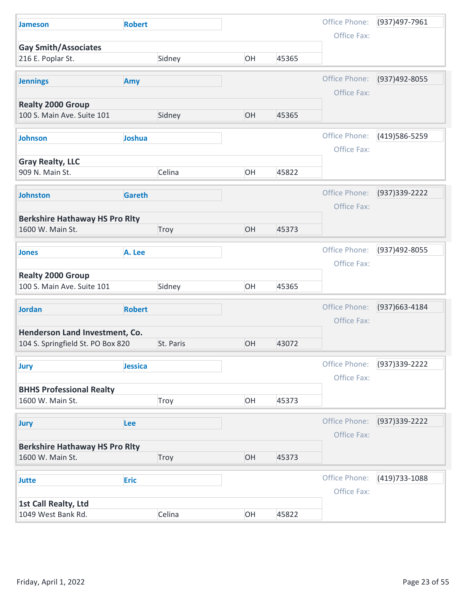| <b>Jameson</b>                                                      | <b>Robert</b> |           |    |       | Office Phone: | (937)497-7961  |
|---------------------------------------------------------------------|---------------|-----------|----|-------|---------------|----------------|
| <b>Gay Smith/Associates</b>                                         |               |           |    |       | Office Fax:   |                |
| 216 E. Poplar St.                                                   |               | Sidney    | OH | 45365 |               |                |
| <b>Jennings</b>                                                     | Amy           |           |    |       | Office Phone: | (937)492-8055  |
|                                                                     |               |           |    |       | Office Fax:   |                |
| <b>Realty 2000 Group</b><br>100 S. Main Ave. Suite 101              |               | Sidney    | OH | 45365 |               |                |
|                                                                     |               |           |    |       |               |                |
| Johnson                                                             | Joshua        |           |    |       | Office Phone: | (419) 586-5259 |
|                                                                     |               |           |    |       | Office Fax:   |                |
| <b>Gray Realty, LLC</b><br>909 N. Main St.                          |               | Celina    | OH | 45822 |               |                |
|                                                                     |               |           |    |       |               |                |
| <b>Johnston</b>                                                     | <b>Gareth</b> |           |    |       | Office Phone: | (937) 339-2222 |
|                                                                     |               |           |    |       | Office Fax:   |                |
| <b>Berkshire Hathaway HS Pro Rlty</b><br>1600 W. Main St.           |               | Troy      | OH | 45373 |               |                |
|                                                                     |               |           |    |       |               |                |
| <b>Jones</b>                                                        | A. Lee        |           |    |       | Office Phone: | (937)492-8055  |
|                                                                     |               |           |    |       | Office Fax:   |                |
| <b>Realty 2000 Group</b><br>100 S. Main Ave. Suite 101              |               | Sidney    | OH | 45365 |               |                |
|                                                                     |               |           |    |       |               |                |
| <b>Jordan</b>                                                       | <b>Robert</b> |           |    |       | Office Phone: | (937) 663-4184 |
|                                                                     |               |           |    |       | Office Fax:   |                |
| Henderson Land Investment, Co.<br>104 S. Springfield St. PO Box 820 |               | St. Paris | OH | 43072 |               |                |
|                                                                     |               |           |    |       |               |                |
| <b>Jury</b>                                                         | Jessica       |           |    |       | Office Phone: | (937) 339-2222 |
|                                                                     |               |           |    |       | Office Fax:   |                |
| <b>BHHS Professional Realty</b><br>1600 W. Main St.                 |               | Troy      | OH | 45373 |               |                |
|                                                                     |               |           |    |       |               |                |
| <b>Jury</b>                                                         | Lee           |           |    |       | Office Phone: | (937) 339-2222 |
|                                                                     |               |           |    |       | Office Fax:   |                |
| <b>Berkshire Hathaway HS Pro Rlty</b><br>1600 W. Main St.           |               | Troy      | OH | 45373 |               |                |
|                                                                     |               |           |    |       |               |                |
| Jutte                                                               | <b>Eric</b>   |           |    |       | Office Phone: | (419) 733-1088 |
|                                                                     |               |           |    |       | Office Fax:   |                |
|                                                                     |               | Celina    | OH | 45822 |               |                |
| 1st Call Realty, Ltd<br>1049 West Bank Rd.                          |               |           |    |       |               |                |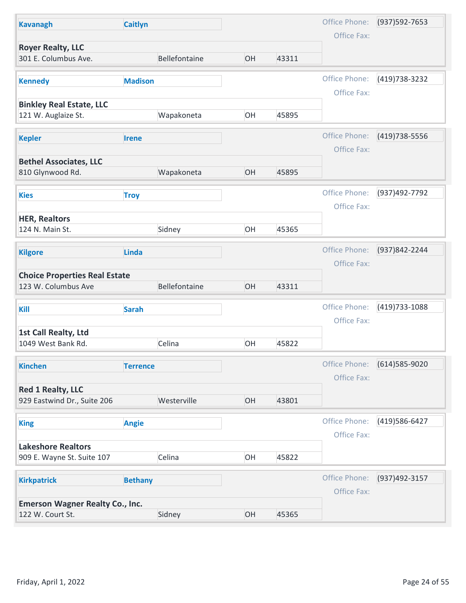| <b>Kavanagh</b>                                            | <b>Caitlyn</b>  |    |       | Office Phone:                | (937) 592-7653 |
|------------------------------------------------------------|-----------------|----|-------|------------------------------|----------------|
| <b>Royer Realty, LLC</b>                                   |                 |    |       | Office Fax:                  |                |
| 301 E. Columbus Ave.                                       | Bellefontaine   | OH | 43311 |                              |                |
| <b>Kennedy</b>                                             | <b>Madison</b>  |    |       | Office Phone:                | (419) 738-3232 |
|                                                            |                 |    |       | Office Fax:                  |                |
| <b>Binkley Real Estate, LLC</b><br>121 W. Auglaize St.     | Wapakoneta      | OH | 45895 |                              |                |
|                                                            |                 |    |       |                              |                |
| <b>Kepler</b>                                              | <b>Irene</b>    |    |       | Office Phone:<br>Office Fax: | (419) 738-5556 |
| <b>Bethel Associates, LLC</b>                              |                 |    |       |                              |                |
| 810 Glynwood Rd.                                           | Wapakoneta      | OH | 45895 |                              |                |
| <b>Kies</b>                                                | <b>Troy</b>     |    |       | Office Phone:                | (937)492-7792  |
|                                                            |                 |    |       | Office Fax:                  |                |
| <b>HER, Realtors</b><br>124 N. Main St.                    | Sidney          | OH | 45365 |                              |                |
|                                                            |                 |    |       |                              |                |
| <b>Kilgore</b>                                             | <b>Linda</b>    |    |       | Office Phone:                | (937)842-2244  |
| <b>Choice Properties Real Estate</b>                       |                 |    |       | Office Fax:                  |                |
| 123 W. Columbus Ave                                        | Bellefontaine   | OH | 43311 |                              |                |
| Kill                                                       | <b>Sarah</b>    |    |       | Office Phone:                | (419) 733-1088 |
|                                                            |                 |    |       | Office Fax:                  |                |
| 1st Call Realty, Ltd                                       |                 |    |       |                              |                |
| 1049 West Bank Rd.                                         | Celina          | OH | 45822 |                              |                |
| <b>Kinchen</b>                                             | <b>Terrence</b> |    |       | Office Phone:                | (614) 585-9020 |
|                                                            |                 |    |       | Office Fax:                  |                |
| <b>Red 1 Realty, LLC</b><br>929 Eastwind Dr., Suite 206    | Westerville     | OH | 43801 |                              |                |
|                                                            |                 |    |       |                              |                |
| <b>King</b>                                                | <b>Angie</b>    |    |       | Office Phone:<br>Office Fax: | (419) 586-6427 |
| <b>Lakeshore Realtors</b>                                  |                 |    |       |                              |                |
| 909 E. Wayne St. Suite 107                                 | Celina          | OH | 45822 |                              |                |
| <b>Kirkpatrick</b>                                         | <b>Bethany</b>  |    |       | Office Phone:                | (937)492-3157  |
|                                                            |                 |    |       | Office Fax:                  |                |
|                                                            |                 | OH | 45365 |                              |                |
| <b>Emerson Wagner Realty Co., Inc.</b><br>122 W. Court St. | Sidney          |    |       |                              |                |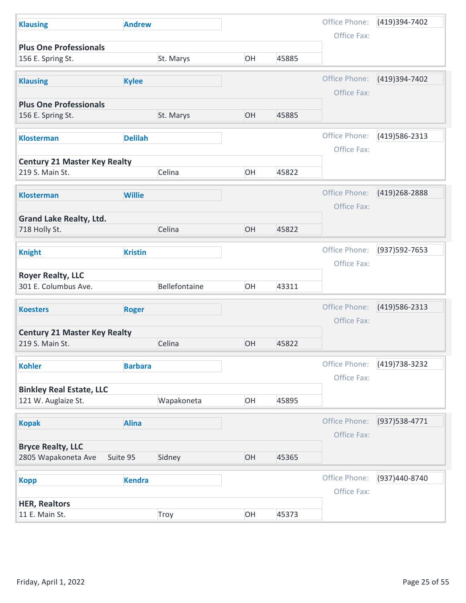| <b>Klausing</b>                                 | <b>Andrew</b>  |               |    |       | Office Phone: | (419)394-7402    |
|-------------------------------------------------|----------------|---------------|----|-------|---------------|------------------|
| <b>Plus One Professionals</b>                   |                |               |    |       | Office Fax:   |                  |
| 156 E. Spring St.                               |                | St. Marys     | OH | 45885 |               |                  |
| <b>Klausing</b>                                 | <b>Kylee</b>   |               |    |       | Office Phone: | (419)394-7402    |
| <b>Plus One Professionals</b>                   |                |               |    |       | Office Fax:   |                  |
| 156 E. Spring St.                               |                | St. Marys     | OH | 45885 |               |                  |
|                                                 |                |               |    |       | Office Phone: | (419) 586-2313   |
| <b>Klosterman</b>                               | <b>Delilah</b> |               |    |       | Office Fax:   |                  |
| <b>Century 21 Master Key Realty</b>             |                |               |    |       |               |                  |
| 219 S. Main St.                                 |                | Celina        | OH | 45822 |               |                  |
| <b>Klosterman</b>                               | <b>Willie</b>  |               |    |       | Office Phone: | (419) 268 - 2888 |
|                                                 |                |               |    |       | Office Fax:   |                  |
| <b>Grand Lake Realty, Ltd.</b><br>718 Holly St. |                | Celina        | OH | 45822 |               |                  |
|                                                 |                |               |    |       |               |                  |
| <b>Knight</b>                                   | <b>Kristin</b> |               |    |       | Office Phone: | (937) 592-7653   |
| <b>Royer Realty, LLC</b>                        |                |               |    |       | Office Fax:   |                  |
| 301 E. Columbus Ave.                            |                | Bellefontaine | OH | 43311 |               |                  |
| <b>Koesters</b>                                 | <b>Roger</b>   |               |    |       | Office Phone: | (419) 586-2313   |
|                                                 |                |               |    |       | Office Fax:   |                  |
| <b>Century 21 Master Key Realty</b>             |                |               |    |       |               |                  |
| 219 S. Main St.                                 |                | Celina        | OH | 45822 |               |                  |
| <b>Kohler</b>                                   | <b>Barbara</b> |               |    |       | Office Phone: | (419) 738-3232   |
| <b>Binkley Real Estate, LLC</b>                 |                |               |    |       | Office Fax:   |                  |
| 121 W. Auglaize St.                             |                | Wapakoneta    | OH | 45895 |               |                  |
|                                                 |                |               |    |       | Office Phone: | (937) 538-4771   |
| <b>Kopak</b>                                    | <b>Alina</b>   |               |    |       | Office Fax:   |                  |
| <b>Bryce Realty, LLC</b>                        |                |               |    |       |               |                  |
| 2805 Wapakoneta Ave                             | Suite 95       | Sidney        | OH | 45365 |               |                  |
| <b>Kopp</b>                                     | <b>Kendra</b>  |               |    |       | Office Phone: | (937)440-8740    |
|                                                 |                |               |    |       | Office Fax:   |                  |
|                                                 |                |               |    |       |               |                  |
| <b>HER, Realtors</b><br>11 E. Main St.          |                | Troy          | OH | 45373 |               |                  |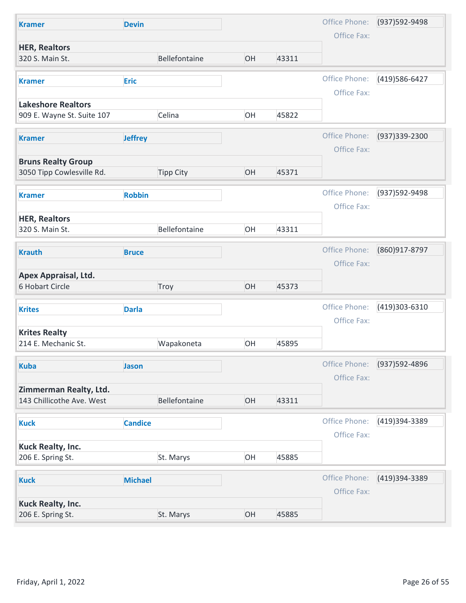| Office Phone:<br>(937) 592-9498<br><b>Devin</b><br><b>Kramer</b><br>Office Fax:<br><b>HER, Realtors</b><br>Bellefontaine<br>OH<br>320 S. Main St.<br>43311<br>Office Phone:<br>(419) 586-6427<br><b>Eric</b><br><b>Kramer</b><br>Office Fax: |  |
|----------------------------------------------------------------------------------------------------------------------------------------------------------------------------------------------------------------------------------------------|--|
|                                                                                                                                                                                                                                              |  |
|                                                                                                                                                                                                                                              |  |
|                                                                                                                                                                                                                                              |  |
|                                                                                                                                                                                                                                              |  |
| <b>Lakeshore Realtors</b>                                                                                                                                                                                                                    |  |
| Celina<br>OH<br>909 E. Wayne St. Suite 107<br>45822                                                                                                                                                                                          |  |
| Office Phone:<br>(937) 339-2300<br><b>Jeffrey</b><br><b>Kramer</b>                                                                                                                                                                           |  |
| Office Fax:                                                                                                                                                                                                                                  |  |
| <b>Bruns Realty Group</b><br>3050 Tipp Cowlesville Rd.<br><b>Tipp City</b><br>OH<br>45371                                                                                                                                                    |  |
|                                                                                                                                                                                                                                              |  |
| Office Phone:<br>(937) 592-9498<br><b>Robbin</b><br><b>Kramer</b>                                                                                                                                                                            |  |
| Office Fax:<br><b>HER, Realtors</b>                                                                                                                                                                                                          |  |
| Bellefontaine<br>OH<br>320 S. Main St.<br>43311                                                                                                                                                                                              |  |
| Office Phone:<br>(860)917-8797<br><b>Krauth</b><br><b>Bruce</b>                                                                                                                                                                              |  |
| Office Fax:                                                                                                                                                                                                                                  |  |
| Apex Appraisal, Ltd.<br>OH<br>45373<br>6 Hobart Circle<br>Troy                                                                                                                                                                               |  |
|                                                                                                                                                                                                                                              |  |
| Office Phone:<br>(419)303-6310<br><b>Darla</b><br><b>Krites</b>                                                                                                                                                                              |  |
| Office Fax:<br><b>Krites Realty</b>                                                                                                                                                                                                          |  |
| OH<br>214 E. Mechanic St.<br>Wapakoneta<br>45895                                                                                                                                                                                             |  |
| Office Phone:<br>(937) 592-4896<br><b>Kuba</b><br>Jason                                                                                                                                                                                      |  |
| Office Fax:                                                                                                                                                                                                                                  |  |
| Zimmerman Realty, Ltd.<br>Bellefontaine<br>143 Chillicothe Ave. West<br>OH<br>43311                                                                                                                                                          |  |
|                                                                                                                                                                                                                                              |  |
| Office Phone:<br>(419)394-3389<br><b>Candice</b><br><b>Kuck</b>                                                                                                                                                                              |  |
| Office Fax:<br>Kuck Realty, Inc.                                                                                                                                                                                                             |  |
| OH<br>206 E. Spring St.<br>St. Marys<br>45885                                                                                                                                                                                                |  |
| Office Phone:<br>(419)394-3389                                                                                                                                                                                                               |  |
| <b>Michael</b><br><b>Kuck</b>                                                                                                                                                                                                                |  |
| Office Fax:                                                                                                                                                                                                                                  |  |
| Kuck Realty, Inc.<br>206 E. Spring St.<br>OH<br>St. Marys<br>45885                                                                                                                                                                           |  |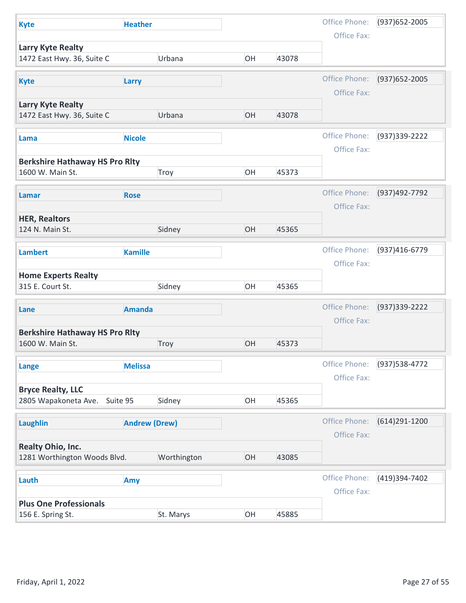| <b>Kyte</b>                                               | <b>Heather</b>       |    |       | Office Phone:                | (937) 652-2005  |
|-----------------------------------------------------------|----------------------|----|-------|------------------------------|-----------------|
|                                                           |                      |    |       | Office Fax:                  |                 |
| Larry Kyte Realty<br>1472 East Hwy. 36, Suite C           | Urbana               | OH | 43078 |                              |                 |
| <b>Kyte</b>                                               | Larry                |    |       | Office Phone:                | (937) 652-2005  |
| <b>Larry Kyte Realty</b><br>1472 East Hwy. 36, Suite C    | Urbana               | OH | 43078 | Office Fax:                  |                 |
|                                                           |                      |    |       |                              |                 |
| Lama                                                      | <b>Nicole</b>        |    |       | Office Phone:<br>Office Fax: | (937) 339-2222  |
| <b>Berkshire Hathaway HS Pro Rity</b><br>1600 W. Main St. | Troy                 | OH | 45373 |                              |                 |
| Lamar                                                     | <b>Rose</b>          |    |       | Office Phone:                | (937)492-7792   |
|                                                           |                      |    |       | Office Fax:                  |                 |
| <b>HER, Realtors</b><br>124 N. Main St.                   | Sidney               | OH | 45365 |                              |                 |
| <b>Lambert</b>                                            | <b>Kamille</b>       |    |       | Office Phone:                | (937)416-6779   |
| <b>Home Experts Realty</b><br>315 E. Court St.            | Sidney               | OH | 45365 | Office Fax:                  |                 |
|                                                           |                      |    |       |                              |                 |
| Lane                                                      | <b>Amanda</b>        |    |       | Office Phone:<br>Office Fax: | (937) 339-2222  |
| <b>Berkshire Hathaway HS Pro Rity</b><br>1600 W. Main St. | Troy                 | OH | 45373 |                              |                 |
| <b>Lange</b>                                              | <b>Melissa</b>       |    |       | Office Phone:                | (937) 538-4772  |
| <b>Bryce Realty, LLC</b>                                  |                      |    |       | Office Fax:                  |                 |
| 2805 Wapakoneta Ave. Suite 95                             | Sidney               | OH | 45365 |                              |                 |
| <b>Laughlin</b>                                           | <b>Andrew (Drew)</b> |    |       | Office Phone:<br>Office Fax: | $(614)291-1200$ |
| <b>Realty Ohio, Inc.</b>                                  |                      |    |       |                              |                 |
| 1281 Worthington Woods Blvd.                              | Worthington          | OH | 43085 |                              |                 |
| Lauth                                                     | Amy                  |    |       | Office Phone:                | (419)394-7402   |
|                                                           |                      |    |       | Office Fax:                  |                 |
| <b>Plus One Professionals</b>                             | St. Marys            | OH | 45885 |                              |                 |
| 156 E. Spring St.                                         |                      |    |       |                              |                 |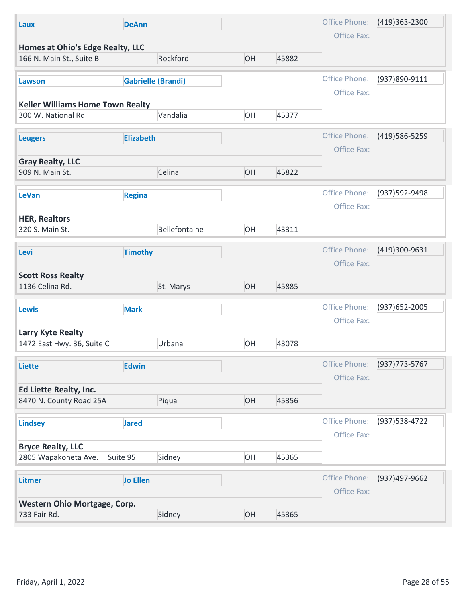| Laux                                                          | <b>DeAnn</b>              |               |    |       | Office Phone:                | (419)363-2300  |
|---------------------------------------------------------------|---------------------------|---------------|----|-------|------------------------------|----------------|
| Homes at Ohio's Edge Realty, LLC                              |                           |               |    |       | Office Fax:                  |                |
| 166 N. Main St., Suite B                                      |                           | Rockford      | OH | 45882 |                              |                |
| Lawson                                                        | <b>Gabrielle (Brandi)</b> |               |    |       | Office Phone:<br>Office Fax: | (937)890-9111  |
| <b>Keller Williams Home Town Realty</b><br>300 W. National Rd |                           | Vandalia      | OH | 45377 |                              |                |
| <b>Leugers</b>                                                | <b>Elizabeth</b>          |               |    |       | Office Phone:<br>Office Fax: | (419) 586-5259 |
| <b>Gray Realty, LLC</b>                                       |                           |               |    |       |                              |                |
| 909 N. Main St.                                               |                           | Celina        | OH | 45822 |                              |                |
| LeVan                                                         | <b>Regina</b>             |               |    |       | Office Phone:<br>Office Fax: | (937)592-9498  |
| <b>HER, Realtors</b><br>320 S. Main St.                       |                           | Bellefontaine | OH | 43311 |                              |                |
| Levi                                                          | <b>Timothy</b>            |               |    |       | Office Phone:<br>Office Fax: | (419)300-9631  |
| <b>Scott Ross Realty</b><br>1136 Celina Rd.                   |                           | St. Marys     | OH | 45885 |                              |                |
| <b>Lewis</b>                                                  | <b>Mark</b>               |               |    |       | Office Phone:<br>Office Fax: | (937) 652-2005 |
| Larry Kyte Realty<br>1472 East Hwy. 36, Suite C               |                           | Urbana        | OH | 43078 |                              |                |
| Liette                                                        | <b>Edwin</b>              |               |    |       | Office Phone:<br>Office Fax: | (937) 773-5767 |
| Ed Liette Realty, Inc.                                        |                           |               |    |       |                              |                |
| 8470 N. County Road 25A                                       |                           | Piqua         | OH | 45356 |                              |                |
| <b>Lindsey</b>                                                | <b>Jared</b>              |               |    |       | Office Phone:<br>Office Fax: | (937) 538-4722 |
| <b>Bryce Realty, LLC</b><br>2805 Wapakoneta Ave.              | Suite 95                  | Sidney        | OH | 45365 |                              |                |
| <b>Litmer</b>                                                 | <b>Jo Ellen</b>           |               |    |       | Office Phone:<br>Office Fax: | (937)497-9662  |
| Western Ohio Mortgage, Corp.                                  |                           |               |    |       |                              |                |
| 733 Fair Rd.                                                  |                           | Sidney        | OH | 45365 |                              |                |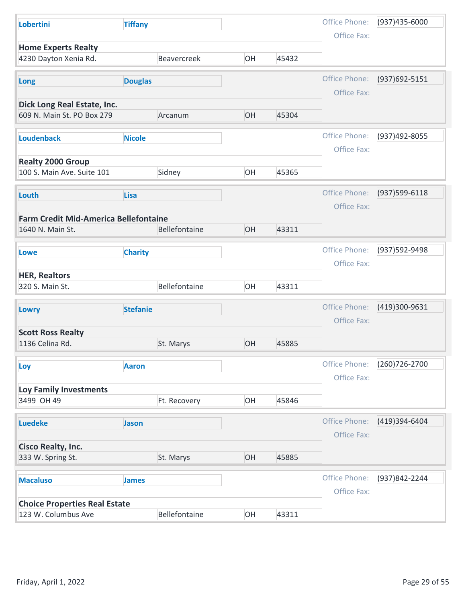| Lobertini                                                   | <b>Tiffany</b>  |               |    |       | Office Phone:                | (937)435-6000  |
|-------------------------------------------------------------|-----------------|---------------|----|-------|------------------------------|----------------|
| <b>Home Experts Realty</b>                                  |                 |               |    |       | Office Fax:                  |                |
| 4230 Dayton Xenia Rd.                                       |                 | Beavercreek   | OH | 45432 |                              |                |
| Long                                                        | <b>Douglas</b>  |               |    |       | Office Phone:                | (937) 692-5151 |
|                                                             |                 |               |    |       | Office Fax:                  |                |
| Dick Long Real Estate, Inc.<br>609 N. Main St. PO Box 279   |                 | Arcanum       | OH | 45304 |                              |                |
| <b>Loudenback</b>                                           | <b>Nicole</b>   |               |    |       | Office Phone:                | (937)492-8055  |
|                                                             |                 |               |    |       | Office Fax:                  |                |
| <b>Realty 2000 Group</b><br>100 S. Main Ave. Suite 101      |                 | Sidney        | OH | 45365 |                              |                |
|                                                             |                 |               |    |       |                              |                |
| Louth                                                       | <b>Lisa</b>     |               |    |       | Office Phone:                | (937) 599-6118 |
| <b>Farm Credit Mid-America Bellefontaine</b>                |                 |               |    |       | Office Fax:                  |                |
| 1640 N. Main St.                                            |                 | Bellefontaine | OH | 43311 |                              |                |
| <b>Lowe</b>                                                 | <b>Charity</b>  |               |    |       | Office Phone:                | (937) 592-9498 |
|                                                             |                 |               |    |       | Office Fax:                  |                |
| <b>HER, Realtors</b><br>320 S. Main St.                     |                 | Bellefontaine | OH | 43311 |                              |                |
|                                                             |                 |               |    |       |                              |                |
| Lowry                                                       | <b>Stefanie</b> |               |    |       | Office Phone:                | (419)300-9631  |
| <b>Scott Ross Realty</b>                                    |                 |               |    |       | Office Fax:                  |                |
| 1136 Celina Rd.                                             |                 | St. Marys     | OH | 45885 |                              |                |
| Loy                                                         | <b>Aaron</b>    |               |    |       | Office Phone:                | (260) 726-2700 |
|                                                             |                 |               |    |       | Office Fax:                  |                |
| <b>Loy Family Investments</b><br>3499 OH 49                 |                 | Ft. Recovery  | OH | 45846 |                              |                |
|                                                             |                 |               |    |       |                              |                |
| <b>Luedeke</b>                                              | Jason           |               |    |       | Office Phone:<br>Office Fax: | (419)394-6404  |
| <b>Cisco Realty, Inc.</b>                                   |                 |               |    |       |                              |                |
| 333 W. Spring St.                                           |                 | St. Marys     | OH | 45885 |                              |                |
| <b>Macaluso</b>                                             | <b>James</b>    |               |    |       | Office Phone:                | (937)842-2244  |
|                                                             |                 |               |    |       | Office Fax:                  |                |
|                                                             |                 | Bellefontaine | OH | 43311 |                              |                |
| <b>Choice Properties Real Estate</b><br>123 W. Columbus Ave |                 |               |    |       |                              |                |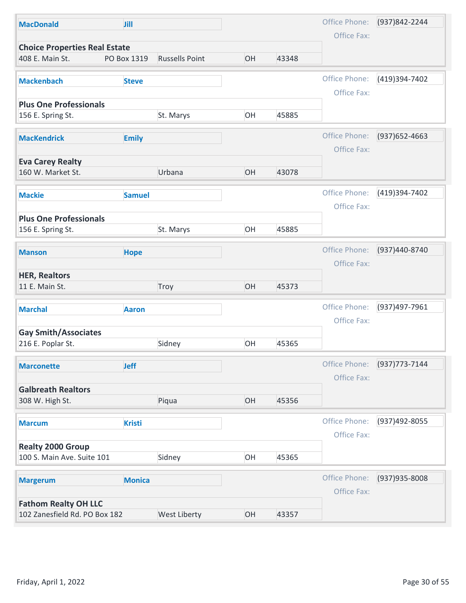| <b>MacDonald</b>                                       | Jill          |                       |    |       | Office Phone:                | (937)842-2244  |
|--------------------------------------------------------|---------------|-----------------------|----|-------|------------------------------|----------------|
| <b>Choice Properties Real Estate</b>                   |               |                       |    |       | Office Fax:                  |                |
| 408 E. Main St.                                        | PO Box 1319   | <b>Russells Point</b> | OH | 43348 |                              |                |
| <b>Mackenbach</b>                                      | <b>Steve</b>  |                       |    |       | Office Phone:                | (419)394-7402  |
| <b>Plus One Professionals</b>                          |               |                       |    |       | Office Fax:                  |                |
| 156 E. Spring St.                                      |               | St. Marys             | OH | 45885 |                              |                |
| <b>MacKendrick</b>                                     | <b>Emily</b>  |                       |    |       | Office Phone:<br>Office Fax: | (937) 652-4663 |
| <b>Eva Carey Realty</b>                                |               |                       |    |       |                              |                |
| 160 W. Market St.                                      |               | Urbana                | OH | 43078 |                              |                |
| <b>Mackie</b>                                          | <b>Samuel</b> |                       |    |       | Office Phone:<br>Office Fax: | (419)394-7402  |
| <b>Plus One Professionals</b><br>156 E. Spring St.     |               | St. Marys             | OH | 45885 |                              |                |
| <b>Manson</b>                                          | <b>Hope</b>   |                       |    |       | Office Phone:<br>Office Fax: | (937)440-8740  |
| <b>HER, Realtors</b><br>11 E. Main St.                 |               | Troy                  | OH | 45373 |                              |                |
| <b>Marchal</b>                                         | <b>Aaron</b>  |                       |    |       | Office Phone:<br>Office Fax: | (937)497-7961  |
| <b>Gay Smith/Associates</b>                            |               |                       |    |       |                              |                |
| 216 E. Poplar St.                                      |               | Sidney                | OH | 45365 |                              |                |
| <b>Marconette</b>                                      | <b>Jeff</b>   |                       |    |       | Office Phone:<br>Office Fax: | (937) 773-7144 |
| <b>Galbreath Realtors</b><br>308 W. High St.           |               | Piqua                 | OH | 45356 |                              |                |
| <b>Marcum</b>                                          | <b>Kristi</b> |                       |    |       | Office Phone:                | (937)492-8055  |
| <b>Realty 2000 Group</b><br>100 S. Main Ave. Suite 101 |               | Sidney                | OH | 45365 | Office Fax:                  |                |
|                                                        |               |                       |    |       |                              |                |
| <b>Margerum</b>                                        | <b>Monica</b> |                       |    |       | Office Phone:<br>Office Fax: | (937) 935-8008 |
| <b>Fathom Realty OH LLC</b>                            |               |                       |    |       |                              |                |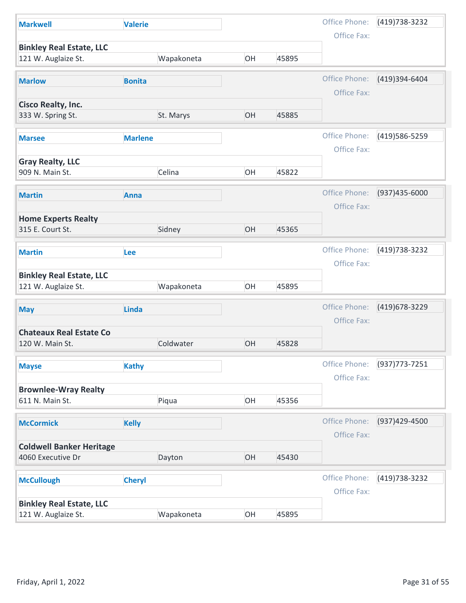| <b>Markwell</b>                                        | <b>Valerie</b> |            |    |       | Office Phone:                | (419) 738-3232 |
|--------------------------------------------------------|----------------|------------|----|-------|------------------------------|----------------|
|                                                        |                |            |    |       | Office Fax:                  |                |
| <b>Binkley Real Estate, LLC</b><br>121 W. Auglaize St. |                | Wapakoneta | OH | 45895 |                              |                |
|                                                        |                |            |    |       |                              |                |
| <b>Marlow</b>                                          | <b>Bonita</b>  |            |    |       | Office Phone:<br>Office Fax: | (419)394-6404  |
| <b>Cisco Realty, Inc.</b>                              |                |            |    |       |                              |                |
| 333 W. Spring St.                                      |                | St. Marys  | OH | 45885 |                              |                |
| <b>Marsee</b>                                          | <b>Marlene</b> |            |    |       | Office Phone:                | (419) 586-5259 |
|                                                        |                |            |    |       | Office Fax:                  |                |
| <b>Gray Realty, LLC</b>                                |                |            |    |       |                              |                |
| 909 N. Main St.                                        |                | Celina     | OH | 45822 |                              |                |
| <b>Martin</b>                                          | <b>Anna</b>    |            |    |       | Office Phone:                | (937)435-6000  |
|                                                        |                |            |    |       | Office Fax:                  |                |
| <b>Home Experts Realty</b><br>315 E. Court St.         |                | Sidney     | OH | 45365 |                              |                |
|                                                        |                |            |    |       |                              |                |
| <b>Martin</b>                                          | <b>Lee</b>     |            |    |       | Office Phone:                | (419) 738-3232 |
| <b>Binkley Real Estate, LLC</b>                        |                |            |    |       | Office Fax:                  |                |
| 121 W. Auglaize St.                                    |                | Wapakoneta | OH | 45895 |                              |                |
| <b>May</b>                                             | Linda          |            |    |       | Office Phone:                | (419) 678-3229 |
|                                                        |                |            |    |       | Office Fax:                  |                |
| <b>Chateaux Real Estate Co</b>                         |                |            |    |       |                              |                |
| 120 W. Main St.                                        |                | Coldwater  | OH | 45828 |                              |                |
| <b>Mayse</b>                                           | <b>Kathy</b>   |            |    |       | Office Phone:                | (937) 773-7251 |
|                                                        |                |            |    |       | Office Fax:                  |                |
| <b>Brownlee-Wray Realty</b><br>611 N. Main St.         |                | Piqua      | OH | 45356 |                              |                |
|                                                        |                |            |    |       |                              |                |
| <b>McCormick</b>                                       | <b>Kelly</b>   |            |    |       | Office Phone:                | (937)429-4500  |
| <b>Coldwell Banker Heritage</b>                        |                |            |    |       | Office Fax:                  |                |
| 4060 Executive Dr                                      |                | Dayton     | OH | 45430 |                              |                |
|                                                        |                |            |    |       | Office Phone:                | (419) 738-3232 |
|                                                        | <b>Cheryl</b>  |            |    |       | Office Fax:                  |                |
| <b>McCullough</b>                                      |                |            |    |       |                              |                |
| <b>Binkley Real Estate, LLC</b>                        |                |            |    |       |                              |                |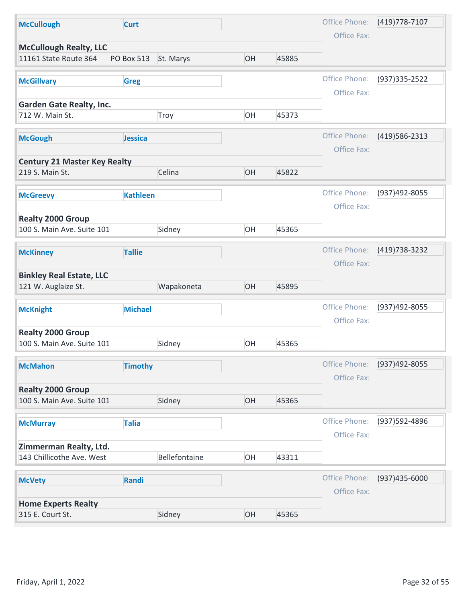| <b>McCullough</b>                                      | <b>Curt</b>          |               |    |       | Office Phone:                | (419) 778-7107   |
|--------------------------------------------------------|----------------------|---------------|----|-------|------------------------------|------------------|
|                                                        |                      |               |    |       | Office Fax:                  |                  |
| <b>McCullough Realty, LLC</b><br>11161 State Route 364 | PO Box 513 St. Marys |               | OH | 45885 |                              |                  |
| <b>McGillvary</b>                                      | <b>Greg</b>          |               |    |       | Office Phone:                | (937) 335 - 2522 |
| <b>Garden Gate Realty, Inc.</b><br>712 W. Main St.     |                      | Troy          | OH | 45373 | Office Fax:                  |                  |
| <b>McGough</b>                                         | Jessica              |               |    |       | Office Phone:<br>Office Fax: | (419) 586-2313   |
| <b>Century 21 Master Key Realty</b><br>219 S. Main St. |                      | Celina        | OH | 45822 |                              |                  |
| <b>McGreevy</b>                                        | <b>Kathleen</b>      |               |    |       | Office Phone:<br>Office Fax: | (937)492-8055    |
| <b>Realty 2000 Group</b><br>100 S. Main Ave. Suite 101 |                      | Sidney        | OH | 45365 |                              |                  |
| <b>McKinney</b>                                        | <b>Tallie</b>        |               |    |       | Office Phone:<br>Office Fax: | (419) 738-3232   |
| <b>Binkley Real Estate, LLC</b><br>121 W. Auglaize St. |                      | Wapakoneta    | OH | 45895 |                              |                  |
| <b>McKnight</b>                                        | <b>Michael</b>       |               |    |       | Office Phone:<br>Office Fax: | (937)492-8055    |
| <b>Realty 2000 Group</b><br>100 S. Main Ave. Suite 101 |                      | Sidney        | OH | 45365 |                              |                  |
| <b>McMahon</b>                                         | <b>Timothy</b>       |               |    |       | Office Phone:<br>Office Fax: | (937)492-8055    |
| <b>Realty 2000 Group</b><br>100 S. Main Ave. Suite 101 |                      | Sidney        | OH | 45365 |                              |                  |
| <b>McMurray</b>                                        | <b>Talia</b>         |               |    |       | Office Phone:<br>Office Fax: | (937) 592-4896   |
| Zimmerman Realty, Ltd.<br>143 Chillicothe Ave. West    |                      | Bellefontaine | OH | 43311 |                              |                  |
| <b>McVety</b>                                          | Randi                |               |    |       | Office Phone:<br>Office Fax: | (937)435-6000    |
| <b>Home Experts Realty</b><br>315 E. Court St.         |                      | Sidney        | OH | 45365 |                              |                  |
| Friday, April 1, 2022                                  |                      |               |    |       |                              | Page 32 of 55    |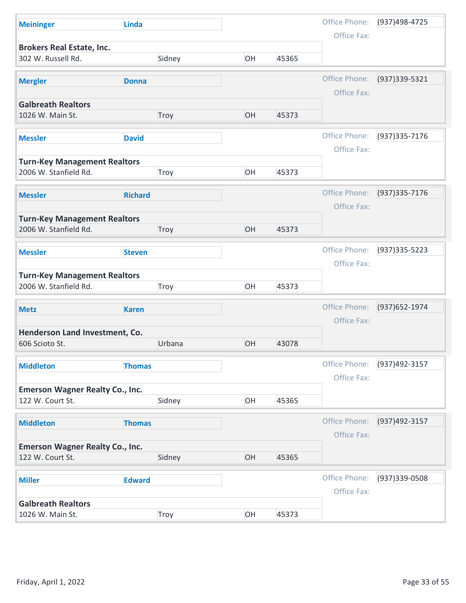| Office Phone:<br>(937)498-4725<br><b>Linda</b><br><b>Meininger</b><br>Office Fax:<br><b>Brokers Real Estate, Inc.</b><br>302 W. Russell Rd.<br>Sidney<br>OH<br>45365<br>Office Phone:<br>(937) 339-5321<br><b>Mergler</b><br><b>Donna</b><br>Office Fax:<br><b>Galbreath Realtors</b><br>OH<br>45373<br>1026 W. Main St.<br>Troy<br>Office Phone:<br>(937) 335-7176<br><b>David</b><br><b>Messler</b><br>Office Fax:<br><b>Turn-Key Management Realtors</b><br>2006 W. Stanfield Rd.<br>OH<br>45373<br>Troy<br>Office Phone:<br>(937) 335-7176<br><b>Richard</b><br><b>Messler</b><br>Office Fax:<br><b>Turn-Key Management Realtors</b><br>OH<br>2006 W. Stanfield Rd.<br>45373<br>Troy<br>Office Phone:<br>(937) 335-5223<br><b>Messler</b><br><b>Steven</b><br>Office Fax:<br><b>Turn-Key Management Realtors</b><br>2006 W. Stanfield Rd.<br>OH<br>45373<br>Troy<br>Office Phone:<br>(937) 652-1974<br><b>Karen</b><br><b>Metz</b><br>Office Fax:<br>Henderson Land Investment, Co.<br>OH<br>43078<br>606 Scioto St.<br>Urbana<br>Office Phone:<br>(937)492-3157<br><b>Middleton</b><br><b>Thomas</b><br>Office Fax:<br><b>Emerson Wagner Realty Co., Inc.</b><br>122 W. Court St.<br>Sidney<br>OH<br>45365<br>Office Phone:<br>(937)492-3157<br><b>Thomas</b><br><b>Middleton</b><br>Office Fax:<br><b>Emerson Wagner Realty Co., Inc.</b><br>OH<br>122 W. Court St.<br>Sidney<br>45365<br>Office Phone:<br>(937) 339-0508<br><b>Edward</b><br><b>Miller</b><br>Office Fax:<br><b>Galbreath Realtors</b><br>OH<br>45373<br>1026 W. Main St.<br>Troy<br>Friday, April 1, 2022 |  |               |
|-----------------------------------------------------------------------------------------------------------------------------------------------------------------------------------------------------------------------------------------------------------------------------------------------------------------------------------------------------------------------------------------------------------------------------------------------------------------------------------------------------------------------------------------------------------------------------------------------------------------------------------------------------------------------------------------------------------------------------------------------------------------------------------------------------------------------------------------------------------------------------------------------------------------------------------------------------------------------------------------------------------------------------------------------------------------------------------------------------------------------------------------------------------------------------------------------------------------------------------------------------------------------------------------------------------------------------------------------------------------------------------------------------------------------------------------------------------------------------------------------------------------------------------------------------------------------------------|--|---------------|
|                                                                                                                                                                                                                                                                                                                                                                                                                                                                                                                                                                                                                                                                                                                                                                                                                                                                                                                                                                                                                                                                                                                                                                                                                                                                                                                                                                                                                                                                                                                                                                                   |  |               |
|                                                                                                                                                                                                                                                                                                                                                                                                                                                                                                                                                                                                                                                                                                                                                                                                                                                                                                                                                                                                                                                                                                                                                                                                                                                                                                                                                                                                                                                                                                                                                                                   |  |               |
|                                                                                                                                                                                                                                                                                                                                                                                                                                                                                                                                                                                                                                                                                                                                                                                                                                                                                                                                                                                                                                                                                                                                                                                                                                                                                                                                                                                                                                                                                                                                                                                   |  |               |
|                                                                                                                                                                                                                                                                                                                                                                                                                                                                                                                                                                                                                                                                                                                                                                                                                                                                                                                                                                                                                                                                                                                                                                                                                                                                                                                                                                                                                                                                                                                                                                                   |  |               |
|                                                                                                                                                                                                                                                                                                                                                                                                                                                                                                                                                                                                                                                                                                                                                                                                                                                                                                                                                                                                                                                                                                                                                                                                                                                                                                                                                                                                                                                                                                                                                                                   |  |               |
|                                                                                                                                                                                                                                                                                                                                                                                                                                                                                                                                                                                                                                                                                                                                                                                                                                                                                                                                                                                                                                                                                                                                                                                                                                                                                                                                                                                                                                                                                                                                                                                   |  |               |
|                                                                                                                                                                                                                                                                                                                                                                                                                                                                                                                                                                                                                                                                                                                                                                                                                                                                                                                                                                                                                                                                                                                                                                                                                                                                                                                                                                                                                                                                                                                                                                                   |  |               |
|                                                                                                                                                                                                                                                                                                                                                                                                                                                                                                                                                                                                                                                                                                                                                                                                                                                                                                                                                                                                                                                                                                                                                                                                                                                                                                                                                                                                                                                                                                                                                                                   |  |               |
|                                                                                                                                                                                                                                                                                                                                                                                                                                                                                                                                                                                                                                                                                                                                                                                                                                                                                                                                                                                                                                                                                                                                                                                                                                                                                                                                                                                                                                                                                                                                                                                   |  |               |
|                                                                                                                                                                                                                                                                                                                                                                                                                                                                                                                                                                                                                                                                                                                                                                                                                                                                                                                                                                                                                                                                                                                                                                                                                                                                                                                                                                                                                                                                                                                                                                                   |  |               |
|                                                                                                                                                                                                                                                                                                                                                                                                                                                                                                                                                                                                                                                                                                                                                                                                                                                                                                                                                                                                                                                                                                                                                                                                                                                                                                                                                                                                                                                                                                                                                                                   |  |               |
|                                                                                                                                                                                                                                                                                                                                                                                                                                                                                                                                                                                                                                                                                                                                                                                                                                                                                                                                                                                                                                                                                                                                                                                                                                                                                                                                                                                                                                                                                                                                                                                   |  |               |
|                                                                                                                                                                                                                                                                                                                                                                                                                                                                                                                                                                                                                                                                                                                                                                                                                                                                                                                                                                                                                                                                                                                                                                                                                                                                                                                                                                                                                                                                                                                                                                                   |  |               |
|                                                                                                                                                                                                                                                                                                                                                                                                                                                                                                                                                                                                                                                                                                                                                                                                                                                                                                                                                                                                                                                                                                                                                                                                                                                                                                                                                                                                                                                                                                                                                                                   |  |               |
|                                                                                                                                                                                                                                                                                                                                                                                                                                                                                                                                                                                                                                                                                                                                                                                                                                                                                                                                                                                                                                                                                                                                                                                                                                                                                                                                                                                                                                                                                                                                                                                   |  |               |
|                                                                                                                                                                                                                                                                                                                                                                                                                                                                                                                                                                                                                                                                                                                                                                                                                                                                                                                                                                                                                                                                                                                                                                                                                                                                                                                                                                                                                                                                                                                                                                                   |  |               |
|                                                                                                                                                                                                                                                                                                                                                                                                                                                                                                                                                                                                                                                                                                                                                                                                                                                                                                                                                                                                                                                                                                                                                                                                                                                                                                                                                                                                                                                                                                                                                                                   |  |               |
|                                                                                                                                                                                                                                                                                                                                                                                                                                                                                                                                                                                                                                                                                                                                                                                                                                                                                                                                                                                                                                                                                                                                                                                                                                                                                                                                                                                                                                                                                                                                                                                   |  |               |
|                                                                                                                                                                                                                                                                                                                                                                                                                                                                                                                                                                                                                                                                                                                                                                                                                                                                                                                                                                                                                                                                                                                                                                                                                                                                                                                                                                                                                                                                                                                                                                                   |  |               |
|                                                                                                                                                                                                                                                                                                                                                                                                                                                                                                                                                                                                                                                                                                                                                                                                                                                                                                                                                                                                                                                                                                                                                                                                                                                                                                                                                                                                                                                                                                                                                                                   |  |               |
|                                                                                                                                                                                                                                                                                                                                                                                                                                                                                                                                                                                                                                                                                                                                                                                                                                                                                                                                                                                                                                                                                                                                                                                                                                                                                                                                                                                                                                                                                                                                                                                   |  |               |
|                                                                                                                                                                                                                                                                                                                                                                                                                                                                                                                                                                                                                                                                                                                                                                                                                                                                                                                                                                                                                                                                                                                                                                                                                                                                                                                                                                                                                                                                                                                                                                                   |  |               |
|                                                                                                                                                                                                                                                                                                                                                                                                                                                                                                                                                                                                                                                                                                                                                                                                                                                                                                                                                                                                                                                                                                                                                                                                                                                                                                                                                                                                                                                                                                                                                                                   |  |               |
|                                                                                                                                                                                                                                                                                                                                                                                                                                                                                                                                                                                                                                                                                                                                                                                                                                                                                                                                                                                                                                                                                                                                                                                                                                                                                                                                                                                                                                                                                                                                                                                   |  |               |
|                                                                                                                                                                                                                                                                                                                                                                                                                                                                                                                                                                                                                                                                                                                                                                                                                                                                                                                                                                                                                                                                                                                                                                                                                                                                                                                                                                                                                                                                                                                                                                                   |  |               |
|                                                                                                                                                                                                                                                                                                                                                                                                                                                                                                                                                                                                                                                                                                                                                                                                                                                                                                                                                                                                                                                                                                                                                                                                                                                                                                                                                                                                                                                                                                                                                                                   |  |               |
|                                                                                                                                                                                                                                                                                                                                                                                                                                                                                                                                                                                                                                                                                                                                                                                                                                                                                                                                                                                                                                                                                                                                                                                                                                                                                                                                                                                                                                                                                                                                                                                   |  |               |
|                                                                                                                                                                                                                                                                                                                                                                                                                                                                                                                                                                                                                                                                                                                                                                                                                                                                                                                                                                                                                                                                                                                                                                                                                                                                                                                                                                                                                                                                                                                                                                                   |  |               |
|                                                                                                                                                                                                                                                                                                                                                                                                                                                                                                                                                                                                                                                                                                                                                                                                                                                                                                                                                                                                                                                                                                                                                                                                                                                                                                                                                                                                                                                                                                                                                                                   |  |               |
|                                                                                                                                                                                                                                                                                                                                                                                                                                                                                                                                                                                                                                                                                                                                                                                                                                                                                                                                                                                                                                                                                                                                                                                                                                                                                                                                                                                                                                                                                                                                                                                   |  |               |
|                                                                                                                                                                                                                                                                                                                                                                                                                                                                                                                                                                                                                                                                                                                                                                                                                                                                                                                                                                                                                                                                                                                                                                                                                                                                                                                                                                                                                                                                                                                                                                                   |  |               |
|                                                                                                                                                                                                                                                                                                                                                                                                                                                                                                                                                                                                                                                                                                                                                                                                                                                                                                                                                                                                                                                                                                                                                                                                                                                                                                                                                                                                                                                                                                                                                                                   |  |               |
|                                                                                                                                                                                                                                                                                                                                                                                                                                                                                                                                                                                                                                                                                                                                                                                                                                                                                                                                                                                                                                                                                                                                                                                                                                                                                                                                                                                                                                                                                                                                                                                   |  |               |
|                                                                                                                                                                                                                                                                                                                                                                                                                                                                                                                                                                                                                                                                                                                                                                                                                                                                                                                                                                                                                                                                                                                                                                                                                                                                                                                                                                                                                                                                                                                                                                                   |  |               |
|                                                                                                                                                                                                                                                                                                                                                                                                                                                                                                                                                                                                                                                                                                                                                                                                                                                                                                                                                                                                                                                                                                                                                                                                                                                                                                                                                                                                                                                                                                                                                                                   |  |               |
|                                                                                                                                                                                                                                                                                                                                                                                                                                                                                                                                                                                                                                                                                                                                                                                                                                                                                                                                                                                                                                                                                                                                                                                                                                                                                                                                                                                                                                                                                                                                                                                   |  |               |
|                                                                                                                                                                                                                                                                                                                                                                                                                                                                                                                                                                                                                                                                                                                                                                                                                                                                                                                                                                                                                                                                                                                                                                                                                                                                                                                                                                                                                                                                                                                                                                                   |  |               |
|                                                                                                                                                                                                                                                                                                                                                                                                                                                                                                                                                                                                                                                                                                                                                                                                                                                                                                                                                                                                                                                                                                                                                                                                                                                                                                                                                                                                                                                                                                                                                                                   |  |               |
|                                                                                                                                                                                                                                                                                                                                                                                                                                                                                                                                                                                                                                                                                                                                                                                                                                                                                                                                                                                                                                                                                                                                                                                                                                                                                                                                                                                                                                                                                                                                                                                   |  |               |
|                                                                                                                                                                                                                                                                                                                                                                                                                                                                                                                                                                                                                                                                                                                                                                                                                                                                                                                                                                                                                                                                                                                                                                                                                                                                                                                                                                                                                                                                                                                                                                                   |  |               |
|                                                                                                                                                                                                                                                                                                                                                                                                                                                                                                                                                                                                                                                                                                                                                                                                                                                                                                                                                                                                                                                                                                                                                                                                                                                                                                                                                                                                                                                                                                                                                                                   |  |               |
|                                                                                                                                                                                                                                                                                                                                                                                                                                                                                                                                                                                                                                                                                                                                                                                                                                                                                                                                                                                                                                                                                                                                                                                                                                                                                                                                                                                                                                                                                                                                                                                   |  |               |
|                                                                                                                                                                                                                                                                                                                                                                                                                                                                                                                                                                                                                                                                                                                                                                                                                                                                                                                                                                                                                                                                                                                                                                                                                                                                                                                                                                                                                                                                                                                                                                                   |  | Page 33 of 55 |
|                                                                                                                                                                                                                                                                                                                                                                                                                                                                                                                                                                                                                                                                                                                                                                                                                                                                                                                                                                                                                                                                                                                                                                                                                                                                                                                                                                                                                                                                                                                                                                                   |  |               |
|                                                                                                                                                                                                                                                                                                                                                                                                                                                                                                                                                                                                                                                                                                                                                                                                                                                                                                                                                                                                                                                                                                                                                                                                                                                                                                                                                                                                                                                                                                                                                                                   |  |               |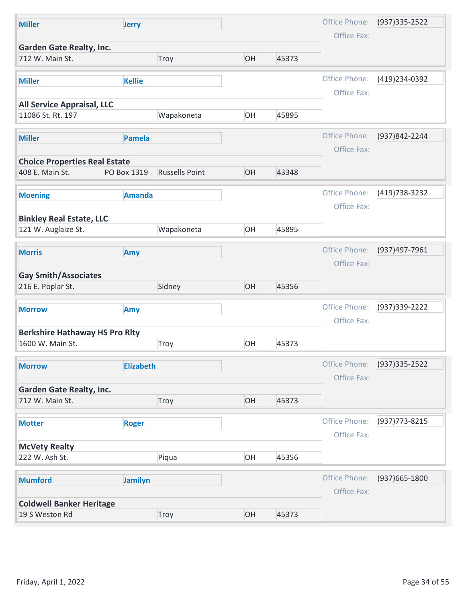| Office Phone:<br>(937) 335 - 2522<br><b>Miller</b><br><b>Jerry</b><br>Office Fax:<br><b>Garden Gate Realty, Inc.</b><br>OH<br>45373<br>712 W. Main St.<br>Troy<br>Office Phone:<br>(419) 234-0392<br><b>Miller</b><br><b>Kellie</b><br>Office Fax:<br><b>All Service Appraisal, LLC</b><br>Wapakoneta<br>OH<br>11086 St. Rt. 197<br>45895<br>Office Phone:<br>(937)842-2244<br>Pamela<br><b>Miller</b><br>Office Fax:<br><b>Choice Properties Real Estate</b><br><b>Russells Point</b><br>408 E. Main St.<br>PO Box 1319<br>OH<br>43348<br>Office Phone:<br>(419) 738-3232<br><b>Amanda</b><br><b>Moening</b><br>Office Fax:<br><b>Binkley Real Estate, LLC</b><br>121 W. Auglaize St.<br>Wapakoneta<br>OH<br>45895<br>Office Phone:<br>(937)497-7961<br><b>Morris</b><br>Amy<br>Office Fax:<br><b>Gay Smith/Associates</b><br>OH<br>216 E. Poplar St.<br>Sidney<br>45356<br>Office Phone:<br>(937) 339-2222<br>Amy<br><b>Morrow</b><br>Office Fax:<br><b>Berkshire Hathaway HS Pro Rity</b><br>OH<br>1600 W. Main St.<br>45373<br>Troy<br>Office Phone:<br>$(937)335 - 2522$<br><b>Elizabeth</b><br><b>Morrow</b><br>Office Fax:<br><b>Garden Gate Realty, Inc.</b><br>OH<br>712 W. Main St.<br>Troy<br>45373<br>Office Phone:<br>(937) 773-8215<br><b>Roger</b><br><b>Motter</b><br>Office Fax:<br><b>McVety Realty</b><br>OH<br>222 W. Ash St.<br>Piqua<br>45356<br>Office Phone:<br>(937) 665-1800<br><b>Mumford</b><br>Jamilyn<br>Office Fax:<br><b>Coldwell Banker Heritage</b><br>OH<br>19 S Weston Rd<br>Troy<br>45373 | Friday, April 1, 2022 |  |
|--------------------------------------------------------------------------------------------------------------------------------------------------------------------------------------------------------------------------------------------------------------------------------------------------------------------------------------------------------------------------------------------------------------------------------------------------------------------------------------------------------------------------------------------------------------------------------------------------------------------------------------------------------------------------------------------------------------------------------------------------------------------------------------------------------------------------------------------------------------------------------------------------------------------------------------------------------------------------------------------------------------------------------------------------------------------------------------------------------------------------------------------------------------------------------------------------------------------------------------------------------------------------------------------------------------------------------------------------------------------------------------------------------------------------------------------------------------------------------------------------------------------------------|-----------------------|--|
|                                                                                                                                                                                                                                                                                                                                                                                                                                                                                                                                                                                                                                                                                                                                                                                                                                                                                                                                                                                                                                                                                                                                                                                                                                                                                                                                                                                                                                                                                                                                |                       |  |
|                                                                                                                                                                                                                                                                                                                                                                                                                                                                                                                                                                                                                                                                                                                                                                                                                                                                                                                                                                                                                                                                                                                                                                                                                                                                                                                                                                                                                                                                                                                                |                       |  |
|                                                                                                                                                                                                                                                                                                                                                                                                                                                                                                                                                                                                                                                                                                                                                                                                                                                                                                                                                                                                                                                                                                                                                                                                                                                                                                                                                                                                                                                                                                                                | Page 34 of 55         |  |
|                                                                                                                                                                                                                                                                                                                                                                                                                                                                                                                                                                                                                                                                                                                                                                                                                                                                                                                                                                                                                                                                                                                                                                                                                                                                                                                                                                                                                                                                                                                                |                       |  |
|                                                                                                                                                                                                                                                                                                                                                                                                                                                                                                                                                                                                                                                                                                                                                                                                                                                                                                                                                                                                                                                                                                                                                                                                                                                                                                                                                                                                                                                                                                                                |                       |  |
|                                                                                                                                                                                                                                                                                                                                                                                                                                                                                                                                                                                                                                                                                                                                                                                                                                                                                                                                                                                                                                                                                                                                                                                                                                                                                                                                                                                                                                                                                                                                |                       |  |
|                                                                                                                                                                                                                                                                                                                                                                                                                                                                                                                                                                                                                                                                                                                                                                                                                                                                                                                                                                                                                                                                                                                                                                                                                                                                                                                                                                                                                                                                                                                                |                       |  |
|                                                                                                                                                                                                                                                                                                                                                                                                                                                                                                                                                                                                                                                                                                                                                                                                                                                                                                                                                                                                                                                                                                                                                                                                                                                                                                                                                                                                                                                                                                                                |                       |  |
|                                                                                                                                                                                                                                                                                                                                                                                                                                                                                                                                                                                                                                                                                                                                                                                                                                                                                                                                                                                                                                                                                                                                                                                                                                                                                                                                                                                                                                                                                                                                |                       |  |
|                                                                                                                                                                                                                                                                                                                                                                                                                                                                                                                                                                                                                                                                                                                                                                                                                                                                                                                                                                                                                                                                                                                                                                                                                                                                                                                                                                                                                                                                                                                                |                       |  |
|                                                                                                                                                                                                                                                                                                                                                                                                                                                                                                                                                                                                                                                                                                                                                                                                                                                                                                                                                                                                                                                                                                                                                                                                                                                                                                                                                                                                                                                                                                                                |                       |  |
|                                                                                                                                                                                                                                                                                                                                                                                                                                                                                                                                                                                                                                                                                                                                                                                                                                                                                                                                                                                                                                                                                                                                                                                                                                                                                                                                                                                                                                                                                                                                |                       |  |
|                                                                                                                                                                                                                                                                                                                                                                                                                                                                                                                                                                                                                                                                                                                                                                                                                                                                                                                                                                                                                                                                                                                                                                                                                                                                                                                                                                                                                                                                                                                                |                       |  |
|                                                                                                                                                                                                                                                                                                                                                                                                                                                                                                                                                                                                                                                                                                                                                                                                                                                                                                                                                                                                                                                                                                                                                                                                                                                                                                                                                                                                                                                                                                                                |                       |  |
|                                                                                                                                                                                                                                                                                                                                                                                                                                                                                                                                                                                                                                                                                                                                                                                                                                                                                                                                                                                                                                                                                                                                                                                                                                                                                                                                                                                                                                                                                                                                |                       |  |
|                                                                                                                                                                                                                                                                                                                                                                                                                                                                                                                                                                                                                                                                                                                                                                                                                                                                                                                                                                                                                                                                                                                                                                                                                                                                                                                                                                                                                                                                                                                                |                       |  |
|                                                                                                                                                                                                                                                                                                                                                                                                                                                                                                                                                                                                                                                                                                                                                                                                                                                                                                                                                                                                                                                                                                                                                                                                                                                                                                                                                                                                                                                                                                                                |                       |  |
|                                                                                                                                                                                                                                                                                                                                                                                                                                                                                                                                                                                                                                                                                                                                                                                                                                                                                                                                                                                                                                                                                                                                                                                                                                                                                                                                                                                                                                                                                                                                |                       |  |
|                                                                                                                                                                                                                                                                                                                                                                                                                                                                                                                                                                                                                                                                                                                                                                                                                                                                                                                                                                                                                                                                                                                                                                                                                                                                                                                                                                                                                                                                                                                                |                       |  |
|                                                                                                                                                                                                                                                                                                                                                                                                                                                                                                                                                                                                                                                                                                                                                                                                                                                                                                                                                                                                                                                                                                                                                                                                                                                                                                                                                                                                                                                                                                                                |                       |  |
|                                                                                                                                                                                                                                                                                                                                                                                                                                                                                                                                                                                                                                                                                                                                                                                                                                                                                                                                                                                                                                                                                                                                                                                                                                                                                                                                                                                                                                                                                                                                |                       |  |
|                                                                                                                                                                                                                                                                                                                                                                                                                                                                                                                                                                                                                                                                                                                                                                                                                                                                                                                                                                                                                                                                                                                                                                                                                                                                                                                                                                                                                                                                                                                                |                       |  |
|                                                                                                                                                                                                                                                                                                                                                                                                                                                                                                                                                                                                                                                                                                                                                                                                                                                                                                                                                                                                                                                                                                                                                                                                                                                                                                                                                                                                                                                                                                                                |                       |  |
|                                                                                                                                                                                                                                                                                                                                                                                                                                                                                                                                                                                                                                                                                                                                                                                                                                                                                                                                                                                                                                                                                                                                                                                                                                                                                                                                                                                                                                                                                                                                |                       |  |
|                                                                                                                                                                                                                                                                                                                                                                                                                                                                                                                                                                                                                                                                                                                                                                                                                                                                                                                                                                                                                                                                                                                                                                                                                                                                                                                                                                                                                                                                                                                                |                       |  |
|                                                                                                                                                                                                                                                                                                                                                                                                                                                                                                                                                                                                                                                                                                                                                                                                                                                                                                                                                                                                                                                                                                                                                                                                                                                                                                                                                                                                                                                                                                                                |                       |  |
|                                                                                                                                                                                                                                                                                                                                                                                                                                                                                                                                                                                                                                                                                                                                                                                                                                                                                                                                                                                                                                                                                                                                                                                                                                                                                                                                                                                                                                                                                                                                |                       |  |
|                                                                                                                                                                                                                                                                                                                                                                                                                                                                                                                                                                                                                                                                                                                                                                                                                                                                                                                                                                                                                                                                                                                                                                                                                                                                                                                                                                                                                                                                                                                                |                       |  |
|                                                                                                                                                                                                                                                                                                                                                                                                                                                                                                                                                                                                                                                                                                                                                                                                                                                                                                                                                                                                                                                                                                                                                                                                                                                                                                                                                                                                                                                                                                                                |                       |  |
|                                                                                                                                                                                                                                                                                                                                                                                                                                                                                                                                                                                                                                                                                                                                                                                                                                                                                                                                                                                                                                                                                                                                                                                                                                                                                                                                                                                                                                                                                                                                |                       |  |
|                                                                                                                                                                                                                                                                                                                                                                                                                                                                                                                                                                                                                                                                                                                                                                                                                                                                                                                                                                                                                                                                                                                                                                                                                                                                                                                                                                                                                                                                                                                                |                       |  |
|                                                                                                                                                                                                                                                                                                                                                                                                                                                                                                                                                                                                                                                                                                                                                                                                                                                                                                                                                                                                                                                                                                                                                                                                                                                                                                                                                                                                                                                                                                                                |                       |  |
|                                                                                                                                                                                                                                                                                                                                                                                                                                                                                                                                                                                                                                                                                                                                                                                                                                                                                                                                                                                                                                                                                                                                                                                                                                                                                                                                                                                                                                                                                                                                |                       |  |
|                                                                                                                                                                                                                                                                                                                                                                                                                                                                                                                                                                                                                                                                                                                                                                                                                                                                                                                                                                                                                                                                                                                                                                                                                                                                                                                                                                                                                                                                                                                                |                       |  |
|                                                                                                                                                                                                                                                                                                                                                                                                                                                                                                                                                                                                                                                                                                                                                                                                                                                                                                                                                                                                                                                                                                                                                                                                                                                                                                                                                                                                                                                                                                                                |                       |  |
|                                                                                                                                                                                                                                                                                                                                                                                                                                                                                                                                                                                                                                                                                                                                                                                                                                                                                                                                                                                                                                                                                                                                                                                                                                                                                                                                                                                                                                                                                                                                |                       |  |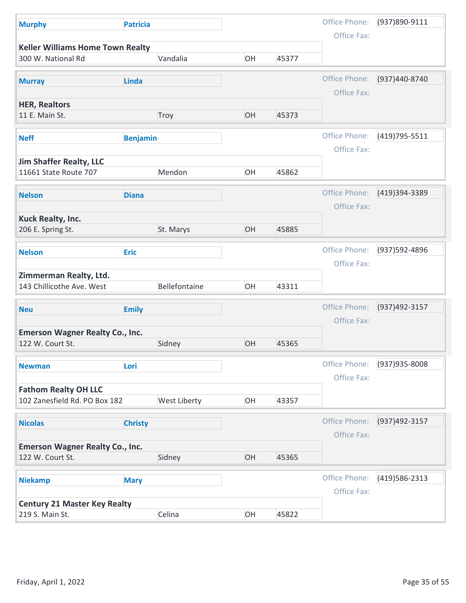| <b>Murphy</b>                                              | <b>Patricia</b> |                     |    |       | Office Phone:                | (937)890-9111  |
|------------------------------------------------------------|-----------------|---------------------|----|-------|------------------------------|----------------|
| <b>Keller Williams Home Town Realty</b>                    |                 |                     |    |       | Office Fax:                  |                |
| 300 W. National Rd                                         |                 | Vandalia            | OH | 45377 |                              |                |
| <b>Murray</b>                                              | Linda           |                     |    |       | Office Phone:                | (937)440-8740  |
| <b>HER, Realtors</b>                                       |                 |                     |    |       | Office Fax:                  |                |
| 11 E. Main St.                                             |                 | Troy                | OH | 45373 |                              |                |
| <b>Neff</b>                                                | <b>Benjamin</b> |                     |    |       | Office Phone:<br>Office Fax: | (419) 795-5511 |
| Jim Shaffer Realty, LLC                                    |                 |                     |    |       |                              |                |
| 11661 State Route 707                                      |                 | Mendon              | OH | 45862 |                              |                |
| <b>Nelson</b>                                              | <b>Diana</b>    |                     |    |       | Office Phone:<br>Office Fax: | (419)394-3389  |
| <b>Kuck Realty, Inc.</b><br>206 E. Spring St.              |                 | St. Marys           | OH | 45885 |                              |                |
| <b>Nelson</b>                                              | <b>Eric</b>     |                     |    |       | Office Phone:                | (937) 592-4896 |
| Zimmerman Realty, Ltd.<br>143 Chillicothe Ave. West        |                 | Bellefontaine       | OH | 43311 | Office Fax:                  |                |
|                                                            |                 |                     |    |       |                              |                |
| <b>Neu</b>                                                 | <b>Emily</b>    |                     |    |       | Office Phone:<br>Office Fax: | (937)492-3157  |
| <b>Emerson Wagner Realty Co., Inc.</b><br>122 W. Court St. |                 | Sidney              | OH | 45365 |                              |                |
| <b>Newman</b>                                              | Lori            |                     |    |       | Office Phone:<br>Office Fax: | (937) 935-8008 |
| <b>Fathom Realty OH LLC</b>                                |                 |                     |    |       |                              |                |
| 102 Zanesfield Rd. PO Box 182                              |                 | <b>West Liberty</b> | OH | 43357 |                              |                |
| <b>Nicolas</b>                                             | <b>Christy</b>  |                     |    |       | Office Phone:<br>Office Fax: | (937) 492-3157 |
| <b>Emerson Wagner Realty Co., Inc.</b><br>122 W. Court St. |                 | Sidney              | OH | 45365 |                              |                |
|                                                            |                 |                     |    |       |                              |                |
| <b>Niekamp</b>                                             | <b>Mary</b>     |                     |    |       | Office Phone:<br>Office Fax: | (419) 586-2313 |
|                                                            |                 |                     |    |       |                              |                |
| <b>Century 21 Master Key Realty</b>                        |                 | Celina              | OH | 45822 |                              |                |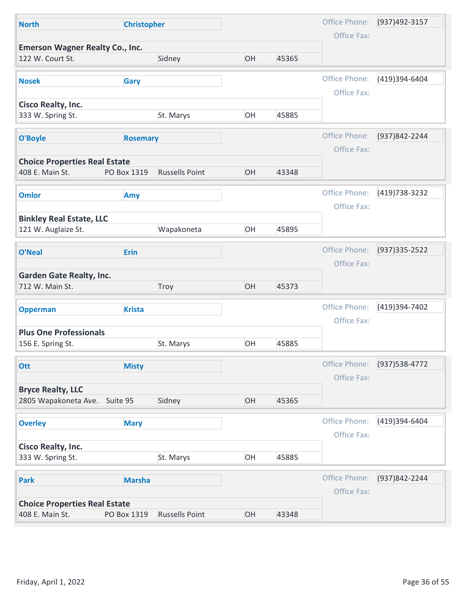| Office Phone:<br>(937)492-3157<br><b>Christopher</b><br><b>North</b><br>Office Fax:<br><b>Emerson Wagner Realty Co., Inc.</b><br>OH<br>122 W. Court St.<br>45365<br>Sidney<br>Office Phone:<br>(419)394-6404<br>Gary<br><b>Nosek</b><br>Office Fax:<br><b>Cisco Realty, Inc.</b><br>OH<br>45885<br>333 W. Spring St.<br>St. Marys<br>Office Phone:<br>(937)842-2244<br>O'Boyle<br><b>Rosemary</b><br>Office Fax:<br><b>Choice Properties Real Estate</b><br><b>Russells Point</b><br>OH<br>408 E. Main St.<br>43348<br>PO Box 1319<br>Office Phone:<br>(419) 738-3232<br><b>Omlor</b><br>Amy<br>Office Fax:<br><b>Binkley Real Estate, LLC</b><br>Wapakoneta<br>OH<br>45895<br>121 W. Auglaize St.<br>Office Phone:<br>(937) 335 - 2522<br>Erin<br>O'Neal<br>Office Fax:<br><b>Garden Gate Realty, Inc.</b><br>OH<br>45373<br>712 W. Main St.<br>Troy<br>Office Phone:<br>(419)394-7402<br><b>Krista</b><br><b>Opperman</b><br>Office Fax:<br><b>Plus One Professionals</b><br>OH<br>45885<br>156 E. Spring St.<br>St. Marys<br>Office Phone:<br>(937) 538-4772<br><b>Ott</b><br><b>Misty</b><br>Office Fax:<br><b>Bryce Realty, LLC</b><br>OH<br>2805 Wapakoneta Ave. Suite 95<br>Sidney<br>45365<br>Office Phone:<br>(419)394-6404<br><b>Overley</b><br><b>Mary</b><br>Office Fax:<br><b>Cisco Realty, Inc.</b><br>St. Marys<br>OH<br>45885<br>333 W. Spring St.<br>Office Phone:<br>(937) 842-2244<br><b>Marsha</b><br><b>Park</b><br>Office Fax:<br><b>Choice Properties Real Estate</b><br>OH<br>408 E. Main St.<br><b>Russells Point</b><br>PO Box 1319<br>43348 | Page 36 of 55<br>Friday, April 1, 2022 |  |  |  |
|------------------------------------------------------------------------------------------------------------------------------------------------------------------------------------------------------------------------------------------------------------------------------------------------------------------------------------------------------------------------------------------------------------------------------------------------------------------------------------------------------------------------------------------------------------------------------------------------------------------------------------------------------------------------------------------------------------------------------------------------------------------------------------------------------------------------------------------------------------------------------------------------------------------------------------------------------------------------------------------------------------------------------------------------------------------------------------------------------------------------------------------------------------------------------------------------------------------------------------------------------------------------------------------------------------------------------------------------------------------------------------------------------------------------------------------------------------------------------------------------------------------------------------------------------------------------|----------------------------------------|--|--|--|
|                                                                                                                                                                                                                                                                                                                                                                                                                                                                                                                                                                                                                                                                                                                                                                                                                                                                                                                                                                                                                                                                                                                                                                                                                                                                                                                                                                                                                                                                                                                                                                        |                                        |  |  |  |
|                                                                                                                                                                                                                                                                                                                                                                                                                                                                                                                                                                                                                                                                                                                                                                                                                                                                                                                                                                                                                                                                                                                                                                                                                                                                                                                                                                                                                                                                                                                                                                        |                                        |  |  |  |
|                                                                                                                                                                                                                                                                                                                                                                                                                                                                                                                                                                                                                                                                                                                                                                                                                                                                                                                                                                                                                                                                                                                                                                                                                                                                                                                                                                                                                                                                                                                                                                        |                                        |  |  |  |
|                                                                                                                                                                                                                                                                                                                                                                                                                                                                                                                                                                                                                                                                                                                                                                                                                                                                                                                                                                                                                                                                                                                                                                                                                                                                                                                                                                                                                                                                                                                                                                        |                                        |  |  |  |
|                                                                                                                                                                                                                                                                                                                                                                                                                                                                                                                                                                                                                                                                                                                                                                                                                                                                                                                                                                                                                                                                                                                                                                                                                                                                                                                                                                                                                                                                                                                                                                        |                                        |  |  |  |
|                                                                                                                                                                                                                                                                                                                                                                                                                                                                                                                                                                                                                                                                                                                                                                                                                                                                                                                                                                                                                                                                                                                                                                                                                                                                                                                                                                                                                                                                                                                                                                        |                                        |  |  |  |
|                                                                                                                                                                                                                                                                                                                                                                                                                                                                                                                                                                                                                                                                                                                                                                                                                                                                                                                                                                                                                                                                                                                                                                                                                                                                                                                                                                                                                                                                                                                                                                        |                                        |  |  |  |
|                                                                                                                                                                                                                                                                                                                                                                                                                                                                                                                                                                                                                                                                                                                                                                                                                                                                                                                                                                                                                                                                                                                                                                                                                                                                                                                                                                                                                                                                                                                                                                        |                                        |  |  |  |
|                                                                                                                                                                                                                                                                                                                                                                                                                                                                                                                                                                                                                                                                                                                                                                                                                                                                                                                                                                                                                                                                                                                                                                                                                                                                                                                                                                                                                                                                                                                                                                        |                                        |  |  |  |
|                                                                                                                                                                                                                                                                                                                                                                                                                                                                                                                                                                                                                                                                                                                                                                                                                                                                                                                                                                                                                                                                                                                                                                                                                                                                                                                                                                                                                                                                                                                                                                        |                                        |  |  |  |
|                                                                                                                                                                                                                                                                                                                                                                                                                                                                                                                                                                                                                                                                                                                                                                                                                                                                                                                                                                                                                                                                                                                                                                                                                                                                                                                                                                                                                                                                                                                                                                        |                                        |  |  |  |
|                                                                                                                                                                                                                                                                                                                                                                                                                                                                                                                                                                                                                                                                                                                                                                                                                                                                                                                                                                                                                                                                                                                                                                                                                                                                                                                                                                                                                                                                                                                                                                        |                                        |  |  |  |
|                                                                                                                                                                                                                                                                                                                                                                                                                                                                                                                                                                                                                                                                                                                                                                                                                                                                                                                                                                                                                                                                                                                                                                                                                                                                                                                                                                                                                                                                                                                                                                        |                                        |  |  |  |
|                                                                                                                                                                                                                                                                                                                                                                                                                                                                                                                                                                                                                                                                                                                                                                                                                                                                                                                                                                                                                                                                                                                                                                                                                                                                                                                                                                                                                                                                                                                                                                        |                                        |  |  |  |
|                                                                                                                                                                                                                                                                                                                                                                                                                                                                                                                                                                                                                                                                                                                                                                                                                                                                                                                                                                                                                                                                                                                                                                                                                                                                                                                                                                                                                                                                                                                                                                        |                                        |  |  |  |
|                                                                                                                                                                                                                                                                                                                                                                                                                                                                                                                                                                                                                                                                                                                                                                                                                                                                                                                                                                                                                                                                                                                                                                                                                                                                                                                                                                                                                                                                                                                                                                        |                                        |  |  |  |
|                                                                                                                                                                                                                                                                                                                                                                                                                                                                                                                                                                                                                                                                                                                                                                                                                                                                                                                                                                                                                                                                                                                                                                                                                                                                                                                                                                                                                                                                                                                                                                        |                                        |  |  |  |
|                                                                                                                                                                                                                                                                                                                                                                                                                                                                                                                                                                                                                                                                                                                                                                                                                                                                                                                                                                                                                                                                                                                                                                                                                                                                                                                                                                                                                                                                                                                                                                        |                                        |  |  |  |
|                                                                                                                                                                                                                                                                                                                                                                                                                                                                                                                                                                                                                                                                                                                                                                                                                                                                                                                                                                                                                                                                                                                                                                                                                                                                                                                                                                                                                                                                                                                                                                        |                                        |  |  |  |
|                                                                                                                                                                                                                                                                                                                                                                                                                                                                                                                                                                                                                                                                                                                                                                                                                                                                                                                                                                                                                                                                                                                                                                                                                                                                                                                                                                                                                                                                                                                                                                        |                                        |  |  |  |
|                                                                                                                                                                                                                                                                                                                                                                                                                                                                                                                                                                                                                                                                                                                                                                                                                                                                                                                                                                                                                                                                                                                                                                                                                                                                                                                                                                                                                                                                                                                                                                        |                                        |  |  |  |
|                                                                                                                                                                                                                                                                                                                                                                                                                                                                                                                                                                                                                                                                                                                                                                                                                                                                                                                                                                                                                                                                                                                                                                                                                                                                                                                                                                                                                                                                                                                                                                        |                                        |  |  |  |
|                                                                                                                                                                                                                                                                                                                                                                                                                                                                                                                                                                                                                                                                                                                                                                                                                                                                                                                                                                                                                                                                                                                                                                                                                                                                                                                                                                                                                                                                                                                                                                        |                                        |  |  |  |
|                                                                                                                                                                                                                                                                                                                                                                                                                                                                                                                                                                                                                                                                                                                                                                                                                                                                                                                                                                                                                                                                                                                                                                                                                                                                                                                                                                                                                                                                                                                                                                        |                                        |  |  |  |
|                                                                                                                                                                                                                                                                                                                                                                                                                                                                                                                                                                                                                                                                                                                                                                                                                                                                                                                                                                                                                                                                                                                                                                                                                                                                                                                                                                                                                                                                                                                                                                        |                                        |  |  |  |
|                                                                                                                                                                                                                                                                                                                                                                                                                                                                                                                                                                                                                                                                                                                                                                                                                                                                                                                                                                                                                                                                                                                                                                                                                                                                                                                                                                                                                                                                                                                                                                        |                                        |  |  |  |
|                                                                                                                                                                                                                                                                                                                                                                                                                                                                                                                                                                                                                                                                                                                                                                                                                                                                                                                                                                                                                                                                                                                                                                                                                                                                                                                                                                                                                                                                                                                                                                        |                                        |  |  |  |
|                                                                                                                                                                                                                                                                                                                                                                                                                                                                                                                                                                                                                                                                                                                                                                                                                                                                                                                                                                                                                                                                                                                                                                                                                                                                                                                                                                                                                                                                                                                                                                        |                                        |  |  |  |
|                                                                                                                                                                                                                                                                                                                                                                                                                                                                                                                                                                                                                                                                                                                                                                                                                                                                                                                                                                                                                                                                                                                                                                                                                                                                                                                                                                                                                                                                                                                                                                        |                                        |  |  |  |
|                                                                                                                                                                                                                                                                                                                                                                                                                                                                                                                                                                                                                                                                                                                                                                                                                                                                                                                                                                                                                                                                                                                                                                                                                                                                                                                                                                                                                                                                                                                                                                        |                                        |  |  |  |
|                                                                                                                                                                                                                                                                                                                                                                                                                                                                                                                                                                                                                                                                                                                                                                                                                                                                                                                                                                                                                                                                                                                                                                                                                                                                                                                                                                                                                                                                                                                                                                        |                                        |  |  |  |
|                                                                                                                                                                                                                                                                                                                                                                                                                                                                                                                                                                                                                                                                                                                                                                                                                                                                                                                                                                                                                                                                                                                                                                                                                                                                                                                                                                                                                                                                                                                                                                        |                                        |  |  |  |
|                                                                                                                                                                                                                                                                                                                                                                                                                                                                                                                                                                                                                                                                                                                                                                                                                                                                                                                                                                                                                                                                                                                                                                                                                                                                                                                                                                                                                                                                                                                                                                        |                                        |  |  |  |
|                                                                                                                                                                                                                                                                                                                                                                                                                                                                                                                                                                                                                                                                                                                                                                                                                                                                                                                                                                                                                                                                                                                                                                                                                                                                                                                                                                                                                                                                                                                                                                        |                                        |  |  |  |
|                                                                                                                                                                                                                                                                                                                                                                                                                                                                                                                                                                                                                                                                                                                                                                                                                                                                                                                                                                                                                                                                                                                                                                                                                                                                                                                                                                                                                                                                                                                                                                        |                                        |  |  |  |
|                                                                                                                                                                                                                                                                                                                                                                                                                                                                                                                                                                                                                                                                                                                                                                                                                                                                                                                                                                                                                                                                                                                                                                                                                                                                                                                                                                                                                                                                                                                                                                        |                                        |  |  |  |
|                                                                                                                                                                                                                                                                                                                                                                                                                                                                                                                                                                                                                                                                                                                                                                                                                                                                                                                                                                                                                                                                                                                                                                                                                                                                                                                                                                                                                                                                                                                                                                        |                                        |  |  |  |
|                                                                                                                                                                                                                                                                                                                                                                                                                                                                                                                                                                                                                                                                                                                                                                                                                                                                                                                                                                                                                                                                                                                                                                                                                                                                                                                                                                                                                                                                                                                                                                        |                                        |  |  |  |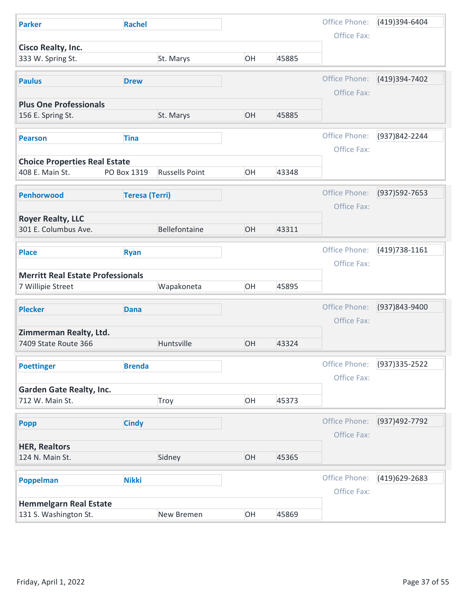| Office Phone:<br>(419)394-6404<br><b>Rachel</b><br><b>Parker</b><br>Office Fax:<br>Cisco Realty, Inc.<br>333 W. Spring St.<br>St. Marys<br>OH<br>45885<br>Office Phone:<br>(419)394-7402<br><b>Paulus</b><br><b>Drew</b><br>Office Fax:<br><b>Plus One Professionals</b><br>OH<br>45885<br>156 E. Spring St.<br>St. Marys<br>Office Phone:<br>(937)842-2244<br><b>Tina</b><br><b>Pearson</b><br>Office Fax:<br><b>Choice Properties Real Estate</b><br><b>Russells Point</b><br>408 E. Main St.<br>PO Box 1319<br>OH<br>43348<br>Office Phone:<br>(937) 592-7653<br><b>Teresa (Terri)</b><br>Penhorwood<br>Office Fax:<br><b>Royer Realty, LLC</b><br>Bellefontaine<br>301 E. Columbus Ave.<br>OH<br>43311<br>Office Phone:<br>(419) 738-1161<br><b>Place</b><br><b>Ryan</b><br>Office Fax:<br><b>Merritt Real Estate Professionals</b><br>Wapakoneta<br>OH<br>45895<br>7 Willipie Street<br>Office Phone:<br>(937)843-9400<br><b>Plecker</b><br><b>Dana</b><br>Office Fax:<br>Zimmerman Realty, Ltd.<br>Huntsville<br>OH<br>43324<br>7409 State Route 366<br>Office Phone:<br>$(937)335 - 2522$<br><b>Brenda</b><br><b>Poettinger</b><br>Office Fax:<br><b>Garden Gate Realty, Inc.</b><br>OH<br>45373<br>712 W. Main St.<br>Troy<br>Office Phone:<br>(937)492-7792<br><b>Cindy</b><br>Popp<br>Office Fax:<br><b>HER, Realtors</b><br>OH<br>Sidney<br>124 N. Main St.<br>45365<br>Office Phone:<br>(419)629-2683<br><b>Nikki</b><br>Poppelman<br>Office Fax:<br><b>Hemmelgarn Real Estate</b><br>OH<br>131 S. Washington St.<br>45869<br>New Bremen |                       |  |  |               |
|------------------------------------------------------------------------------------------------------------------------------------------------------------------------------------------------------------------------------------------------------------------------------------------------------------------------------------------------------------------------------------------------------------------------------------------------------------------------------------------------------------------------------------------------------------------------------------------------------------------------------------------------------------------------------------------------------------------------------------------------------------------------------------------------------------------------------------------------------------------------------------------------------------------------------------------------------------------------------------------------------------------------------------------------------------------------------------------------------------------------------------------------------------------------------------------------------------------------------------------------------------------------------------------------------------------------------------------------------------------------------------------------------------------------------------------------------------------------------------------------------------------------------------------------------|-----------------------|--|--|---------------|
|                                                                                                                                                                                                                                                                                                                                                                                                                                                                                                                                                                                                                                                                                                                                                                                                                                                                                                                                                                                                                                                                                                                                                                                                                                                                                                                                                                                                                                                                                                                                                      |                       |  |  |               |
|                                                                                                                                                                                                                                                                                                                                                                                                                                                                                                                                                                                                                                                                                                                                                                                                                                                                                                                                                                                                                                                                                                                                                                                                                                                                                                                                                                                                                                                                                                                                                      |                       |  |  |               |
|                                                                                                                                                                                                                                                                                                                                                                                                                                                                                                                                                                                                                                                                                                                                                                                                                                                                                                                                                                                                                                                                                                                                                                                                                                                                                                                                                                                                                                                                                                                                                      |                       |  |  |               |
|                                                                                                                                                                                                                                                                                                                                                                                                                                                                                                                                                                                                                                                                                                                                                                                                                                                                                                                                                                                                                                                                                                                                                                                                                                                                                                                                                                                                                                                                                                                                                      |                       |  |  |               |
|                                                                                                                                                                                                                                                                                                                                                                                                                                                                                                                                                                                                                                                                                                                                                                                                                                                                                                                                                                                                                                                                                                                                                                                                                                                                                                                                                                                                                                                                                                                                                      |                       |  |  |               |
|                                                                                                                                                                                                                                                                                                                                                                                                                                                                                                                                                                                                                                                                                                                                                                                                                                                                                                                                                                                                                                                                                                                                                                                                                                                                                                                                                                                                                                                                                                                                                      |                       |  |  |               |
|                                                                                                                                                                                                                                                                                                                                                                                                                                                                                                                                                                                                                                                                                                                                                                                                                                                                                                                                                                                                                                                                                                                                                                                                                                                                                                                                                                                                                                                                                                                                                      |                       |  |  |               |
|                                                                                                                                                                                                                                                                                                                                                                                                                                                                                                                                                                                                                                                                                                                                                                                                                                                                                                                                                                                                                                                                                                                                                                                                                                                                                                                                                                                                                                                                                                                                                      |                       |  |  |               |
|                                                                                                                                                                                                                                                                                                                                                                                                                                                                                                                                                                                                                                                                                                                                                                                                                                                                                                                                                                                                                                                                                                                                                                                                                                                                                                                                                                                                                                                                                                                                                      |                       |  |  |               |
|                                                                                                                                                                                                                                                                                                                                                                                                                                                                                                                                                                                                                                                                                                                                                                                                                                                                                                                                                                                                                                                                                                                                                                                                                                                                                                                                                                                                                                                                                                                                                      |                       |  |  |               |
|                                                                                                                                                                                                                                                                                                                                                                                                                                                                                                                                                                                                                                                                                                                                                                                                                                                                                                                                                                                                                                                                                                                                                                                                                                                                                                                                                                                                                                                                                                                                                      |                       |  |  |               |
|                                                                                                                                                                                                                                                                                                                                                                                                                                                                                                                                                                                                                                                                                                                                                                                                                                                                                                                                                                                                                                                                                                                                                                                                                                                                                                                                                                                                                                                                                                                                                      |                       |  |  |               |
|                                                                                                                                                                                                                                                                                                                                                                                                                                                                                                                                                                                                                                                                                                                                                                                                                                                                                                                                                                                                                                                                                                                                                                                                                                                                                                                                                                                                                                                                                                                                                      |                       |  |  |               |
|                                                                                                                                                                                                                                                                                                                                                                                                                                                                                                                                                                                                                                                                                                                                                                                                                                                                                                                                                                                                                                                                                                                                                                                                                                                                                                                                                                                                                                                                                                                                                      |                       |  |  |               |
|                                                                                                                                                                                                                                                                                                                                                                                                                                                                                                                                                                                                                                                                                                                                                                                                                                                                                                                                                                                                                                                                                                                                                                                                                                                                                                                                                                                                                                                                                                                                                      |                       |  |  |               |
|                                                                                                                                                                                                                                                                                                                                                                                                                                                                                                                                                                                                                                                                                                                                                                                                                                                                                                                                                                                                                                                                                                                                                                                                                                                                                                                                                                                                                                                                                                                                                      |                       |  |  |               |
|                                                                                                                                                                                                                                                                                                                                                                                                                                                                                                                                                                                                                                                                                                                                                                                                                                                                                                                                                                                                                                                                                                                                                                                                                                                                                                                                                                                                                                                                                                                                                      |                       |  |  |               |
|                                                                                                                                                                                                                                                                                                                                                                                                                                                                                                                                                                                                                                                                                                                                                                                                                                                                                                                                                                                                                                                                                                                                                                                                                                                                                                                                                                                                                                                                                                                                                      |                       |  |  |               |
|                                                                                                                                                                                                                                                                                                                                                                                                                                                                                                                                                                                                                                                                                                                                                                                                                                                                                                                                                                                                                                                                                                                                                                                                                                                                                                                                                                                                                                                                                                                                                      | Friday, April 1, 2022 |  |  | Page 37 of 55 |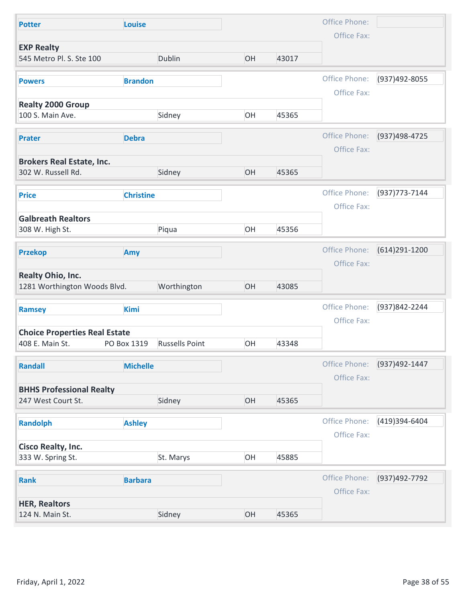| Office Phone:<br>Louise<br><b>Potter</b><br>Office Fax:<br><b>EXP Realty</b><br>545 Metro Pl. S. Ste 100<br>Dublin<br>OH<br>43017<br>Office Phone:<br>(937)492-8055<br><b>Brandon</b><br><b>Powers</b><br>Office Fax: |
|-----------------------------------------------------------------------------------------------------------------------------------------------------------------------------------------------------------------------|
|                                                                                                                                                                                                                       |
|                                                                                                                                                                                                                       |
|                                                                                                                                                                                                                       |
|                                                                                                                                                                                                                       |
| <b>Realty 2000 Group</b>                                                                                                                                                                                              |
| OH<br>100 S. Main Ave.<br>Sidney<br>45365                                                                                                                                                                             |
| Office Phone:<br>(937)498-4725                                                                                                                                                                                        |
| <b>Debra</b><br><b>Prater</b><br>Office Fax:                                                                                                                                                                          |
| <b>Brokers Real Estate, Inc.</b>                                                                                                                                                                                      |
| 302 W. Russell Rd.<br>Sidney<br>OH<br>45365                                                                                                                                                                           |
| Office Phone:<br>(937) 773-7144<br><b>Christine</b><br><b>Price</b>                                                                                                                                                   |
| Office Fax:<br><b>Galbreath Realtors</b>                                                                                                                                                                              |
| OH<br>308 W. High St.<br>Piqua<br>45356                                                                                                                                                                               |
| Office Phone:<br>(614) 291-1200<br><b>Przekop</b><br>Amy                                                                                                                                                              |
| Office Fax:                                                                                                                                                                                                           |
| Realty Ohio, Inc.                                                                                                                                                                                                     |
| Worthington<br>OH<br>1281 Worthington Woods Blvd.<br>43085                                                                                                                                                            |
| Office Phone:<br>(937)842-2244<br><b>Kimi</b><br>Ramsey                                                                                                                                                               |
| Office Fax:<br><b>Choice Properties Real Estate</b>                                                                                                                                                                   |
| OH<br>408 E. Main St.<br><b>Russells Point</b><br>43348<br>PO Box 1319                                                                                                                                                |
| Office Phone:<br>(937)492-1447<br><b>Michelle</b><br><b>Randall</b>                                                                                                                                                   |
| Office Fax:                                                                                                                                                                                                           |
| <b>BHHS Professional Realty</b><br>OH<br>Sidney<br>247 West Court St.<br>45365                                                                                                                                        |
|                                                                                                                                                                                                                       |
| Office Phone:<br>(419)394-6404<br><b>Randolph</b><br><b>Ashley</b><br>Office Fax:                                                                                                                                     |
| <b>Cisco Realty, Inc.</b>                                                                                                                                                                                             |
| OH<br>St. Marys<br>45885<br>333 W. Spring St.                                                                                                                                                                         |
| Office Phone:<br>(937)492-7792<br><b>Barbara</b><br><b>Rank</b>                                                                                                                                                       |
| Office Fax:                                                                                                                                                                                                           |
|                                                                                                                                                                                                                       |
| <b>HER, Realtors</b><br>OH<br>Sidney<br>124 N. Main St.<br>45365                                                                                                                                                      |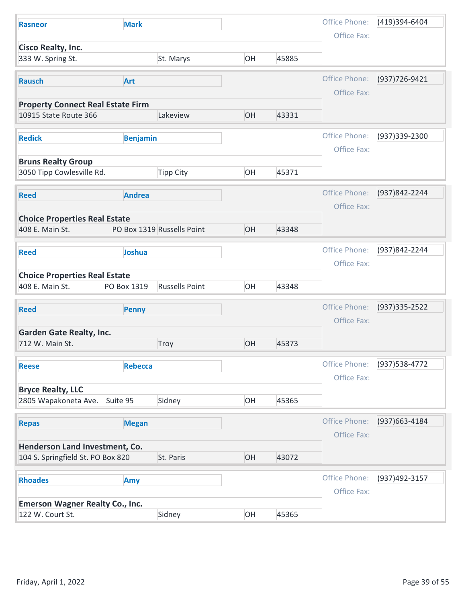| Office Phone:<br>(419)394-6404<br><b>Mark</b><br><b>Rasneor</b><br>Office Fax:<br>Cisco Realty, Inc.<br>St. Marys<br>OH<br>45885<br>333 W. Spring St.<br>Office Phone:<br>(937) 726-9421<br><b>Art</b><br><b>Rausch</b><br>Office Fax:<br><b>Property Connect Real Estate Firm</b><br>10915 State Route 366<br>Lakeview<br>OH<br>43331<br>Office Phone:<br>(937) 339-2300<br><b>Redick</b><br><b>Benjamin</b><br>Office Fax:<br><b>Bruns Realty Group</b><br>3050 Tipp Cowlesville Rd.<br><b>Tipp City</b><br>OH<br>45371<br>Office Phone:<br>(937)842-2244<br><b>Andrea</b><br><b>Reed</b><br>Office Fax:<br><b>Choice Properties Real Estate</b><br>OH<br>PO Box 1319 Russells Point<br>408 E. Main St.<br>43348<br>Office Phone:<br>(937)842-2244<br><b>Joshua</b><br><b>Reed</b><br>Office Fax:<br><b>Choice Properties Real Estate</b><br>OH<br><b>Russells Point</b><br>408 E. Main St.<br>PO Box 1319<br>43348<br>Office Phone:<br>(937) 335 - 2522<br><b>Reed</b><br><b>Penny</b><br>Office Fax:<br><b>Garden Gate Realty, Inc.</b><br>OH<br>712 W. Main St.<br>Troy<br>45373<br>Office Phone:<br>(937) 538-4772<br><b>Rebecca</b><br><b>Reese</b><br>Office Fax:<br><b>Bryce Realty, LLC</b><br>Sidney<br>OH<br>45365<br>2805 Wapakoneta Ave. Suite 95<br>Office Phone:<br>(937) 663-4184<br><b>Megan</b><br><b>Repas</b><br>Office Fax:<br>Henderson Land Investment, Co.<br>104 S. Springfield St. PO Box 820<br>OH<br>43072<br>St. Paris<br>Office Phone:<br>(937)492-3157<br><b>Rhoades</b><br>Amy<br>Office Fax:<br><b>Emerson Wagner Realty Co., Inc.</b><br>OH<br>Sidney<br>45365<br>122 W. Court St. | Friday, April 1, 2022 |  |  |  |  |
|-----------------------------------------------------------------------------------------------------------------------------------------------------------------------------------------------------------------------------------------------------------------------------------------------------------------------------------------------------------------------------------------------------------------------------------------------------------------------------------------------------------------------------------------------------------------------------------------------------------------------------------------------------------------------------------------------------------------------------------------------------------------------------------------------------------------------------------------------------------------------------------------------------------------------------------------------------------------------------------------------------------------------------------------------------------------------------------------------------------------------------------------------------------------------------------------------------------------------------------------------------------------------------------------------------------------------------------------------------------------------------------------------------------------------------------------------------------------------------------------------------------------------------------------------------------------------------------------------------------------------|-----------------------|--|--|--|--|
|                                                                                                                                                                                                                                                                                                                                                                                                                                                                                                                                                                                                                                                                                                                                                                                                                                                                                                                                                                                                                                                                                                                                                                                                                                                                                                                                                                                                                                                                                                                                                                                                                       |                       |  |  |  |  |
|                                                                                                                                                                                                                                                                                                                                                                                                                                                                                                                                                                                                                                                                                                                                                                                                                                                                                                                                                                                                                                                                                                                                                                                                                                                                                                                                                                                                                                                                                                                                                                                                                       |                       |  |  |  |  |
|                                                                                                                                                                                                                                                                                                                                                                                                                                                                                                                                                                                                                                                                                                                                                                                                                                                                                                                                                                                                                                                                                                                                                                                                                                                                                                                                                                                                                                                                                                                                                                                                                       |                       |  |  |  |  |
|                                                                                                                                                                                                                                                                                                                                                                                                                                                                                                                                                                                                                                                                                                                                                                                                                                                                                                                                                                                                                                                                                                                                                                                                                                                                                                                                                                                                                                                                                                                                                                                                                       |                       |  |  |  |  |
|                                                                                                                                                                                                                                                                                                                                                                                                                                                                                                                                                                                                                                                                                                                                                                                                                                                                                                                                                                                                                                                                                                                                                                                                                                                                                                                                                                                                                                                                                                                                                                                                                       |                       |  |  |  |  |
|                                                                                                                                                                                                                                                                                                                                                                                                                                                                                                                                                                                                                                                                                                                                                                                                                                                                                                                                                                                                                                                                                                                                                                                                                                                                                                                                                                                                                                                                                                                                                                                                                       |                       |  |  |  |  |
|                                                                                                                                                                                                                                                                                                                                                                                                                                                                                                                                                                                                                                                                                                                                                                                                                                                                                                                                                                                                                                                                                                                                                                                                                                                                                                                                                                                                                                                                                                                                                                                                                       |                       |  |  |  |  |
|                                                                                                                                                                                                                                                                                                                                                                                                                                                                                                                                                                                                                                                                                                                                                                                                                                                                                                                                                                                                                                                                                                                                                                                                                                                                                                                                                                                                                                                                                                                                                                                                                       |                       |  |  |  |  |
|                                                                                                                                                                                                                                                                                                                                                                                                                                                                                                                                                                                                                                                                                                                                                                                                                                                                                                                                                                                                                                                                                                                                                                                                                                                                                                                                                                                                                                                                                                                                                                                                                       |                       |  |  |  |  |
|                                                                                                                                                                                                                                                                                                                                                                                                                                                                                                                                                                                                                                                                                                                                                                                                                                                                                                                                                                                                                                                                                                                                                                                                                                                                                                                                                                                                                                                                                                                                                                                                                       |                       |  |  |  |  |
|                                                                                                                                                                                                                                                                                                                                                                                                                                                                                                                                                                                                                                                                                                                                                                                                                                                                                                                                                                                                                                                                                                                                                                                                                                                                                                                                                                                                                                                                                                                                                                                                                       |                       |  |  |  |  |
|                                                                                                                                                                                                                                                                                                                                                                                                                                                                                                                                                                                                                                                                                                                                                                                                                                                                                                                                                                                                                                                                                                                                                                                                                                                                                                                                                                                                                                                                                                                                                                                                                       |                       |  |  |  |  |
|                                                                                                                                                                                                                                                                                                                                                                                                                                                                                                                                                                                                                                                                                                                                                                                                                                                                                                                                                                                                                                                                                                                                                                                                                                                                                                                                                                                                                                                                                                                                                                                                                       |                       |  |  |  |  |
|                                                                                                                                                                                                                                                                                                                                                                                                                                                                                                                                                                                                                                                                                                                                                                                                                                                                                                                                                                                                                                                                                                                                                                                                                                                                                                                                                                                                                                                                                                                                                                                                                       |                       |  |  |  |  |
|                                                                                                                                                                                                                                                                                                                                                                                                                                                                                                                                                                                                                                                                                                                                                                                                                                                                                                                                                                                                                                                                                                                                                                                                                                                                                                                                                                                                                                                                                                                                                                                                                       |                       |  |  |  |  |
|                                                                                                                                                                                                                                                                                                                                                                                                                                                                                                                                                                                                                                                                                                                                                                                                                                                                                                                                                                                                                                                                                                                                                                                                                                                                                                                                                                                                                                                                                                                                                                                                                       |                       |  |  |  |  |
|                                                                                                                                                                                                                                                                                                                                                                                                                                                                                                                                                                                                                                                                                                                                                                                                                                                                                                                                                                                                                                                                                                                                                                                                                                                                                                                                                                                                                                                                                                                                                                                                                       |                       |  |  |  |  |
|                                                                                                                                                                                                                                                                                                                                                                                                                                                                                                                                                                                                                                                                                                                                                                                                                                                                                                                                                                                                                                                                                                                                                                                                                                                                                                                                                                                                                                                                                                                                                                                                                       |                       |  |  |  |  |
|                                                                                                                                                                                                                                                                                                                                                                                                                                                                                                                                                                                                                                                                                                                                                                                                                                                                                                                                                                                                                                                                                                                                                                                                                                                                                                                                                                                                                                                                                                                                                                                                                       |                       |  |  |  |  |
|                                                                                                                                                                                                                                                                                                                                                                                                                                                                                                                                                                                                                                                                                                                                                                                                                                                                                                                                                                                                                                                                                                                                                                                                                                                                                                                                                                                                                                                                                                                                                                                                                       |                       |  |  |  |  |
|                                                                                                                                                                                                                                                                                                                                                                                                                                                                                                                                                                                                                                                                                                                                                                                                                                                                                                                                                                                                                                                                                                                                                                                                                                                                                                                                                                                                                                                                                                                                                                                                                       |                       |  |  |  |  |
|                                                                                                                                                                                                                                                                                                                                                                                                                                                                                                                                                                                                                                                                                                                                                                                                                                                                                                                                                                                                                                                                                                                                                                                                                                                                                                                                                                                                                                                                                                                                                                                                                       |                       |  |  |  |  |
|                                                                                                                                                                                                                                                                                                                                                                                                                                                                                                                                                                                                                                                                                                                                                                                                                                                                                                                                                                                                                                                                                                                                                                                                                                                                                                                                                                                                                                                                                                                                                                                                                       |                       |  |  |  |  |
|                                                                                                                                                                                                                                                                                                                                                                                                                                                                                                                                                                                                                                                                                                                                                                                                                                                                                                                                                                                                                                                                                                                                                                                                                                                                                                                                                                                                                                                                                                                                                                                                                       |                       |  |  |  |  |
|                                                                                                                                                                                                                                                                                                                                                                                                                                                                                                                                                                                                                                                                                                                                                                                                                                                                                                                                                                                                                                                                                                                                                                                                                                                                                                                                                                                                                                                                                                                                                                                                                       |                       |  |  |  |  |
|                                                                                                                                                                                                                                                                                                                                                                                                                                                                                                                                                                                                                                                                                                                                                                                                                                                                                                                                                                                                                                                                                                                                                                                                                                                                                                                                                                                                                                                                                                                                                                                                                       |                       |  |  |  |  |
|                                                                                                                                                                                                                                                                                                                                                                                                                                                                                                                                                                                                                                                                                                                                                                                                                                                                                                                                                                                                                                                                                                                                                                                                                                                                                                                                                                                                                                                                                                                                                                                                                       |                       |  |  |  |  |
|                                                                                                                                                                                                                                                                                                                                                                                                                                                                                                                                                                                                                                                                                                                                                                                                                                                                                                                                                                                                                                                                                                                                                                                                                                                                                                                                                                                                                                                                                                                                                                                                                       |                       |  |  |  |  |
|                                                                                                                                                                                                                                                                                                                                                                                                                                                                                                                                                                                                                                                                                                                                                                                                                                                                                                                                                                                                                                                                                                                                                                                                                                                                                                                                                                                                                                                                                                                                                                                                                       |                       |  |  |  |  |
|                                                                                                                                                                                                                                                                                                                                                                                                                                                                                                                                                                                                                                                                                                                                                                                                                                                                                                                                                                                                                                                                                                                                                                                                                                                                                                                                                                                                                                                                                                                                                                                                                       |                       |  |  |  |  |
|                                                                                                                                                                                                                                                                                                                                                                                                                                                                                                                                                                                                                                                                                                                                                                                                                                                                                                                                                                                                                                                                                                                                                                                                                                                                                                                                                                                                                                                                                                                                                                                                                       |                       |  |  |  |  |
|                                                                                                                                                                                                                                                                                                                                                                                                                                                                                                                                                                                                                                                                                                                                                                                                                                                                                                                                                                                                                                                                                                                                                                                                                                                                                                                                                                                                                                                                                                                                                                                                                       |                       |  |  |  |  |
|                                                                                                                                                                                                                                                                                                                                                                                                                                                                                                                                                                                                                                                                                                                                                                                                                                                                                                                                                                                                                                                                                                                                                                                                                                                                                                                                                                                                                                                                                                                                                                                                                       |                       |  |  |  |  |
|                                                                                                                                                                                                                                                                                                                                                                                                                                                                                                                                                                                                                                                                                                                                                                                                                                                                                                                                                                                                                                                                                                                                                                                                                                                                                                                                                                                                                                                                                                                                                                                                                       |                       |  |  |  |  |
|                                                                                                                                                                                                                                                                                                                                                                                                                                                                                                                                                                                                                                                                                                                                                                                                                                                                                                                                                                                                                                                                                                                                                                                                                                                                                                                                                                                                                                                                                                                                                                                                                       |                       |  |  |  |  |
|                                                                                                                                                                                                                                                                                                                                                                                                                                                                                                                                                                                                                                                                                                                                                                                                                                                                                                                                                                                                                                                                                                                                                                                                                                                                                                                                                                                                                                                                                                                                                                                                                       |                       |  |  |  |  |
|                                                                                                                                                                                                                                                                                                                                                                                                                                                                                                                                                                                                                                                                                                                                                                                                                                                                                                                                                                                                                                                                                                                                                                                                                                                                                                                                                                                                                                                                                                                                                                                                                       |                       |  |  |  |  |
|                                                                                                                                                                                                                                                                                                                                                                                                                                                                                                                                                                                                                                                                                                                                                                                                                                                                                                                                                                                                                                                                                                                                                                                                                                                                                                                                                                                                                                                                                                                                                                                                                       |                       |  |  |  |  |
|                                                                                                                                                                                                                                                                                                                                                                                                                                                                                                                                                                                                                                                                                                                                                                                                                                                                                                                                                                                                                                                                                                                                                                                                                                                                                                                                                                                                                                                                                                                                                                                                                       |                       |  |  |  |  |
| Page 39 of 55                                                                                                                                                                                                                                                                                                                                                                                                                                                                                                                                                                                                                                                                                                                                                                                                                                                                                                                                                                                                                                                                                                                                                                                                                                                                                                                                                                                                                                                                                                                                                                                                         |                       |  |  |  |  |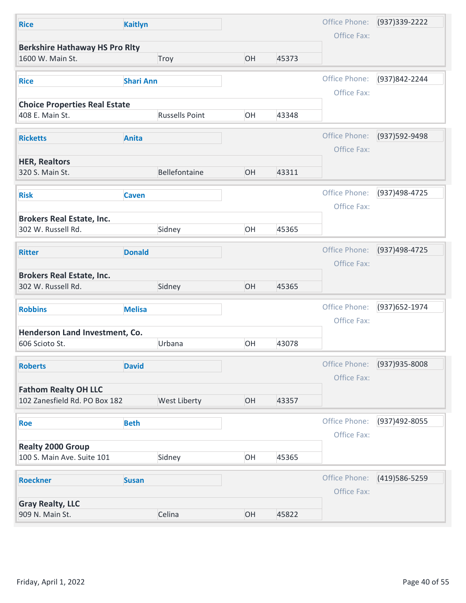| <b>Kaitlyn</b>                                |                                                                                                                                                                                                             |       | Office Phone: | (937) 339-2222                                                                               |
|-----------------------------------------------|-------------------------------------------------------------------------------------------------------------------------------------------------------------------------------------------------------------|-------|---------------|----------------------------------------------------------------------------------------------|
|                                               |                                                                                                                                                                                                             |       | Office Fax:   |                                                                                              |
| <b>Berkshire Hathaway HS Pro Rlty</b><br>Troy | OH                                                                                                                                                                                                          | 45373 |               |                                                                                              |
|                                               |                                                                                                                                                                                                             |       | Office Phone: | (937)842-2244                                                                                |
|                                               |                                                                                                                                                                                                             |       |               |                                                                                              |
| <b>Russells Point</b>                         | OH                                                                                                                                                                                                          | 43348 |               |                                                                                              |
|                                               |                                                                                                                                                                                                             |       |               |                                                                                              |
|                                               |                                                                                                                                                                                                             |       |               | (937) 592-9498                                                                               |
|                                               |                                                                                                                                                                                                             |       |               |                                                                                              |
| Bellefontaine                                 | OH                                                                                                                                                                                                          | 43311 |               |                                                                                              |
|                                               |                                                                                                                                                                                                             |       | Office Phone: | (937)498-4725                                                                                |
|                                               |                                                                                                                                                                                                             |       | Office Fax:   |                                                                                              |
| Sidney                                        | OH                                                                                                                                                                                                          | 45365 |               |                                                                                              |
|                                               |                                                                                                                                                                                                             |       | Office Phone: | (937)498-4725                                                                                |
|                                               |                                                                                                                                                                                                             |       | Office Fax:   |                                                                                              |
| Sidney                                        | OH                                                                                                                                                                                                          | 45365 |               |                                                                                              |
|                                               |                                                                                                                                                                                                             |       |               | (937) 652-1974                                                                               |
|                                               |                                                                                                                                                                                                             |       |               |                                                                                              |
|                                               |                                                                                                                                                                                                             |       |               |                                                                                              |
| Urbana                                        | OH                                                                                                                                                                                                          | 43078 |               |                                                                                              |
|                                               |                                                                                                                                                                                                             |       | Office Phone: | (937) 935-8008                                                                               |
|                                               |                                                                                                                                                                                                             |       | Office Fax:   |                                                                                              |
| <b>West Liberty</b>                           | OH                                                                                                                                                                                                          | 43357 |               |                                                                                              |
|                                               |                                                                                                                                                                                                             |       | Office Phone: | (937)492-8055                                                                                |
|                                               |                                                                                                                                                                                                             |       | Office Fax:   |                                                                                              |
| Sidney                                        | OH                                                                                                                                                                                                          | 45365 |               |                                                                                              |
|                                               |                                                                                                                                                                                                             |       |               |                                                                                              |
|                                               |                                                                                                                                                                                                             |       | Office Fax:   | (419) 586-5259                                                                               |
|                                               |                                                                                                                                                                                                             |       |               |                                                                                              |
|                                               |                                                                                                                                                                                                             |       |               |                                                                                              |
|                                               | <b>Shari Ann</b><br><b>Choice Properties Real Estate</b><br><b>Anita</b><br><b>Caven</b><br><b>Donald</b><br><b>Melisa</b><br>Henderson Land Investment, Co.<br><b>David</b><br><b>Beth</b><br><b>Susan</b> |       |               | Office Fax:<br>Office Phone:<br>Office Fax:<br>Office Phone:<br>Office Fax:<br>Office Phone: |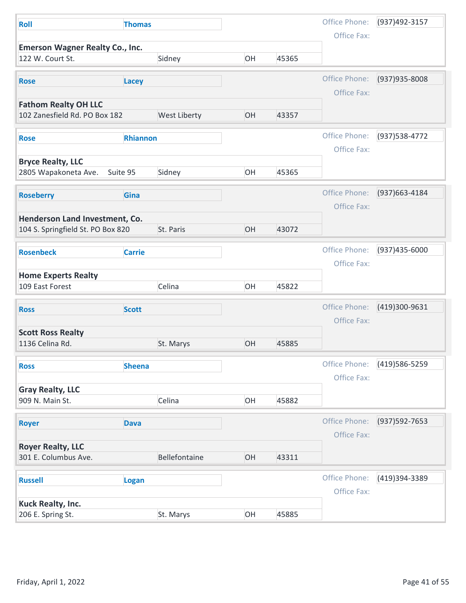| Roll                                                       | <b>Thomas</b>   |               |    |       | Office Phone: | (937)492-3157  |
|------------------------------------------------------------|-----------------|---------------|----|-------|---------------|----------------|
|                                                            |                 |               |    |       | Office Fax:   |                |
| <b>Emerson Wagner Realty Co., Inc.</b><br>122 W. Court St. |                 | Sidney        | OH | 45365 |               |                |
|                                                            |                 |               |    |       |               |                |
| <b>Rose</b>                                                | Lacey           |               |    |       | Office Phone: | (937) 935-8008 |
| <b>Fathom Realty OH LLC</b>                                |                 |               |    |       | Office Fax:   |                |
| 102 Zanesfield Rd. PO Box 182                              |                 | West Liberty  | OH | 43357 |               |                |
|                                                            |                 |               |    |       | Office Phone: | (937) 538-4772 |
| <b>Rose</b>                                                | <b>Rhiannon</b> |               |    |       | Office Fax:   |                |
| <b>Bryce Realty, LLC</b>                                   |                 |               |    |       |               |                |
| 2805 Wapakoneta Ave.                                       | Suite 95        | Sidney        | OH | 45365 |               |                |
|                                                            | Gina            |               |    |       | Office Phone: | (937) 663-4184 |
| <b>Roseberry</b>                                           |                 |               |    |       | Office Fax:   |                |
| Henderson Land Investment, Co.                             |                 |               |    |       |               |                |
| 104 S. Springfield St. PO Box 820                          |                 | St. Paris     | OH | 43072 |               |                |
| <b>Rosenbeck</b>                                           | <b>Carrie</b>   |               |    |       | Office Phone: | (937)435-6000  |
|                                                            |                 |               |    |       | Office Fax:   |                |
| <b>Home Experts Realty</b>                                 |                 |               |    |       |               |                |
| 109 East Forest                                            |                 | Celina        | OH | 45822 |               |                |
| <b>Ross</b>                                                | <b>Scott</b>    |               |    |       | Office Phone: | (419)300-9631  |
|                                                            |                 |               |    |       | Office Fax:   |                |
| <b>Scott Ross Realty</b>                                   |                 |               |    |       |               |                |
| 1136 Celina Rd.                                            |                 | St. Marys     | OH | 45885 |               |                |
| <b>Ross</b>                                                | <b>Sheena</b>   |               |    |       | Office Phone: | (419) 586-5259 |
|                                                            |                 |               |    |       | Office Fax:   |                |
| <b>Gray Realty, LLC</b>                                    |                 |               |    |       |               |                |
| 909 N. Main St.                                            |                 | Celina        | OH | 45882 |               |                |
| <b>Royer</b>                                               | <b>Dava</b>     |               |    |       | Office Phone: | (937) 592-7653 |
|                                                            |                 |               |    |       | Office Fax:   |                |
| <b>Royer Realty, LLC</b><br>301 E. Columbus Ave.           |                 | Bellefontaine | OH | 43311 |               |                |
|                                                            |                 |               |    |       |               |                |
| <b>Russell</b>                                             | Logan           |               |    |       | Office Phone: | (419)394-3389  |
|                                                            |                 |               |    |       | Office Fax:   |                |
|                                                            |                 | St. Marys     | OH | 45885 |               |                |
| Kuck Realty, Inc.<br>206 E. Spring St.                     |                 |               |    |       |               |                |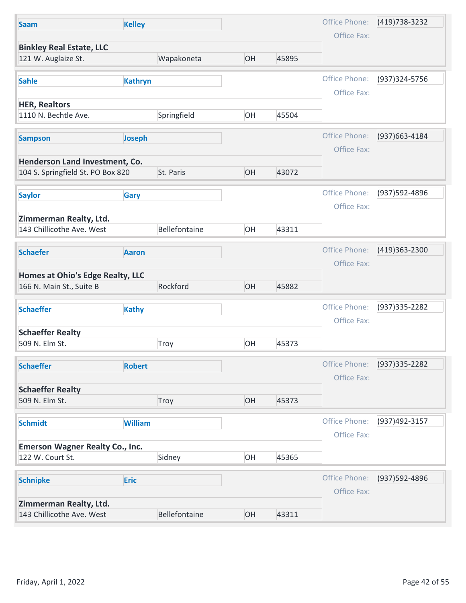| <b>Saam</b>                                                         | <b>Kelley</b>  |               |    |       | Office Phone:                | (419) 738-3232   |
|---------------------------------------------------------------------|----------------|---------------|----|-------|------------------------------|------------------|
|                                                                     |                |               |    |       | Office Fax:                  |                  |
| <b>Binkley Real Estate, LLC</b><br>121 W. Auglaize St.              |                | Wapakoneta    | OH | 45895 |                              |                  |
| <b>Sahle</b>                                                        | <b>Kathryn</b> |               |    |       | Office Phone:                | (937) 324-5756   |
| <b>HER, Realtors</b><br>1110 N. Bechtle Ave.                        |                | Springfield   | OH | 45504 | Office Fax:                  |                  |
|                                                                     |                |               |    |       |                              |                  |
| <b>Sampson</b>                                                      | Joseph         |               |    |       | Office Phone:<br>Office Fax: | (937) 663-4184   |
| Henderson Land Investment, Co.<br>104 S. Springfield St. PO Box 820 |                | St. Paris     | OH | 43072 |                              |                  |
| <b>Saylor</b>                                                       | Gary           |               |    |       | Office Phone:                | (937) 592-4896   |
| Zimmerman Realty, Ltd.                                              |                |               |    |       | Office Fax:                  |                  |
| 143 Chillicothe Ave. West                                           |                | Bellefontaine | OH | 43311 |                              |                  |
| <b>Schaefer</b>                                                     | <b>Aaron</b>   |               |    |       | Office Phone:<br>Office Fax: | (419)363-2300    |
| Homes at Ohio's Edge Realty, LLC<br>166 N. Main St., Suite B        |                | Rockford      | OH | 45882 |                              |                  |
| <b>Schaeffer</b>                                                    | <b>Kathy</b>   |               |    |       | Office Phone:<br>Office Fax: | (937) 335 - 2282 |
| <b>Schaeffer Realty</b><br>509 N. Elm St.                           |                | Troy          | OH | 45373 |                              |                  |
| <b>Schaeffer</b>                                                    | <b>Robert</b>  |               |    |       | Office Phone:                | (937) 335-2282   |
| <b>Schaeffer Realty</b>                                             |                |               |    |       | Office Fax:                  |                  |
| 509 N. Elm St.                                                      |                | Troy          | OH | 45373 |                              |                  |
| <b>Schmidt</b>                                                      | <b>William</b> |               |    |       | Office Phone:<br>Office Fax: | (937)492-3157    |
| <b>Emerson Wagner Realty Co., Inc.</b>                              |                |               |    |       |                              |                  |
| 122 W. Court St.                                                    |                | Sidney        | OH | 45365 |                              |                  |
|                                                                     | <b>Eric</b>    |               |    |       | Office Phone:                | (937) 592-4896   |
| <b>Schnipke</b>                                                     |                |               |    |       | Office Fax:                  |                  |
| Zimmerman Realty, Ltd.                                              |                |               |    |       |                              |                  |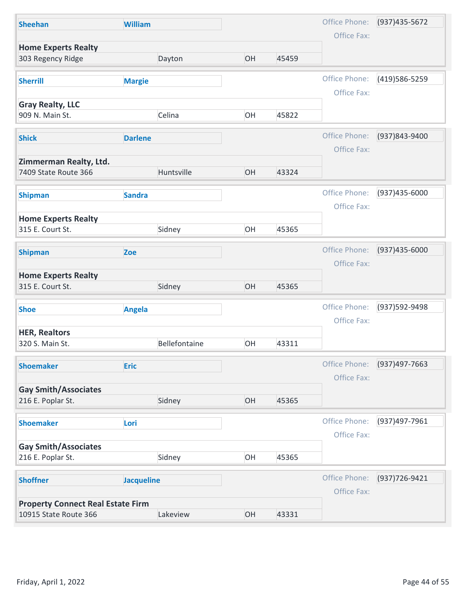| <b>Sheehan</b>                                   |                                                      |    |       |                              |                |
|--------------------------------------------------|------------------------------------------------------|----|-------|------------------------------|----------------|
|                                                  | <b>William</b>                                       |    |       | Office Phone:                | (937) 435-5672 |
|                                                  |                                                      |    |       | Office Fax:                  |                |
| <b>Home Experts Realty</b><br>303 Regency Ridge  | Dayton                                               | OH | 45459 |                              |                |
| <b>Sherrill</b>                                  | <b>Margie</b>                                        |    |       | Office Phone:                | (419) 586-5259 |
| <b>Gray Realty, LLC</b><br>909 N. Main St.       | Celina                                               | OH | 45822 | Office Fax:                  |                |
| <b>Shick</b>                                     | <b>Darlene</b>                                       |    |       | Office Phone:<br>Office Fax: | (937)843-9400  |
| Zimmerman Realty, Ltd.<br>7409 State Route 366   | Huntsville                                           | OH | 43324 |                              |                |
| <b>Shipman</b>                                   | <b>Sandra</b>                                        |    |       | Office Phone:<br>Office Fax: | (937)435-6000  |
| <b>Home Experts Realty</b><br>315 E. Court St.   | Sidney                                               | OH | 45365 |                              |                |
| <b>Shipman</b>                                   | Zoe                                                  |    |       | Office Phone:<br>Office Fax: | (937)435-6000  |
| <b>Home Experts Realty</b><br>315 E. Court St.   | Sidney                                               | OH | 45365 |                              |                |
| <b>Shoe</b>                                      | <b>Angela</b>                                        |    |       | Office Phone:<br>Office Fax: | (937) 592-9498 |
| <b>HER, Realtors</b><br>320 S. Main St.          | Bellefontaine                                        | OH | 43311 |                              |                |
| <b>Shoemaker</b>                                 | <b>Eric</b>                                          |    |       | Office Phone:<br>Office Fax: | (937)497-7663  |
| <b>Gay Smith/Associates</b><br>216 E. Poplar St. | Sidney                                               | OH | 45365 |                              |                |
| <b>Shoemaker</b>                                 | Lori                                                 |    |       | Office Phone:<br>Office Fax: | (937)497-7961  |
| <b>Gay Smith/Associates</b><br>216 E. Poplar St. | Sidney                                               | OH | 45365 |                              |                |
| <b>Shoffner</b>                                  | <b>Jacqueline</b>                                    |    |       | Office Phone:<br>Office Fax: | (937) 726-9421 |
|                                                  | <b>Property Connect Real Estate Firm</b><br>Lakeview | OH | 43331 |                              |                |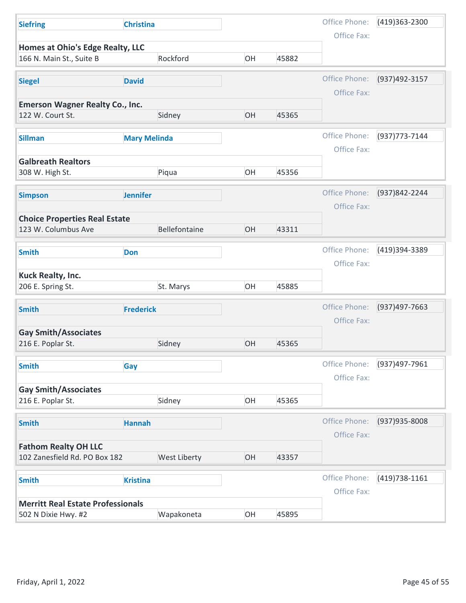| <b>Siefring</b>                                              | <b>Christina</b>    |    |       | Office Phone:                | (419)363-2300   |
|--------------------------------------------------------------|---------------------|----|-------|------------------------------|-----------------|
|                                                              |                     |    |       | Office Fax:                  |                 |
| Homes at Ohio's Edge Realty, LLC<br>166 N. Main St., Suite B | Rockford            | OH | 45882 |                              |                 |
| <b>Siegel</b>                                                | <b>David</b>        |    |       | Office Phone:                | (937)492-3157   |
|                                                              |                     |    |       | Office Fax:                  |                 |
| <b>Emerson Wagner Realty Co., Inc.</b><br>122 W. Court St.   | Sidney              | OH | 45365 |                              |                 |
|                                                              |                     |    |       |                              |                 |
| <b>Sillman</b>                                               | <b>Mary Melinda</b> |    |       | Office Phone:                | (937) 773-7144  |
| <b>Galbreath Realtors</b>                                    |                     |    |       | Office Fax:                  |                 |
| 308 W. High St.                                              | Piqua               | OH | 45356 |                              |                 |
| <b>Simpson</b>                                               | <b>Jennifer</b>     |    |       | Office Phone:                | (937)842-2244   |
|                                                              |                     |    |       | Office Fax:                  |                 |
| <b>Choice Properties Real Estate</b>                         |                     |    |       |                              |                 |
| 123 W. Columbus Ave                                          | Bellefontaine       | OH | 43311 |                              |                 |
| <b>Smith</b>                                                 | Don                 |    |       | Office Phone:                | (419)394-3389   |
|                                                              |                     |    |       | Office Fax:                  |                 |
| <b>Kuck Realty, Inc.</b><br>206 E. Spring St.                | St. Marys           | OH | 45885 |                              |                 |
|                                                              |                     |    |       |                              |                 |
| <b>Smith</b>                                                 | <b>Frederick</b>    |    |       | Office Phone:<br>Office Fax: | (937)497-7663   |
| <b>Gay Smith/Associates</b>                                  |                     |    |       |                              |                 |
| 216 E. Poplar St.                                            | Sidney              | OH | 45365 |                              |                 |
| <b>Smith</b>                                                 | Gay                 |    |       | Office Phone:                | (937)497-7961   |
|                                                              |                     |    |       | Office Fax:                  |                 |
| <b>Gay Smith/Associates</b>                                  |                     |    |       |                              |                 |
| 216 E. Poplar St.                                            | Sidney              | OH | 45365 |                              |                 |
| <b>Smith</b>                                                 | <b>Hannah</b>       |    |       | Office Phone:                | (937) 935-8008  |
|                                                              |                     |    |       | Office Fax:                  |                 |
| <b>Fathom Realty OH LLC</b><br>102 Zanesfield Rd. PO Box 182 | West Liberty        | OH | 43357 |                              |                 |
|                                                              |                     |    |       | Office Phone:                | $(419)738-1161$ |
| <b>Smith</b>                                                 | <b>Kristina</b>     |    |       | Office Fax:                  |                 |
|                                                              | Wapakoneta          |    |       |                              |                 |
| <b>Merritt Real Estate Professionals</b>                     |                     | OH | 45895 |                              |                 |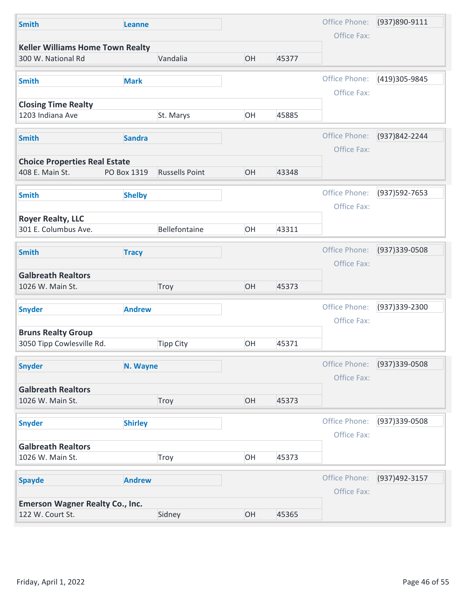| Office Fax:<br><b>Keller Williams Home Town Realty</b><br>OH<br>45377<br>300 W. National Rd<br>Vandalia<br>Office Phone:<br>(419)305-9845<br><b>Mark</b><br><b>Smith</b><br>Office Fax:<br><b>Closing Time Realty</b><br>OH<br>45885<br>1203 Indiana Ave<br>St. Marys<br>Office Phone:<br>(937) 842-2244<br><b>Sandra</b><br><b>Smith</b><br>Office Fax:<br><b>Choice Properties Real Estate</b><br><b>Russells Point</b><br>OH<br>408 E. Main St.<br>43348<br>PO Box 1319<br>Office Phone:<br>(937) 592-7653<br><b>Shelby</b><br><b>Smith</b><br>Office Fax:<br><b>Royer Realty, LLC</b><br>Bellefontaine<br>OH<br>43311<br>301 E. Columbus Ave.<br>Office Phone:<br>(937) 339-0508<br><b>Smith</b><br><b>Tracy</b><br>Office Fax:<br><b>Galbreath Realtors</b><br>OH<br>1026 W. Main St.<br>45373<br>Troy<br>Office Phone:<br>(937) 339-2300<br><b>Andrew</b><br><b>Snyder</b><br>Office Fax:<br><b>Bruns Realty Group</b><br>OH<br>3050 Tipp Cowlesville Rd.<br>45371<br><b>Tipp City</b><br>Office Phone:<br>(937)339-0508<br><b>Snyder</b><br>N. Wayne<br>Office Fax:<br><b>Galbreath Realtors</b> | OH<br>1026 W. Main St.<br>Troy<br>45373<br>Office Phone:<br>(937)339-0508<br><b>Shirley</b><br><b>Snyder</b><br>Office Fax:<br><b>Galbreath Realtors</b><br>OH<br>45373<br>1026 W. Main St.<br>Troy<br>Office Phone:<br>(937)492-3157<br><b>Andrew</b><br><b>Spayde</b><br>Office Fax: | <b>Smith</b> | Leanne |  | Office Phone: | (937)890-9111 |
|---------------------------------------------------------------------------------------------------------------------------------------------------------------------------------------------------------------------------------------------------------------------------------------------------------------------------------------------------------------------------------------------------------------------------------------------------------------------------------------------------------------------------------------------------------------------------------------------------------------------------------------------------------------------------------------------------------------------------------------------------------------------------------------------------------------------------------------------------------------------------------------------------------------------------------------------------------------------------------------------------------------------------------------------------------------------------------------------------------|----------------------------------------------------------------------------------------------------------------------------------------------------------------------------------------------------------------------------------------------------------------------------------------|--------------|--------|--|---------------|---------------|
|                                                                                                                                                                                                                                                                                                                                                                                                                                                                                                                                                                                                                                                                                                                                                                                                                                                                                                                                                                                                                                                                                                         |                                                                                                                                                                                                                                                                                        |              |        |  |               |               |
|                                                                                                                                                                                                                                                                                                                                                                                                                                                                                                                                                                                                                                                                                                                                                                                                                                                                                                                                                                                                                                                                                                         |                                                                                                                                                                                                                                                                                        |              |        |  |               |               |
|                                                                                                                                                                                                                                                                                                                                                                                                                                                                                                                                                                                                                                                                                                                                                                                                                                                                                                                                                                                                                                                                                                         |                                                                                                                                                                                                                                                                                        |              |        |  |               |               |
|                                                                                                                                                                                                                                                                                                                                                                                                                                                                                                                                                                                                                                                                                                                                                                                                                                                                                                                                                                                                                                                                                                         |                                                                                                                                                                                                                                                                                        |              |        |  |               |               |
|                                                                                                                                                                                                                                                                                                                                                                                                                                                                                                                                                                                                                                                                                                                                                                                                                                                                                                                                                                                                                                                                                                         |                                                                                                                                                                                                                                                                                        |              |        |  |               |               |
|                                                                                                                                                                                                                                                                                                                                                                                                                                                                                                                                                                                                                                                                                                                                                                                                                                                                                                                                                                                                                                                                                                         |                                                                                                                                                                                                                                                                                        |              |        |  |               |               |
|                                                                                                                                                                                                                                                                                                                                                                                                                                                                                                                                                                                                                                                                                                                                                                                                                                                                                                                                                                                                                                                                                                         |                                                                                                                                                                                                                                                                                        |              |        |  |               |               |
|                                                                                                                                                                                                                                                                                                                                                                                                                                                                                                                                                                                                                                                                                                                                                                                                                                                                                                                                                                                                                                                                                                         |                                                                                                                                                                                                                                                                                        |              |        |  |               |               |
|                                                                                                                                                                                                                                                                                                                                                                                                                                                                                                                                                                                                                                                                                                                                                                                                                                                                                                                                                                                                                                                                                                         |                                                                                                                                                                                                                                                                                        |              |        |  |               |               |
|                                                                                                                                                                                                                                                                                                                                                                                                                                                                                                                                                                                                                                                                                                                                                                                                                                                                                                                                                                                                                                                                                                         |                                                                                                                                                                                                                                                                                        |              |        |  |               |               |
|                                                                                                                                                                                                                                                                                                                                                                                                                                                                                                                                                                                                                                                                                                                                                                                                                                                                                                                                                                                                                                                                                                         |                                                                                                                                                                                                                                                                                        |              |        |  |               |               |
|                                                                                                                                                                                                                                                                                                                                                                                                                                                                                                                                                                                                                                                                                                                                                                                                                                                                                                                                                                                                                                                                                                         |                                                                                                                                                                                                                                                                                        |              |        |  |               |               |
|                                                                                                                                                                                                                                                                                                                                                                                                                                                                                                                                                                                                                                                                                                                                                                                                                                                                                                                                                                                                                                                                                                         |                                                                                                                                                                                                                                                                                        |              |        |  |               |               |
|                                                                                                                                                                                                                                                                                                                                                                                                                                                                                                                                                                                                                                                                                                                                                                                                                                                                                                                                                                                                                                                                                                         |                                                                                                                                                                                                                                                                                        |              |        |  |               |               |
|                                                                                                                                                                                                                                                                                                                                                                                                                                                                                                                                                                                                                                                                                                                                                                                                                                                                                                                                                                                                                                                                                                         |                                                                                                                                                                                                                                                                                        |              |        |  |               |               |
|                                                                                                                                                                                                                                                                                                                                                                                                                                                                                                                                                                                                                                                                                                                                                                                                                                                                                                                                                                                                                                                                                                         |                                                                                                                                                                                                                                                                                        |              |        |  |               |               |
|                                                                                                                                                                                                                                                                                                                                                                                                                                                                                                                                                                                                                                                                                                                                                                                                                                                                                                                                                                                                                                                                                                         |                                                                                                                                                                                                                                                                                        |              |        |  |               |               |
|                                                                                                                                                                                                                                                                                                                                                                                                                                                                                                                                                                                                                                                                                                                                                                                                                                                                                                                                                                                                                                                                                                         |                                                                                                                                                                                                                                                                                        |              |        |  |               |               |
|                                                                                                                                                                                                                                                                                                                                                                                                                                                                                                                                                                                                                                                                                                                                                                                                                                                                                                                                                                                                                                                                                                         |                                                                                                                                                                                                                                                                                        |              |        |  |               |               |
|                                                                                                                                                                                                                                                                                                                                                                                                                                                                                                                                                                                                                                                                                                                                                                                                                                                                                                                                                                                                                                                                                                         |                                                                                                                                                                                                                                                                                        |              |        |  |               |               |
|                                                                                                                                                                                                                                                                                                                                                                                                                                                                                                                                                                                                                                                                                                                                                                                                                                                                                                                                                                                                                                                                                                         |                                                                                                                                                                                                                                                                                        |              |        |  |               |               |
|                                                                                                                                                                                                                                                                                                                                                                                                                                                                                                                                                                                                                                                                                                                                                                                                                                                                                                                                                                                                                                                                                                         |                                                                                                                                                                                                                                                                                        |              |        |  |               |               |
|                                                                                                                                                                                                                                                                                                                                                                                                                                                                                                                                                                                                                                                                                                                                                                                                                                                                                                                                                                                                                                                                                                         |                                                                                                                                                                                                                                                                                        |              |        |  |               |               |
|                                                                                                                                                                                                                                                                                                                                                                                                                                                                                                                                                                                                                                                                                                                                                                                                                                                                                                                                                                                                                                                                                                         |                                                                                                                                                                                                                                                                                        |              |        |  |               |               |
|                                                                                                                                                                                                                                                                                                                                                                                                                                                                                                                                                                                                                                                                                                                                                                                                                                                                                                                                                                                                                                                                                                         |                                                                                                                                                                                                                                                                                        |              |        |  |               |               |
|                                                                                                                                                                                                                                                                                                                                                                                                                                                                                                                                                                                                                                                                                                                                                                                                                                                                                                                                                                                                                                                                                                         |                                                                                                                                                                                                                                                                                        |              |        |  |               |               |
|                                                                                                                                                                                                                                                                                                                                                                                                                                                                                                                                                                                                                                                                                                                                                                                                                                                                                                                                                                                                                                                                                                         |                                                                                                                                                                                                                                                                                        |              |        |  |               |               |
|                                                                                                                                                                                                                                                                                                                                                                                                                                                                                                                                                                                                                                                                                                                                                                                                                                                                                                                                                                                                                                                                                                         |                                                                                                                                                                                                                                                                                        |              |        |  |               |               |
|                                                                                                                                                                                                                                                                                                                                                                                                                                                                                                                                                                                                                                                                                                                                                                                                                                                                                                                                                                                                                                                                                                         |                                                                                                                                                                                                                                                                                        |              |        |  |               |               |
|                                                                                                                                                                                                                                                                                                                                                                                                                                                                                                                                                                                                                                                                                                                                                                                                                                                                                                                                                                                                                                                                                                         |                                                                                                                                                                                                                                                                                        |              |        |  |               |               |
| <b>Emerson Wagner Realty Co., Inc.</b>                                                                                                                                                                                                                                                                                                                                                                                                                                                                                                                                                                                                                                                                                                                                                                                                                                                                                                                                                                                                                                                                  | OH<br>122 W. Court St.<br>Sidney<br>45365                                                                                                                                                                                                                                              |              |        |  |               |               |
|                                                                                                                                                                                                                                                                                                                                                                                                                                                                                                                                                                                                                                                                                                                                                                                                                                                                                                                                                                                                                                                                                                         |                                                                                                                                                                                                                                                                                        |              |        |  |               |               |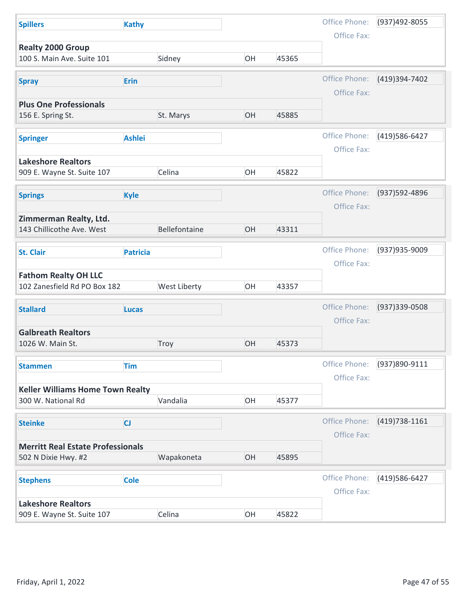| Office Phone:<br>(937)492-8055<br><b>Spillers</b><br><b>Kathy</b><br>Office Fax:<br><b>Realty 2000 Group</b><br>100 S. Main Ave. Suite 101<br>Sidney<br>OH<br>45365<br>Office Phone:<br>(419)394-7402<br>Erin<br><b>Spray</b><br>Office Fax:<br><b>Plus One Professionals</b><br>OH<br>45885<br>156 E. Spring St.<br>St. Marys<br>Office Phone:<br>(419) 586-6427<br><b>Ashlei</b><br><b>Springer</b><br>Office Fax:<br><b>Lakeshore Realtors</b><br>909 E. Wayne St. Suite 107<br>Celina<br>OH<br>45822<br>Office Phone:<br>(937) 592-4896<br><b>Kyle</b><br><b>Springs</b><br>Office Fax:<br>Zimmerman Realty, Ltd.<br>Bellefontaine<br>OH<br>143 Chillicothe Ave. West<br>43311<br>Office Phone:<br>(937) 935-9009<br><b>Patricia</b><br><b>St. Clair</b><br>Office Fax:<br><b>Fathom Realty OH LLC</b><br>West Liberty<br>102 Zanesfield Rd PO Box 182<br>OH<br>43357<br>Office Phone:<br>(937) 339-0508<br><b>Stallard</b><br><b>Lucas</b><br>Office Fax:<br><b>Galbreath Realtors</b><br>OH<br>1026 W. Main St.<br>Troy<br>45373<br>Office Phone:<br>(937)890-9111<br><b>Tim</b><br><b>Stammen</b><br>Office Fax:<br><b>Keller Williams Home Town Realty</b><br>Vandalia<br>OH<br>300 W. National Rd<br>45377<br>Office Phone:<br>$(419)738-1161$<br>CJ<br><b>Steinke</b><br>Office Fax:<br><b>Merritt Real Estate Professionals</b><br>Wapakoneta<br>OH<br>502 N Dixie Hwy. #2<br>45895<br>Office Phone:<br>(419) 586-6427<br><b>Cole</b><br><b>Stephens</b><br>Office Fax:<br><b>Lakeshore Realtors</b><br>OH<br>909 E. Wayne St. Suite 107<br>Celina<br>45822<br>Page 47 of 55<br>Friday, April 1, 2022 |  |  |  |  |
|------------------------------------------------------------------------------------------------------------------------------------------------------------------------------------------------------------------------------------------------------------------------------------------------------------------------------------------------------------------------------------------------------------------------------------------------------------------------------------------------------------------------------------------------------------------------------------------------------------------------------------------------------------------------------------------------------------------------------------------------------------------------------------------------------------------------------------------------------------------------------------------------------------------------------------------------------------------------------------------------------------------------------------------------------------------------------------------------------------------------------------------------------------------------------------------------------------------------------------------------------------------------------------------------------------------------------------------------------------------------------------------------------------------------------------------------------------------------------------------------------------------------------------------------------------------------------------------------------------------|--|--|--|--|
|                                                                                                                                                                                                                                                                                                                                                                                                                                                                                                                                                                                                                                                                                                                                                                                                                                                                                                                                                                                                                                                                                                                                                                                                                                                                                                                                                                                                                                                                                                                                                                                                                  |  |  |  |  |
|                                                                                                                                                                                                                                                                                                                                                                                                                                                                                                                                                                                                                                                                                                                                                                                                                                                                                                                                                                                                                                                                                                                                                                                                                                                                                                                                                                                                                                                                                                                                                                                                                  |  |  |  |  |
|                                                                                                                                                                                                                                                                                                                                                                                                                                                                                                                                                                                                                                                                                                                                                                                                                                                                                                                                                                                                                                                                                                                                                                                                                                                                                                                                                                                                                                                                                                                                                                                                                  |  |  |  |  |
|                                                                                                                                                                                                                                                                                                                                                                                                                                                                                                                                                                                                                                                                                                                                                                                                                                                                                                                                                                                                                                                                                                                                                                                                                                                                                                                                                                                                                                                                                                                                                                                                                  |  |  |  |  |
|                                                                                                                                                                                                                                                                                                                                                                                                                                                                                                                                                                                                                                                                                                                                                                                                                                                                                                                                                                                                                                                                                                                                                                                                                                                                                                                                                                                                                                                                                                                                                                                                                  |  |  |  |  |
|                                                                                                                                                                                                                                                                                                                                                                                                                                                                                                                                                                                                                                                                                                                                                                                                                                                                                                                                                                                                                                                                                                                                                                                                                                                                                                                                                                                                                                                                                                                                                                                                                  |  |  |  |  |
|                                                                                                                                                                                                                                                                                                                                                                                                                                                                                                                                                                                                                                                                                                                                                                                                                                                                                                                                                                                                                                                                                                                                                                                                                                                                                                                                                                                                                                                                                                                                                                                                                  |  |  |  |  |
|                                                                                                                                                                                                                                                                                                                                                                                                                                                                                                                                                                                                                                                                                                                                                                                                                                                                                                                                                                                                                                                                                                                                                                                                                                                                                                                                                                                                                                                                                                                                                                                                                  |  |  |  |  |
|                                                                                                                                                                                                                                                                                                                                                                                                                                                                                                                                                                                                                                                                                                                                                                                                                                                                                                                                                                                                                                                                                                                                                                                                                                                                                                                                                                                                                                                                                                                                                                                                                  |  |  |  |  |
|                                                                                                                                                                                                                                                                                                                                                                                                                                                                                                                                                                                                                                                                                                                                                                                                                                                                                                                                                                                                                                                                                                                                                                                                                                                                                                                                                                                                                                                                                                                                                                                                                  |  |  |  |  |
|                                                                                                                                                                                                                                                                                                                                                                                                                                                                                                                                                                                                                                                                                                                                                                                                                                                                                                                                                                                                                                                                                                                                                                                                                                                                                                                                                                                                                                                                                                                                                                                                                  |  |  |  |  |
|                                                                                                                                                                                                                                                                                                                                                                                                                                                                                                                                                                                                                                                                                                                                                                                                                                                                                                                                                                                                                                                                                                                                                                                                                                                                                                                                                                                                                                                                                                                                                                                                                  |  |  |  |  |
|                                                                                                                                                                                                                                                                                                                                                                                                                                                                                                                                                                                                                                                                                                                                                                                                                                                                                                                                                                                                                                                                                                                                                                                                                                                                                                                                                                                                                                                                                                                                                                                                                  |  |  |  |  |
|                                                                                                                                                                                                                                                                                                                                                                                                                                                                                                                                                                                                                                                                                                                                                                                                                                                                                                                                                                                                                                                                                                                                                                                                                                                                                                                                                                                                                                                                                                                                                                                                                  |  |  |  |  |
|                                                                                                                                                                                                                                                                                                                                                                                                                                                                                                                                                                                                                                                                                                                                                                                                                                                                                                                                                                                                                                                                                                                                                                                                                                                                                                                                                                                                                                                                                                                                                                                                                  |  |  |  |  |
|                                                                                                                                                                                                                                                                                                                                                                                                                                                                                                                                                                                                                                                                                                                                                                                                                                                                                                                                                                                                                                                                                                                                                                                                                                                                                                                                                                                                                                                                                                                                                                                                                  |  |  |  |  |
|                                                                                                                                                                                                                                                                                                                                                                                                                                                                                                                                                                                                                                                                                                                                                                                                                                                                                                                                                                                                                                                                                                                                                                                                                                                                                                                                                                                                                                                                                                                                                                                                                  |  |  |  |  |
|                                                                                                                                                                                                                                                                                                                                                                                                                                                                                                                                                                                                                                                                                                                                                                                                                                                                                                                                                                                                                                                                                                                                                                                                                                                                                                                                                                                                                                                                                                                                                                                                                  |  |  |  |  |
|                                                                                                                                                                                                                                                                                                                                                                                                                                                                                                                                                                                                                                                                                                                                                                                                                                                                                                                                                                                                                                                                                                                                                                                                                                                                                                                                                                                                                                                                                                                                                                                                                  |  |  |  |  |
|                                                                                                                                                                                                                                                                                                                                                                                                                                                                                                                                                                                                                                                                                                                                                                                                                                                                                                                                                                                                                                                                                                                                                                                                                                                                                                                                                                                                                                                                                                                                                                                                                  |  |  |  |  |
|                                                                                                                                                                                                                                                                                                                                                                                                                                                                                                                                                                                                                                                                                                                                                                                                                                                                                                                                                                                                                                                                                                                                                                                                                                                                                                                                                                                                                                                                                                                                                                                                                  |  |  |  |  |
|                                                                                                                                                                                                                                                                                                                                                                                                                                                                                                                                                                                                                                                                                                                                                                                                                                                                                                                                                                                                                                                                                                                                                                                                                                                                                                                                                                                                                                                                                                                                                                                                                  |  |  |  |  |
|                                                                                                                                                                                                                                                                                                                                                                                                                                                                                                                                                                                                                                                                                                                                                                                                                                                                                                                                                                                                                                                                                                                                                                                                                                                                                                                                                                                                                                                                                                                                                                                                                  |  |  |  |  |
|                                                                                                                                                                                                                                                                                                                                                                                                                                                                                                                                                                                                                                                                                                                                                                                                                                                                                                                                                                                                                                                                                                                                                                                                                                                                                                                                                                                                                                                                                                                                                                                                                  |  |  |  |  |
|                                                                                                                                                                                                                                                                                                                                                                                                                                                                                                                                                                                                                                                                                                                                                                                                                                                                                                                                                                                                                                                                                                                                                                                                                                                                                                                                                                                                                                                                                                                                                                                                                  |  |  |  |  |
|                                                                                                                                                                                                                                                                                                                                                                                                                                                                                                                                                                                                                                                                                                                                                                                                                                                                                                                                                                                                                                                                                                                                                                                                                                                                                                                                                                                                                                                                                                                                                                                                                  |  |  |  |  |
|                                                                                                                                                                                                                                                                                                                                                                                                                                                                                                                                                                                                                                                                                                                                                                                                                                                                                                                                                                                                                                                                                                                                                                                                                                                                                                                                                                                                                                                                                                                                                                                                                  |  |  |  |  |
|                                                                                                                                                                                                                                                                                                                                                                                                                                                                                                                                                                                                                                                                                                                                                                                                                                                                                                                                                                                                                                                                                                                                                                                                                                                                                                                                                                                                                                                                                                                                                                                                                  |  |  |  |  |
|                                                                                                                                                                                                                                                                                                                                                                                                                                                                                                                                                                                                                                                                                                                                                                                                                                                                                                                                                                                                                                                                                                                                                                                                                                                                                                                                                                                                                                                                                                                                                                                                                  |  |  |  |  |
|                                                                                                                                                                                                                                                                                                                                                                                                                                                                                                                                                                                                                                                                                                                                                                                                                                                                                                                                                                                                                                                                                                                                                                                                                                                                                                                                                                                                                                                                                                                                                                                                                  |  |  |  |  |
|                                                                                                                                                                                                                                                                                                                                                                                                                                                                                                                                                                                                                                                                                                                                                                                                                                                                                                                                                                                                                                                                                                                                                                                                                                                                                                                                                                                                                                                                                                                                                                                                                  |  |  |  |  |
|                                                                                                                                                                                                                                                                                                                                                                                                                                                                                                                                                                                                                                                                                                                                                                                                                                                                                                                                                                                                                                                                                                                                                                                                                                                                                                                                                                                                                                                                                                                                                                                                                  |  |  |  |  |
|                                                                                                                                                                                                                                                                                                                                                                                                                                                                                                                                                                                                                                                                                                                                                                                                                                                                                                                                                                                                                                                                                                                                                                                                                                                                                                                                                                                                                                                                                                                                                                                                                  |  |  |  |  |
|                                                                                                                                                                                                                                                                                                                                                                                                                                                                                                                                                                                                                                                                                                                                                                                                                                                                                                                                                                                                                                                                                                                                                                                                                                                                                                                                                                                                                                                                                                                                                                                                                  |  |  |  |  |
|                                                                                                                                                                                                                                                                                                                                                                                                                                                                                                                                                                                                                                                                                                                                                                                                                                                                                                                                                                                                                                                                                                                                                                                                                                                                                                                                                                                                                                                                                                                                                                                                                  |  |  |  |  |
|                                                                                                                                                                                                                                                                                                                                                                                                                                                                                                                                                                                                                                                                                                                                                                                                                                                                                                                                                                                                                                                                                                                                                                                                                                                                                                                                                                                                                                                                                                                                                                                                                  |  |  |  |  |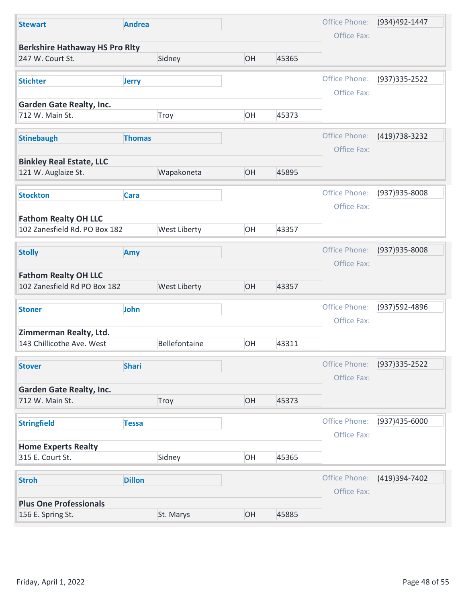| <b>Stewart</b>                                               | <b>Andrea</b> |               |    |       | Office Phone:                | (934)492-1447     |
|--------------------------------------------------------------|---------------|---------------|----|-------|------------------------------|-------------------|
| <b>Berkshire Hathaway HS Pro Rlty</b>                        |               |               |    |       | Office Fax:                  |                   |
| 247 W. Court St.                                             |               | Sidney        | OH | 45365 |                              |                   |
| <b>Stichter</b>                                              | <b>Jerry</b>  |               |    |       | Office Phone:                | (937) 335 - 2522  |
| <b>Garden Gate Realty, Inc.</b>                              |               |               |    |       | Office Fax:                  |                   |
| 712 W. Main St.                                              |               | Troy          | OH | 45373 |                              |                   |
| <b>Stinebaugh</b>                                            | <b>Thomas</b> |               |    |       | Office Phone:                | (419) 738-3232    |
| <b>Binkley Real Estate, LLC</b>                              |               |               |    |       | Office Fax:                  |                   |
| 121 W. Auglaize St.                                          |               | Wapakoneta    | OH | 45895 |                              |                   |
| <b>Stockton</b>                                              | <b>Cara</b>   |               |    |       | Office Phone:                | (937) 935-8008    |
|                                                              |               |               |    |       | Office Fax:                  |                   |
| <b>Fathom Realty OH LLC</b><br>102 Zanesfield Rd. PO Box 182 |               | West Liberty  | OH | 43357 |                              |                   |
| <b>Stolly</b>                                                | Amy           |               |    |       | Office Phone:                | (937) 935-8008    |
|                                                              |               |               |    |       | Office Fax:                  |                   |
| <b>Fathom Realty OH LLC</b><br>102 Zanesfield Rd PO Box 182  |               | West Liberty  | OH | 43357 |                              |                   |
| <b>Stoner</b>                                                | John          |               |    |       | Office Phone:                | (937) 592-4896    |
| Zimmerman Realty, Ltd.                                       |               |               |    |       | Office Fax:                  |                   |
| 143 Chillicothe Ave. West                                    |               | Bellefontaine | OH | 43311 |                              |                   |
| <b>Stover</b>                                                | <b>Shari</b>  |               |    |       | Office Phone:                | $(937)335 - 2522$ |
|                                                              |               |               |    |       | Office Fax:                  |                   |
| <b>Garden Gate Realty, Inc.</b><br>712 W. Main St.           |               | Troy          | OH | 45373 |                              |                   |
|                                                              |               |               |    |       |                              |                   |
| <b>Stringfield</b>                                           | <b>Tessa</b>  |               |    |       | Office Phone:<br>Office Fax: | (937)435-6000     |
| <b>Home Experts Realty</b>                                   |               |               |    |       |                              |                   |
| 315 E. Court St.                                             |               | Sidney        | OH | 45365 |                              |                   |
| <b>Stroh</b>                                                 | <b>Dillon</b> |               |    |       | Office Phone:                | (419)394-7402     |
|                                                              |               |               |    |       | Office Fax:                  |                   |
|                                                              |               | St. Marys     | OH | 45885 |                              |                   |
| <b>Plus One Professionals</b><br>156 E. Spring St.           |               |               |    |       |                              |                   |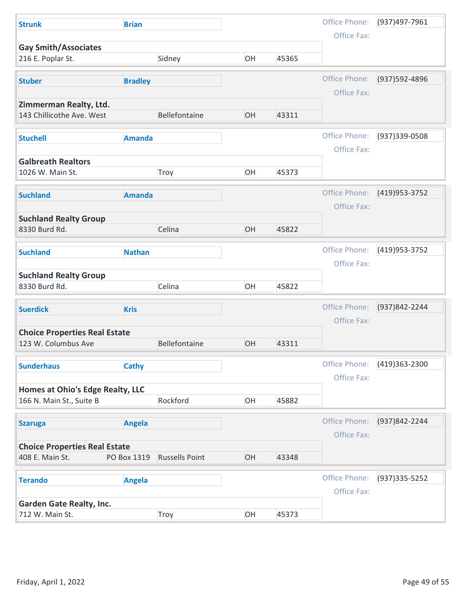| <b>Strunk</b>                                               | <b>Brian</b>   |                       |    |       | Office Phone: | (937)497-7961    |
|-------------------------------------------------------------|----------------|-----------------------|----|-------|---------------|------------------|
| <b>Gay Smith/Associates</b>                                 |                |                       |    |       | Office Fax:   |                  |
| 216 E. Poplar St.                                           |                | Sidney                | OH | 45365 |               |                  |
| <b>Stuber</b>                                               | <b>Bradley</b> |                       |    |       | Office Phone: | (937) 592-4896   |
|                                                             |                |                       |    |       | Office Fax:   |                  |
| Zimmerman Realty, Ltd.<br>143 Chillicothe Ave. West         |                | Bellefontaine         | OH | 43311 |               |                  |
| <b>Stuchell</b>                                             | <b>Amanda</b>  |                       |    |       | Office Phone: | (937) 339-0508   |
|                                                             |                |                       |    |       | Office Fax:   |                  |
| <b>Galbreath Realtors</b><br>1026 W. Main St.               |                | Troy                  | OH | 45373 |               |                  |
|                                                             |                |                       |    |       |               |                  |
| <b>Suchland</b>                                             | <b>Amanda</b>  |                       |    |       | Office Phone: | (419) 953 - 3752 |
| <b>Suchland Realty Group</b>                                |                |                       |    |       | Office Fax:   |                  |
| 8330 Burd Rd.                                               |                | Celina                | OH | 45822 |               |                  |
| <b>Suchland</b>                                             | <b>Nathan</b>  |                       |    |       | Office Phone: | (419) 953 - 3752 |
|                                                             |                |                       |    |       | Office Fax:   |                  |
| <b>Suchland Realty Group</b>                                |                |                       |    |       |               |                  |
| 8330 Burd Rd.                                               |                | Celina                | OH | 45822 |               |                  |
| <b>Suerdick</b>                                             | <b>Kris</b>    |                       |    |       | Office Phone: | (937) 842-2244   |
|                                                             |                |                       |    |       | Office Fax:   |                  |
| <b>Choice Properties Real Estate</b><br>123 W. Columbus Ave |                | Bellefontaine         | OH | 43311 |               |                  |
|                                                             |                |                       |    |       |               |                  |
| <b>Sunderhaus</b>                                           | <b>Cathy</b>   |                       |    |       | Office Phone: | (419)363-2300    |
| Homes at Ohio's Edge Realty, LLC                            |                |                       |    |       | Office Fax:   |                  |
| 166 N. Main St., Suite B                                    |                | Rockford              | OH | 45882 |               |                  |
|                                                             |                |                       |    |       | Office Phone: | (937)842-2244    |
| <b>Szaruga</b>                                              | Angela         |                       |    |       | Office Fax:   |                  |
| <b>Choice Properties Real Estate</b>                        |                |                       |    |       |               |                  |
| 408 E. Main St.                                             | PO Box 1319    | <b>Russells Point</b> | OH | 43348 |               |                  |
| <b>Terando</b>                                              | <b>Angela</b>  |                       |    |       | Office Phone: | (937) 335-5252   |
|                                                             |                |                       |    |       | Office Fax:   |                  |
|                                                             |                | Troy                  | OH | 45373 |               |                  |
| <b>Garden Gate Realty, Inc.</b><br>712 W. Main St.          |                |                       |    |       |               |                  |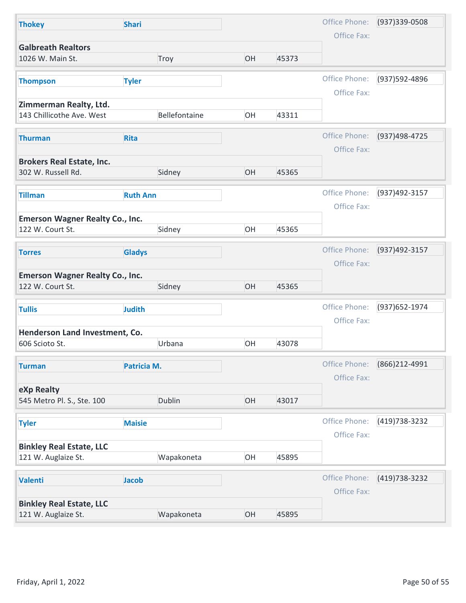| Office Phone:<br>(937) 339-0508<br><b>Shari</b><br><b>Thokey</b><br>Office Fax:<br><b>Galbreath Realtors</b><br>1026 W. Main St.<br>Troy<br>OH<br>45373<br>Office Phone:<br>(937) 592-4896<br><b>Tyler</b><br><b>Thompson</b><br>Office Fax:<br>Zimmerman Realty, Ltd.<br>143 Chillicothe Ave. West<br>Bellefontaine<br>OH<br>43311<br>Office Phone:<br>(937)498-4725<br>Rita<br><b>Thurman</b><br>Office Fax:<br><b>Brokers Real Estate, Inc.</b><br>302 W. Russell Rd.<br>Sidney<br>OH<br>45365<br>Office Phone:<br>(937)492-3157<br><b>Ruth Ann</b><br><b>Tillman</b><br>Office Fax:<br><b>Emerson Wagner Realty Co., Inc.</b><br>Sidney<br>OH<br>122 W. Court St.<br>45365<br>Office Phone:<br>(937)492-3157<br><b>Gladys</b><br><b>Torres</b><br>Office Fax:<br><b>Emerson Wagner Realty Co., Inc.</b><br>OH<br>122 W. Court St.<br>Sidney<br>45365<br>Office Phone:<br>(937) 652-1974<br><b>Judith</b><br><b>Tullis</b><br>Office Fax:<br>Henderson Land Investment, Co. |
|--------------------------------------------------------------------------------------------------------------------------------------------------------------------------------------------------------------------------------------------------------------------------------------------------------------------------------------------------------------------------------------------------------------------------------------------------------------------------------------------------------------------------------------------------------------------------------------------------------------------------------------------------------------------------------------------------------------------------------------------------------------------------------------------------------------------------------------------------------------------------------------------------------------------------------------------------------------------------------|
|                                                                                                                                                                                                                                                                                                                                                                                                                                                                                                                                                                                                                                                                                                                                                                                                                                                                                                                                                                                |
|                                                                                                                                                                                                                                                                                                                                                                                                                                                                                                                                                                                                                                                                                                                                                                                                                                                                                                                                                                                |
|                                                                                                                                                                                                                                                                                                                                                                                                                                                                                                                                                                                                                                                                                                                                                                                                                                                                                                                                                                                |
|                                                                                                                                                                                                                                                                                                                                                                                                                                                                                                                                                                                                                                                                                                                                                                                                                                                                                                                                                                                |
|                                                                                                                                                                                                                                                                                                                                                                                                                                                                                                                                                                                                                                                                                                                                                                                                                                                                                                                                                                                |
|                                                                                                                                                                                                                                                                                                                                                                                                                                                                                                                                                                                                                                                                                                                                                                                                                                                                                                                                                                                |
|                                                                                                                                                                                                                                                                                                                                                                                                                                                                                                                                                                                                                                                                                                                                                                                                                                                                                                                                                                                |
|                                                                                                                                                                                                                                                                                                                                                                                                                                                                                                                                                                                                                                                                                                                                                                                                                                                                                                                                                                                |
|                                                                                                                                                                                                                                                                                                                                                                                                                                                                                                                                                                                                                                                                                                                                                                                                                                                                                                                                                                                |
|                                                                                                                                                                                                                                                                                                                                                                                                                                                                                                                                                                                                                                                                                                                                                                                                                                                                                                                                                                                |
|                                                                                                                                                                                                                                                                                                                                                                                                                                                                                                                                                                                                                                                                                                                                                                                                                                                                                                                                                                                |
|                                                                                                                                                                                                                                                                                                                                                                                                                                                                                                                                                                                                                                                                                                                                                                                                                                                                                                                                                                                |
|                                                                                                                                                                                                                                                                                                                                                                                                                                                                                                                                                                                                                                                                                                                                                                                                                                                                                                                                                                                |
|                                                                                                                                                                                                                                                                                                                                                                                                                                                                                                                                                                                                                                                                                                                                                                                                                                                                                                                                                                                |
|                                                                                                                                                                                                                                                                                                                                                                                                                                                                                                                                                                                                                                                                                                                                                                                                                                                                                                                                                                                |
|                                                                                                                                                                                                                                                                                                                                                                                                                                                                                                                                                                                                                                                                                                                                                                                                                                                                                                                                                                                |
|                                                                                                                                                                                                                                                                                                                                                                                                                                                                                                                                                                                                                                                                                                                                                                                                                                                                                                                                                                                |
|                                                                                                                                                                                                                                                                                                                                                                                                                                                                                                                                                                                                                                                                                                                                                                                                                                                                                                                                                                                |
|                                                                                                                                                                                                                                                                                                                                                                                                                                                                                                                                                                                                                                                                                                                                                                                                                                                                                                                                                                                |
|                                                                                                                                                                                                                                                                                                                                                                                                                                                                                                                                                                                                                                                                                                                                                                                                                                                                                                                                                                                |
| OH<br>43078<br>606 Scioto St.<br>Urbana                                                                                                                                                                                                                                                                                                                                                                                                                                                                                                                                                                                                                                                                                                                                                                                                                                                                                                                                        |
| Office Phone:<br>(866)212-4991<br>Patricia M.<br><b>Turman</b>                                                                                                                                                                                                                                                                                                                                                                                                                                                                                                                                                                                                                                                                                                                                                                                                                                                                                                                 |
| Office Fax:                                                                                                                                                                                                                                                                                                                                                                                                                                                                                                                                                                                                                                                                                                                                                                                                                                                                                                                                                                    |
| eXp Realty<br>Dublin<br>OH<br>43017                                                                                                                                                                                                                                                                                                                                                                                                                                                                                                                                                                                                                                                                                                                                                                                                                                                                                                                                            |
| 545 Metro Pl. S., Ste. 100                                                                                                                                                                                                                                                                                                                                                                                                                                                                                                                                                                                                                                                                                                                                                                                                                                                                                                                                                     |
| Office Phone:<br>(419) 738-3232<br><b>Maisie</b><br><b>Tyler</b>                                                                                                                                                                                                                                                                                                                                                                                                                                                                                                                                                                                                                                                                                                                                                                                                                                                                                                               |
| Office Fax:                                                                                                                                                                                                                                                                                                                                                                                                                                                                                                                                                                                                                                                                                                                                                                                                                                                                                                                                                                    |
| 45895                                                                                                                                                                                                                                                                                                                                                                                                                                                                                                                                                                                                                                                                                                                                                                                                                                                                                                                                                                          |
|                                                                                                                                                                                                                                                                                                                                                                                                                                                                                                                                                                                                                                                                                                                                                                                                                                                                                                                                                                                |
| <b>Jacob</b><br>Valenti                                                                                                                                                                                                                                                                                                                                                                                                                                                                                                                                                                                                                                                                                                                                                                                                                                                                                                                                                        |
|                                                                                                                                                                                                                                                                                                                                                                                                                                                                                                                                                                                                                                                                                                                                                                                                                                                                                                                                                                                |
| 121 W. Auglaize St.<br>Wapakoneta<br>OH<br>45895                                                                                                                                                                                                                                                                                                                                                                                                                                                                                                                                                                                                                                                                                                                                                                                                                                                                                                                               |
| <b>Binkley Real Estate, LLC</b><br>Wapakoneta<br>OH<br>121 W. Auglaize St.<br>Office Phone:<br>(419) 738-3232<br>Office Fax:<br><b>Binkley Real Estate, LLC</b>                                                                                                                                                                                                                                                                                                                                                                                                                                                                                                                                                                                                                                                                                                                                                                                                                |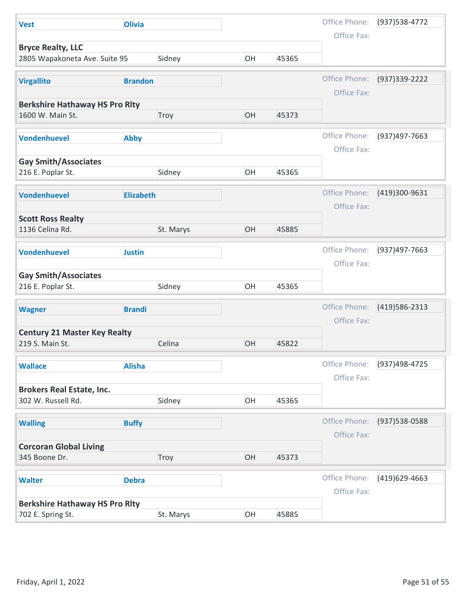| <b>Olivia</b><br>Sidney |                                                                                                                                                                                                                                             |                      | Office Phone:                    |                                                                                                                              |
|-------------------------|---------------------------------------------------------------------------------------------------------------------------------------------------------------------------------------------------------------------------------------------|----------------------|----------------------------------|------------------------------------------------------------------------------------------------------------------------------|
|                         |                                                                                                                                                                                                                                             |                      |                                  | (937) 538-4772                                                                                                               |
|                         |                                                                                                                                                                                                                                             |                      | Office Fax:                      |                                                                                                                              |
|                         | OH                                                                                                                                                                                                                                          | 45365                |                                  |                                                                                                                              |
|                         |                                                                                                                                                                                                                                             |                      |                                  |                                                                                                                              |
| <b>Brandon</b>          |                                                                                                                                                                                                                                             |                      | Office Phone:                    | (937) 339-2222                                                                                                               |
|                         |                                                                                                                                                                                                                                             |                      | Office Fax:                      |                                                                                                                              |
|                         |                                                                                                                                                                                                                                             |                      |                                  |                                                                                                                              |
|                         |                                                                                                                                                                                                                                             |                      |                                  |                                                                                                                              |
|                         |                                                                                                                                                                                                                                             |                      |                                  | (937)497-7663                                                                                                                |
|                         |                                                                                                                                                                                                                                             |                      |                                  |                                                                                                                              |
|                         |                                                                                                                                                                                                                                             |                      |                                  |                                                                                                                              |
| Sidney                  | OH                                                                                                                                                                                                                                          | 45365                |                                  |                                                                                                                              |
|                         |                                                                                                                                                                                                                                             |                      |                                  |                                                                                                                              |
|                         |                                                                                                                                                                                                                                             |                      |                                  | (419)300-9631                                                                                                                |
|                         |                                                                                                                                                                                                                                             |                      | Office Fax:                      |                                                                                                                              |
|                         |                                                                                                                                                                                                                                             |                      |                                  |                                                                                                                              |
|                         |                                                                                                                                                                                                                                             |                      |                                  |                                                                                                                              |
|                         |                                                                                                                                                                                                                                             |                      | Office Phone:                    | (937)497-7663                                                                                                                |
|                         |                                                                                                                                                                                                                                             |                      |                                  |                                                                                                                              |
|                         |                                                                                                                                                                                                                                             |                      |                                  |                                                                                                                              |
| Sidney                  | OH                                                                                                                                                                                                                                          | 45365                |                                  |                                                                                                                              |
|                         |                                                                                                                                                                                                                                             |                      |                                  |                                                                                                                              |
|                         |                                                                                                                                                                                                                                             |                      |                                  | (419) 586-2313                                                                                                               |
|                         |                                                                                                                                                                                                                                             |                      |                                  |                                                                                                                              |
|                         |                                                                                                                                                                                                                                             |                      |                                  |                                                                                                                              |
|                         |                                                                                                                                                                                                                                             |                      |                                  |                                                                                                                              |
|                         |                                                                                                                                                                                                                                             |                      | Office Phone:                    | (937)498-4725                                                                                                                |
|                         |                                                                                                                                                                                                                                             |                      | Office Fax:                      |                                                                                                                              |
|                         |                                                                                                                                                                                                                                             |                      |                                  |                                                                                                                              |
| Sidney                  | OH                                                                                                                                                                                                                                          | 45365                |                                  |                                                                                                                              |
|                         |                                                                                                                                                                                                                                             |                      |                                  |                                                                                                                              |
|                         |                                                                                                                                                                                                                                             |                      |                                  | (937) 538-0588                                                                                                               |
|                         |                                                                                                                                                                                                                                             |                      |                                  |                                                                                                                              |
|                         |                                                                                                                                                                                                                                             |                      |                                  |                                                                                                                              |
|                         |                                                                                                                                                                                                                                             |                      |                                  |                                                                                                                              |
|                         |                                                                                                                                                                                                                                             |                      | Office Phone:                    | (419)629-4663                                                                                                                |
|                         |                                                                                                                                                                                                                                             |                      | Office Fax:                      |                                                                                                                              |
|                         |                                                                                                                                                                                                                                             |                      |                                  |                                                                                                                              |
| St. Marys               | OH                                                                                                                                                                                                                                          | 45885                |                                  |                                                                                                                              |
|                         | <b>Berkshire Hathaway HS Pro Rity</b><br>Troy<br><b>Abby</b><br><b>Elizabeth</b><br>St. Marys<br><b>Justin</b><br><b>Brandi</b><br>Celina<br><b>Alisha</b><br><b>Buffy</b><br>Troy<br><b>Debra</b><br><b>Berkshire Hathaway HS Pro Rity</b> | OH<br>OH<br>OH<br>OH | 45373<br>45885<br>45822<br>45373 | Office Phone:<br>Office Fax:<br>Office Phone:<br>Office Fax:<br>Office Phone:<br>Office Fax:<br>Office Phone:<br>Office Fax: |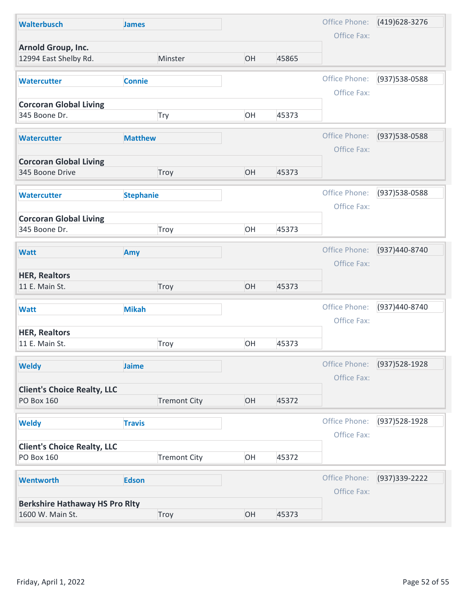| <b>Walterbusch</b>                             | <b>James</b>        |    |       | Office Phone:                | (419) 628-3276 |
|------------------------------------------------|---------------------|----|-------|------------------------------|----------------|
| Arnold Group, Inc.<br>12994 East Shelby Rd.    | Minster             | OH | 45865 | Office Fax:                  |                |
| <b>Watercutter</b>                             | <b>Connie</b>       |    |       | Office Phone:                | (937) 538-0588 |
|                                                |                     |    |       | Office Fax:                  |                |
| <b>Corcoran Global Living</b><br>345 Boone Dr. | Try                 | OH | 45373 |                              |                |
|                                                |                     |    |       |                              |                |
| <b>Watercutter</b>                             | <b>Matthew</b>      |    |       | Office Phone:<br>Office Fax: | (937) 538-0588 |
| <b>Corcoran Global Living</b>                  |                     |    |       |                              |                |
| 345 Boone Drive                                | Troy                | OH | 45373 |                              |                |
| <b>Watercutter</b>                             | <b>Stephanie</b>    |    |       | Office Phone:<br>Office Fax: | (937) 538-0588 |
| <b>Corcoran Global Living</b>                  |                     |    |       |                              |                |
| 345 Boone Dr.                                  | Troy                | OH | 45373 |                              |                |
| <b>Watt</b>                                    | Amy                 |    |       | Office Phone:                | (937)440-8740  |
|                                                |                     |    |       | Office Fax:                  |                |
| <b>HER, Realtors</b><br>11 E. Main St.         | Troy                | OH | 45373 |                              |                |
| <b>Watt</b>                                    | <b>Mikah</b>        |    |       | Office Phone:                | (937)440-8740  |
|                                                |                     |    |       | Office Fax:                  |                |
| <b>HER, Realtors</b><br>11 E. Main St.         | Troy                | OH | 45373 |                              |                |
| <b>Weldy</b>                                   | Jaime               |    |       | Office Phone:                | (937) 528-1928 |
| <b>Client's Choice Realty, LLC</b>             |                     |    |       | Office Fax:                  |                |
| <b>PO Box 160</b>                              | <b>Tremont City</b> | OH | 45372 |                              |                |
|                                                | <b>Travis</b>       |    |       | Office Phone:                | (937) 528-1928 |
| <b>Weldy</b>                                   |                     |    |       | Office Fax:                  |                |
| <b>Client's Choice Realty, LLC</b>             |                     |    |       |                              |                |
| PO Box 160                                     | <b>Tremont City</b> | OH | 45372 |                              |                |
|                                                | <b>Edson</b>        |    |       | Office Phone:                | (937) 339-2222 |
| <b>Wentworth</b>                               |                     |    |       | Office Fax:                  |                |
| <b>Berkshire Hathaway HS Pro Rity</b>          |                     |    |       |                              |                |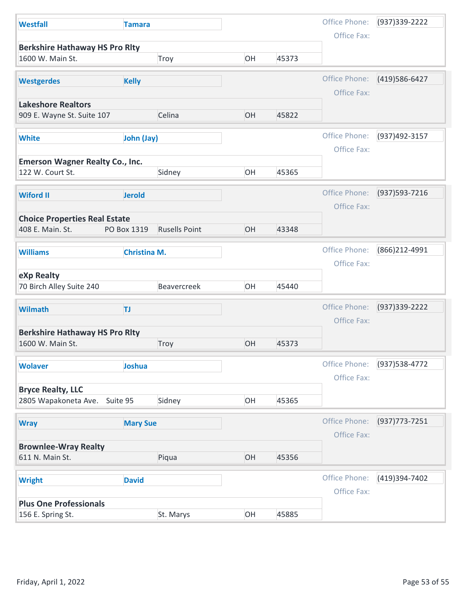| <b>Westfall</b>                                           | <b>Tamara</b>       |                      |    |       | Office Phone:                | (937) 339-2222 |
|-----------------------------------------------------------|---------------------|----------------------|----|-------|------------------------------|----------------|
|                                                           |                     |                      |    |       | Office Fax:                  |                |
| <b>Berkshire Hathaway HS Pro Rity</b><br>1600 W. Main St. |                     | Troy                 | OH | 45373 |                              |                |
| <b>Westgerdes</b>                                         | <b>Kelly</b>        |                      |    |       | Office Phone:<br>Office Fax: | (419) 586-6427 |
| <b>Lakeshore Realtors</b>                                 |                     |                      |    |       |                              |                |
| 909 E. Wayne St. Suite 107                                |                     | Celina               | OH | 45822 |                              |                |
| <b>White</b>                                              | John (Jay)          |                      |    |       | Office Phone:<br>Office Fax: | (937)492-3157  |
| <b>Emerson Wagner Realty Co., Inc.</b>                    |                     |                      |    |       |                              |                |
| 122 W. Court St.                                          |                     | Sidney               | OH | 45365 |                              |                |
| <b>Wiford II</b>                                          | <b>Jerold</b>       |                      |    |       | Office Phone:<br>Office Fax: | (937) 593-7216 |
| <b>Choice Properties Real Estate</b>                      |                     |                      |    |       |                              |                |
| 408 E. Main. St.                                          | PO Box 1319         | <b>Rusells Point</b> | OH | 43348 |                              |                |
| <b>Williams</b>                                           | <b>Christina M.</b> |                      |    |       | Office Phone:<br>Office Fax: | (866) 212-4991 |
| eXp Realty<br>70 Birch Alley Suite 240                    |                     | Beavercreek          | OH | 45440 |                              |                |
| <b>Wilmath</b>                                            | TJ.                 |                      |    |       | Office Phone:                | (937) 339-2222 |
|                                                           |                     |                      |    |       | Office Fax:                  |                |
| <b>Berkshire Hathaway HS Pro Rlty</b>                     |                     |                      |    |       |                              |                |
| 1600 W. Main St.                                          |                     | Troy                 | OH | 45373 |                              |                |
| <b>Wolaver</b>                                            | Joshua              |                      |    |       | Office Phone:                | (937) 538-4772 |
|                                                           |                     |                      |    |       | Office Fax:                  |                |
| <b>Bryce Realty, LLC</b><br>2805 Wapakoneta Ave. Suite 95 |                     | Sidney               | OH | 45365 |                              |                |
| <b>Wray</b>                                               | <b>Mary Sue</b>     |                      |    |       | Office Phone:                | (937) 773-7251 |
|                                                           |                     |                      |    |       | Office Fax:                  |                |
| <b>Brownlee-Wray Realty</b><br>611 N. Main St.            |                     | Piqua                | OH | 45356 |                              |                |
| <b>Wright</b>                                             | <b>David</b>        |                      |    |       | Office Phone:                | (419)394-7402  |
|                                                           |                     |                      |    |       | Office Fax:                  |                |
| <b>Plus One Professionals</b>                             |                     | St. Marys            | OH | 45885 |                              |                |
| 156 E. Spring St.                                         |                     |                      |    |       |                              |                |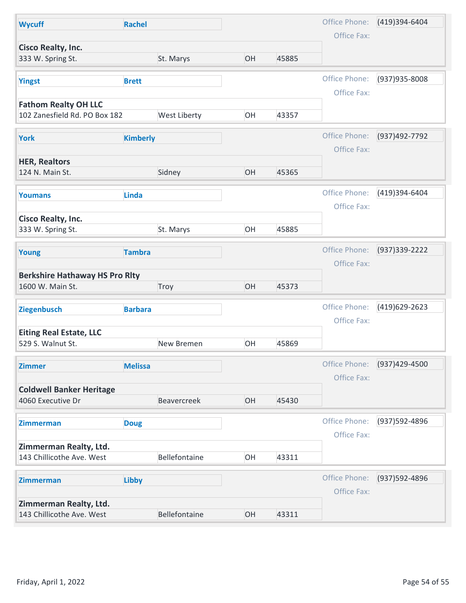| Office Phone:<br>(419)394-6404<br><b>Rachel</b><br><b>Wycuff</b><br>Office Fax:<br><b>Cisco Realty, Inc.</b><br>St. Marys<br>OH<br>45885<br>333 W. Spring St.<br>Office Phone:<br>(937) 935-8008<br><b>Yingst</b><br><b>Brett</b><br>Office Fax:<br><b>Fathom Realty OH LLC</b><br>102 Zanesfield Rd. PO Box 182<br>West Liberty<br>OH<br>43357 |
|-------------------------------------------------------------------------------------------------------------------------------------------------------------------------------------------------------------------------------------------------------------------------------------------------------------------------------------------------|
|                                                                                                                                                                                                                                                                                                                                                 |
|                                                                                                                                                                                                                                                                                                                                                 |
|                                                                                                                                                                                                                                                                                                                                                 |
|                                                                                                                                                                                                                                                                                                                                                 |
|                                                                                                                                                                                                                                                                                                                                                 |
|                                                                                                                                                                                                                                                                                                                                                 |
| Office Phone:<br>(937)492-7792<br><b>Kimberly</b><br><b>York</b>                                                                                                                                                                                                                                                                                |
| Office Fax:                                                                                                                                                                                                                                                                                                                                     |
| <b>HER, Realtors</b><br>124 N. Main St.<br>Sidney<br>OH<br>45365                                                                                                                                                                                                                                                                                |
|                                                                                                                                                                                                                                                                                                                                                 |
| Office Phone:<br>(419)394-6404<br><b>Linda</b><br><b>Youmans</b>                                                                                                                                                                                                                                                                                |
| Office Fax:<br><b>Cisco Realty, Inc.</b>                                                                                                                                                                                                                                                                                                        |
| OH<br>St. Marys<br>45885<br>333 W. Spring St.                                                                                                                                                                                                                                                                                                   |
| Office Phone:<br>(937) 339-2222<br><b>Tambra</b><br>Young                                                                                                                                                                                                                                                                                       |
| Office Fax:                                                                                                                                                                                                                                                                                                                                     |
| <b>Berkshire Hathaway HS Pro Rlty</b><br>OH<br>1600 W. Main St.<br>45373<br>Troy                                                                                                                                                                                                                                                                |
| Office Phone:<br>(419)629-2623                                                                                                                                                                                                                                                                                                                  |
| Ziegenbusch<br><b>Barbara</b><br>Office Fax:                                                                                                                                                                                                                                                                                                    |
| <b>Eiting Real Estate, LLC</b>                                                                                                                                                                                                                                                                                                                  |
| OH<br>529 S. Walnut St.<br>45869<br>New Bremen                                                                                                                                                                                                                                                                                                  |
| Office Phone:<br>(937)429-4500<br><b>Melissa</b><br><b>Zimmer</b>                                                                                                                                                                                                                                                                               |
| Office Fax:<br><b>Coldwell Banker Heritage</b>                                                                                                                                                                                                                                                                                                  |
| Beavercreek<br>OH<br>4060 Executive Dr<br>45430                                                                                                                                                                                                                                                                                                 |
| Office Phone:<br>(937) 592-4896<br><b>Doug</b><br><b>Zimmerman</b>                                                                                                                                                                                                                                                                              |
| Office Fax:                                                                                                                                                                                                                                                                                                                                     |
| Zimmerman Realty, Ltd.<br>OH<br>143 Chillicothe Ave. West<br>Bellefontaine<br>43311                                                                                                                                                                                                                                                             |
|                                                                                                                                                                                                                                                                                                                                                 |
|                                                                                                                                                                                                                                                                                                                                                 |
| Office Phone:<br>(937) 592-4896<br>Libby<br>Zimmerman                                                                                                                                                                                                                                                                                           |
| Office Fax:<br>Zimmerman Realty, Ltd.                                                                                                                                                                                                                                                                                                           |